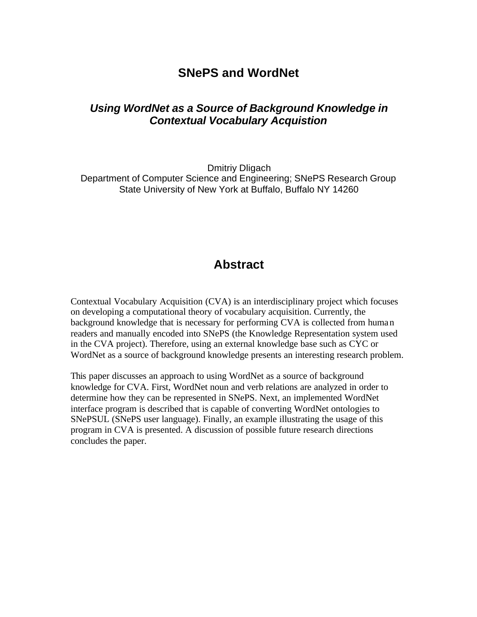## **SNePS and WordNet**

#### *Using WordNet as a Source of Background Knowledge in Contextual Vocabulary Acquistion*

Dmitriy Dligach Department of Computer Science and Engineering; SNePS Research Group State University of New York at Buffalo, Buffalo NY 14260

### **Abstract**

Contextual Vocabulary Acquisition (CVA) is an interdisciplinary project which focuses on developing a computational theory of vocabulary acquisition. Currently, the background knowledge that is necessary for performing CVA is collected from human readers and manually encoded into SNePS (the Knowledge Representation system used in the CVA project). Therefore, using an external knowledge base such as CYC or WordNet as a source of background knowledge presents an interesting research problem.

This paper discusses an approach to using WordNet as a source of background knowledge for CVA. First, WordNet noun and verb relations are analyzed in order to determine how they can be represented in SNePS. Next, an implemented WordNet interface program is described that is capable of converting WordNet ontologies to SNePSUL (SNePS user language). Finally, an example illustrating the usage of this program in CVA is presented. A discussion of possible future research directions concludes the paper.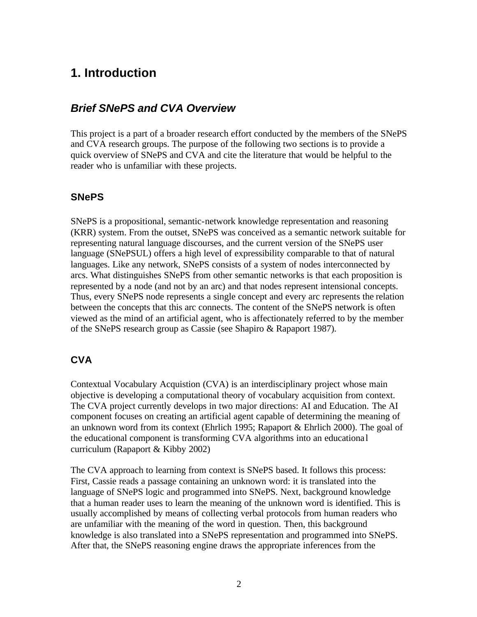# **1. Introduction**

#### *Brief SNePS and CVA Overview*

This project is a part of a broader research effort conducted by the members of the SNePS and CVA research groups. The purpose of the following two sections is to provide a quick overview of SNePS and CVA and cite the literature that would be helpful to the reader who is unfamiliar with these projects.

#### **SNePS**

SNePS is a propositional, semantic-network knowledge representation and reasoning (KRR) system. From the outset, SNePS was conceived as a semantic network suitable for representing natural language discourses, and the current version of the SNePS user language (SNePSUL) offers a high level of expressibility comparable to that of natural languages. Like any network, SNePS consists of a system of nodes interconnected by arcs. What distinguishes SNePS from other semantic networks is that each proposition is represented by a node (and not by an arc) and that nodes represent intensional concepts. Thus, every SNePS node represents a single concept and every arc represents the relation between the concepts that this arc connects. The content of the SNePS network is often viewed as the mind of an artificial agent, who is affectionately referred to by the member of the SNePS research group as Cassie (see Shapiro & Rapaport 1987).

#### **CVA**

Contextual Vocabulary Acquistion (CVA) is an interdisciplinary project whose main objective is developing a computational theory of vocabulary acquisition from context. The CVA project currently develops in two major directions: AI and Education. The AI component focuses on creating an artificial agent capable of determining the meaning of an unknown word from its context (Ehrlich 1995; Rapaport & Ehrlich 2000). The goal of the educational component is transforming CVA algorithms into an educationa l curriculum (Rapaport & Kibby 2002)

The CVA approach to learning from context is SNePS based. It follows this process: First, Cassie reads a passage containing an unknown word: it is translated into the language of SNePS logic and programmed into SNePS. Next, background knowledge that a human reader uses to learn the meaning of the unknown word is identified. This is usually accomplished by means of collecting verbal protocols from human readers who are unfamiliar with the meaning of the word in question. Then, this background knowledge is also translated into a SNePS representation and programmed into SNePS. After that, the SNePS reasoning engine draws the appropriate inferences from the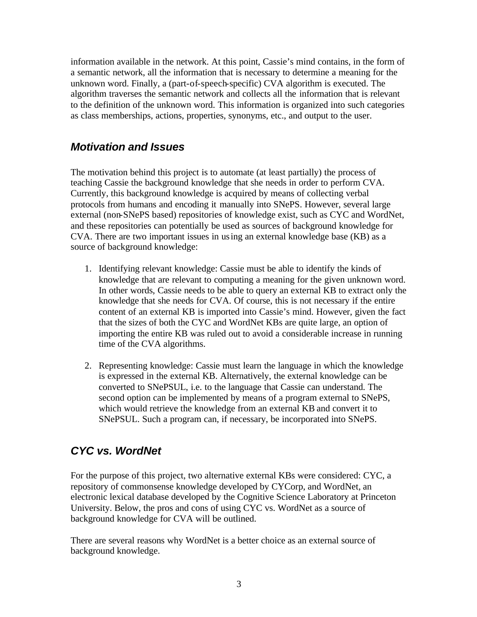information available in the network. At this point, Cassie's mind contains, in the form of a semantic network, all the information that is necessary to determine a meaning for the unknown word. Finally, a (part-of-speech-specific) CVA algorithm is executed. The algorithm traverses the semantic network and collects all the information that is relevant to the definition of the unknown word. This information is organized into such categories as class memberships, actions, properties, synonyms, etc., and output to the user.

#### *Motivation and Issues*

The motivation behind this project is to automate (at least partially) the process of teaching Cassie the background knowledge that she needs in order to perform CVA. Currently, this background knowledge is acquired by means of collecting verbal protocols from humans and encoding it manually into SNePS. However, several large external (non-SNePS based) repositories of knowledge exist, such as CYC and WordNet, and these repositories can potentially be used as sources of background knowledge for CVA. There are two important issues in using an external knowledge base (KB) as a source of background knowledge:

- 1. Identifying relevant knowledge: Cassie must be able to identify the kinds of knowledge that are relevant to computing a meaning for the given unknown word. In other words, Cassie needs to be able to query an external KB to extract only the knowledge that she needs for CVA. Of course, this is not necessary if the entire content of an external KB is imported into Cassie's mind. However, given the fact that the sizes of both the CYC and WordNet KBs are quite large, an option of importing the entire KB was ruled out to avoid a considerable increase in running time of the CVA algorithms.
- 2. Representing knowledge: Cassie must learn the language in which the knowledge is expressed in the external KB. Alternatively, the external knowledge can be converted to SNePSUL, i.e. to the language that Cassie can understand. The second option can be implemented by means of a program external to SNePS, which would retrieve the knowledge from an external KB and convert it to SNePSUL. Such a program can, if necessary, be incorporated into SNePS.

### *CYC vs. WordNet*

For the purpose of this project, two alternative external KBs were considered: CYC, a repository of commonsense knowledge developed by CYCorp, and WordNet, an electronic lexical database developed by the Cognitive Science Laboratory at Princeton University. Below, the pros and cons of using CYC vs. WordNet as a source of background knowledge for CVA will be outlined.

There are several reasons why WordNet is a better choice as an external source of background knowledge.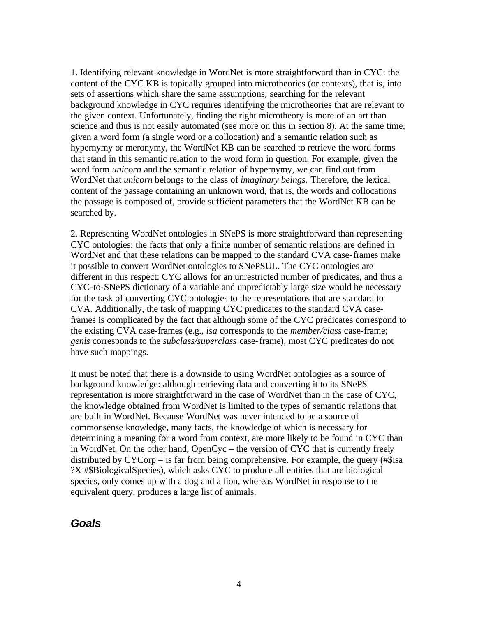1. Identifying relevant knowledge in WordNet is more straightforward than in CYC: the content of the CYC KB is topically grouped into microtheories (or contexts), that is, into sets of assertions which share the same assumptions; searching for the relevant background knowledge in CYC requires identifying the microtheories that are relevant to the given context. Unfortunately, finding the right microtheory is more of an art than science and thus is not easily automated (see more on this in section 8). At the same time, given a word form (a single word or a collocation) and a semantic relation such as hypernymy or meronymy, the WordNet KB can be searched to retrieve the word forms that stand in this semantic relation to the word form in question. For example, given the word form *unicorn* and the semantic relation of hypernymy, we can find out from WordNet that *unicorn* belongs to the class of *imaginary beings.* Therefore, the lexical content of the passage containing an unknown word, that is, the words and collocations the passage is composed of, provide sufficient parameters that the WordNet KB can be searched by.

2. Representing WordNet ontologies in SNePS is more straightforward than representing CYC ontologies: the facts that only a finite number of semantic relations are defined in WordNet and that these relations can be mapped to the standard CVA case-frames make it possible to convert WordNet ontologies to SNePSUL. The CYC ontologies are different in this respect: CYC allows for an unrestricted number of predicates, and thus a CYC-to-SNePS dictionary of a variable and unpredictably large size would be necessary for the task of converting CYC ontologies to the representations that are standard to CVA. Additionally, the task of mapping CYC predicates to the standard CVA caseframes is complicated by the fact that although some of the CYC predicates correspond to the existing CVA case-frames (e.g., *isa* corresponds to the *member/class* case-frame; *genls* corresponds to the *subclass/superclass* case-frame), most CYC predicates do not have such mappings.

It must be noted that there is a downside to using WordNet ontologies as a source of background knowledge: although retrieving data and converting it to its SNePS representation is more straightforward in the case of WordNet than in the case of CYC, the knowledge obtained from WordNet is limited to the types of semantic relations that are built in WordNet. Because WordNet was never intended to be a source of commonsense knowledge, many facts, the knowledge of which is necessary for determining a meaning for a word from context, are more likely to be found in CYC than in WordNet. On the other hand, OpenCyc – the version of CYC that is currently freely distributed by CYCorp – is far from being comprehensive. For example, the query (#\$isa ?X #\$BiologicalSpecies), which asks CYC to produce all entities that are biological species, only comes up with a dog and a lion, whereas WordNet in response to the equivalent query, produces a large list of animals.

#### *Goals*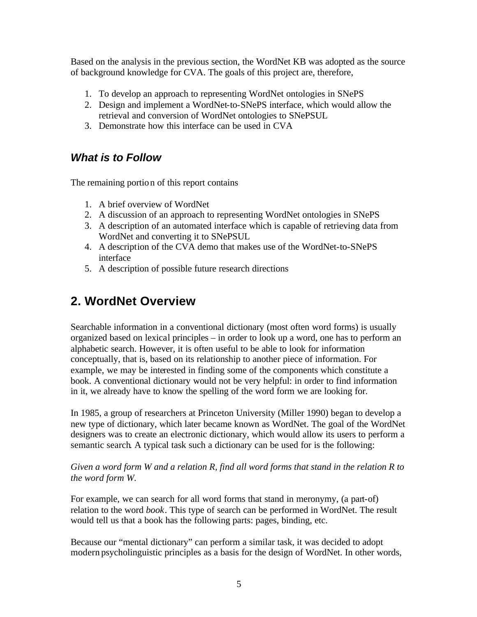Based on the analysis in the previous section, the WordNet KB was adopted as the source of background knowledge for CVA. The goals of this project are, therefore,

- 1. To develop an approach to representing WordNet ontologies in SNePS
- 2. Design and implement a WordNet-to-SNePS interface, which would allow the retrieval and conversion of WordNet ontologies to SNePSUL
- 3. Demonstrate how this interface can be used in CVA

### *What is to Follow*

The remaining portion of this report contains

- 1. A brief overview of WordNet
- 2. A discussion of an approach to representing WordNet ontologies in SNePS
- 3. A description of an automated interface which is capable of retrieving data from WordNet and converting it to SNePSUL
- 4. A description of the CVA demo that makes use of the WordNet-to-SNePS interface
- 5. A description of possible future research directions

# **2. WordNet Overview**

Searchable information in a conventional dictionary (most often word forms) is usually organized based on lexical principles – in order to look up a word, one has to perform an alphabetic search. However, it is often useful to be able to look for information conceptually, that is, based on its relationship to another piece of information. For example, we may be interested in finding some of the components which constitute a book. A conventional dictionary would not be very helpful: in order to find information in it, we already have to know the spelling of the word form we are looking for.

In 1985, a group of researchers at Princeton University (Miller 1990) began to develop a new type of dictionary, which later became known as WordNet. The goal of the WordNet designers was to create an electronic dictionary, which would allow its users to perform a semantic search. A typical task such a dictionary can be used for is the following:

*Given a word form W and a relation R, find all word forms that stand in the relation R to the word form W.* 

For example, we can search for all word forms that stand in meronymy, (a part-of) relation to the word *book*. This type of search can be performed in WordNet. The result would tell us that a book has the following parts: pages, binding, etc.

Because our "mental dictionary" can perform a similar task, it was decided to adopt modern psycholinguistic principles as a basis for the design of WordNet. In other words,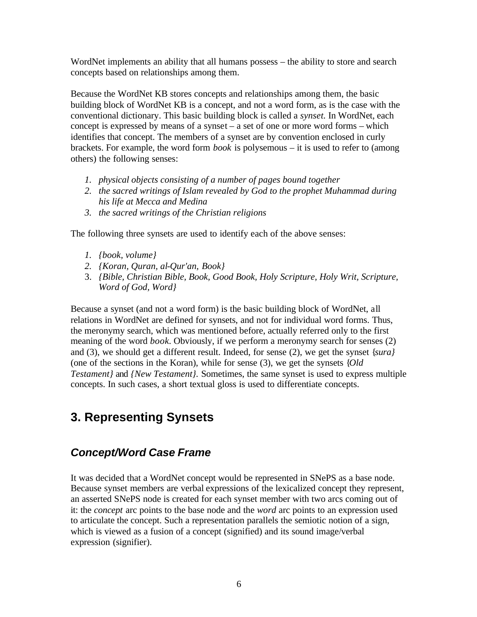WordNet implements an ability that all humans possess – the ability to store and search concepts based on relationships among them.

Because the WordNet KB stores concepts and relationships among them, the basic building block of WordNet KB is a concept, and not a word form, as is the case with the conventional dictionary. This basic building block is called a *synset.* In WordNet, each concept is expressed by means of a synset – a set of one or more word forms – which identifies that concept. The members of a synset are by convention enclosed in curly brackets. For example, the word form *book* is polysemous – it is used to refer to (among others) the following senses:

- *1. physical objects consisting of a number of pages bound together*
- *2. the sacred writings of Islam revealed by God to the prophet Muhammad during his life at Mecca and Medina*
- *3. the sacred writings of the Christian religions*

The following three synsets are used to identify each of the above senses:

- *1. {book, volume}*
- *2. {Koran, Quran, al-Qur'an, Book}*
- 3. *{Bible, Christian Bible, Book, Good Book, Holy Scripture, Holy Writ, Scripture, Word of God, Word}*

Because a synset (and not a word form) is the basic building block of WordNet, all relations in WordNet are defined for synsets, and not for individual word forms. Thus, the meronymy search, which was mentioned before, actually referred only to the first meaning of the word *book.* Obviously, if we perform a meronymy search for senses (2) and (3), we should get a different result. Indeed, for sense (2), we get the synset {*sura}* (one of the sections in the Koran), while for sense (3), we get the synsets {*Old Testament}* and *{New Testament}.* Sometimes, the same synset is used to express multiple concepts. In such cases, a short textual gloss is used to differentiate concepts.

# **3. Representing Synsets**

### *Concept/Word Case Frame*

It was decided that a WordNet concept would be represented in SNePS as a base node. Because synset members are verbal expressions of the lexicalized concept they represent, an asserted SNePS node is created for each synset member with two arcs coming out of it: the *concept* arc points to the base node and the *word* arc points to an expression used to articulate the concept. Such a representation parallels the semiotic notion of a sign, which is viewed as a fusion of a concept (signified) and its sound image/verbal expression (signifier).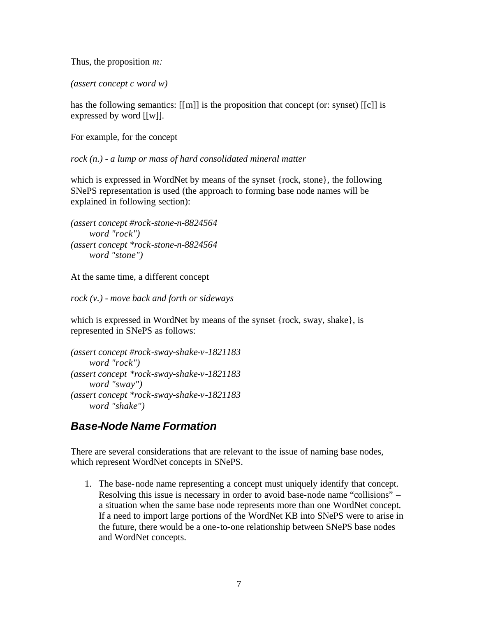Thus, the proposition *m:*

*(assert concept c word w)*

has the following semantics: [[m]] is the proposition that concept (or: synset) [[c]] is expressed by word [[w]].

For example, for the concept

*rock (n.) - a lump or mass of hard consolidated mineral matter*

which is expressed in WordNet by means of the synset {rock, stone}, the following SNePS representation is used (the approach to forming base node names will be explained in following section):

*(assert concept #rock-stone-n-8824564 word "rock") (assert concept \*rock-stone-n-8824564 word "stone")*

At the same time, a different concept

*rock (v.) - move back and forth or sideways*

which is expressed in WordNet by means of the synset {rock, sway, shake}, is represented in SNePS as follows:

*(assert concept #rock-sway-shake-v-1821183 word "rock") (assert concept \*rock-sway-shake-v-1821183 word "sway") (assert concept \*rock-sway-shake-v-1821183 word "shake")*

### *Base-Node Name Formation*

There are several considerations that are relevant to the issue of naming base nodes, which represent WordNet concepts in SNePS.

1. The base-node name representing a concept must uniquely identify that concept. Resolving this issue is necessary in order to avoid base-node name "collisions" – a situation when the same base node represents more than one WordNet concept. If a need to import large portions of the WordNet KB into SNePS were to arise in the future, there would be a one-to-one relationship between SNePS base nodes and WordNet concepts.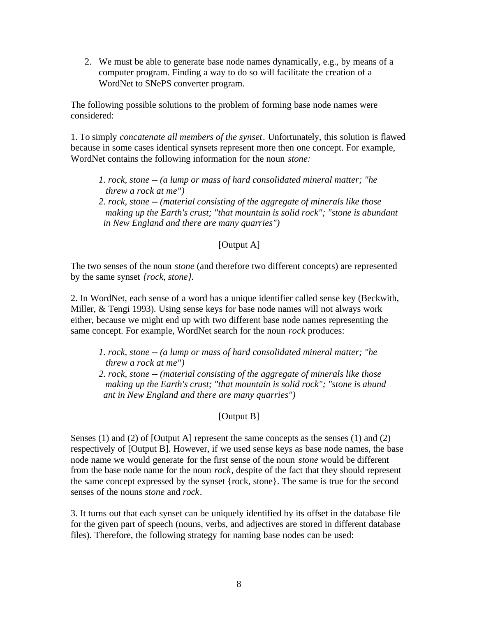2. We must be able to generate base node names dynamically, e.g., by means of a computer program. Finding a way to do so will facilitate the creation of a WordNet to SNePS converter program.

The following possible solutions to the problem of forming base node names were considered:

1. To simply *concatenate all members of the synset*. Unfortunately, this solution is flawed because in some cases identical synsets represent more then one concept. For example, WordNet contains the following information for the noun *stone:*

- *1. rock, stone -- (a lump or mass of hard consolidated mineral matter; "he threw a rock at me")*
- *2. rock, stone -- (material consisting of the aggregate of minerals like those making up the Earth's crust; "that mountain is solid rock"; "stone is abundant in New England and there are many quarries")*

#### [Output A]

The two senses of the noun *stone* (and therefore two different concepts) are represented by the same synset *{rock, stone}.*

2. In WordNet, each sense of a word has a unique identifier called sense key (Beckwith, Miller, & Tengi 1993). Using sense keys for base node names will not always work either, because we might end up with two different base node names representing the same concept. For example, WordNet search for the noun *rock* produces:

- *1. rock, stone -- (a lump or mass of hard consolidated mineral matter; "he threw a rock at me")*
- *2. rock, stone -- (material consisting of the aggregate of minerals like those making up the Earth's crust; "that mountain is solid rock"; "stone is abund ant in New England and there are many quarries")*

#### [Output B]

Senses (1) and (2) of [Output A] represent the same concepts as the senses (1) and (2) respectively of [Output B]. However, if we used sense keys as base node names, the base node name we would generate for the first sense of the noun *stone* would be different from the base node name for the noun *rock*, despite of the fact that they should represent the same concept expressed by the synset {rock, stone}. The same is true for the second senses of the nouns *stone* and *rock*.

3. It turns out that each synset can be uniquely identified by its offset in the database file for the given part of speech (nouns, verbs, and adjectives are stored in different database files). Therefore, the following strategy for naming base nodes can be used: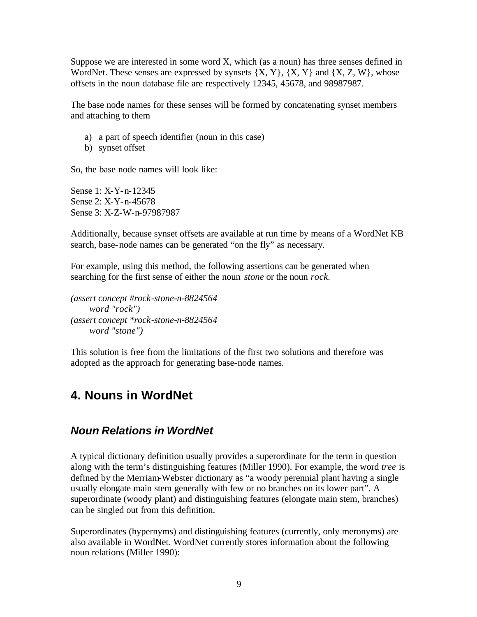Suppose we are interested in some word X, which (as a noun) has three senses defined in WordNet. These senses are expressed by synsets  $\{X, Y\}$ ,  $\{X, Y\}$  and  $\{X, Z, W\}$ , whose offsets in the noun database file are respectively 12345, 45678, and 98987987.

The base node names for these senses will be formed by concatenating synset members and attaching to them

- a) a part of speech identifier (noun in this case)
- b) synset offset

So, the base node names will look like:

Sense 1: X-Y-n-12345 Sense 2: X-Y-n-45678 Sense 3: X-Z-W-n-97987987

Additionally, because synset offsets are available at run time by means of a WordNet KB search, base-node names can be generated "on the fly" as necessary.

For example, using this method, the following assertions can be generated when searching for the first sense of either the noun *stone* or the noun *rock.*

*(assert concept #rock-stone-n-8824564 word "rock") (assert concept \*rock-stone-n-8824564 word "stone")*

This solution is free from the limitations of the first two solutions and therefore was adopted as the approach for generating base-node names.

# **4. Nouns in WordNet**

#### *Noun Relations in WordNet*

A typical dictionary definition usually provides a superordinate for the term in question along with the term's distinguishing features (Miller 1990). For example, the word *tree* is defined by the Merriam-Webster dictionary as "a woody perennial plant having a single usually elongate main stem generally with few or no branches on its lower part". A superordinate (woody plant) and distinguishing features (elongate main stem, branches) can be singled out from this definition.

Superordinates (hypernyms) and distinguishing features (currently, only meronyms) are also available in WordNet. WordNet currently stores information about the following noun relations (Miller 1990):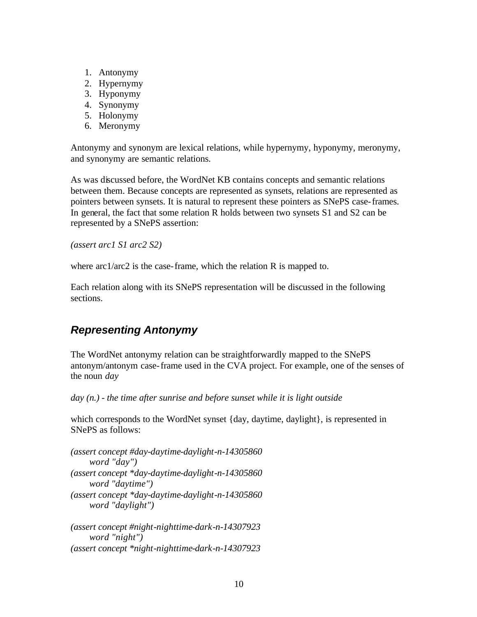- 1. Antonymy
- 2. Hypernymy
- 3. Hyponymy
- 4. Synonymy
- 5. Holonymy
- 6. Meronymy

Antonymy and synonym are lexical relations, while hypernymy, hyponymy, meronymy, and synonymy are semantic relations.

As was discussed before, the WordNet KB contains concepts and semantic relations between them. Because concepts are represented as synsets, relations are represented as pointers between synsets. It is natural to represent these pointers as SNePS case-frames. In general, the fact that some relation R holds between two synsets S1 and S2 can be represented by a SNePS assertion:

*(assert arc1 S1 arc2 S2)*

where  $\arctan 2$  is the case-frame, which the relation R is mapped to.

Each relation along with its SNePS representation will be discussed in the following sections.

## *Representing Antonymy*

The WordNet antonymy relation can be straightforwardly mapped to the SNePS antonym/antonym case-frame used in the CVA project. For example, one of the senses of the noun *day*

*day (n.) - the time after sunrise and before sunset while it is light outside*

which corresponds to the WordNet synset {day, daytime, daylight}, is represented in SNePS as follows:

*(assert concept #day-daytime-daylight-n-14305860 word "day") (assert concept \*day-daytime-daylight-n-14305860 word "daytime") (assert concept \*day-daytime-daylight-n-14305860 word "daylight")*

*(assert concept #night-nighttime-dark-n-14307923 word "night") (assert concept \*night-nighttime-dark-n-14307923*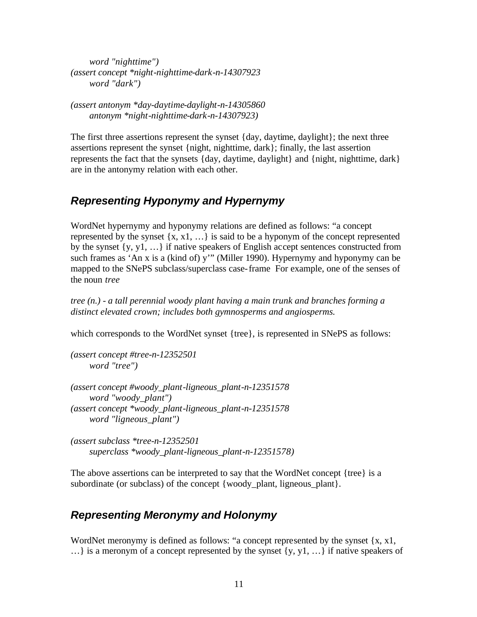*word "nighttime") (assert concept \*night-nighttime-dark-n-14307923 word "dark")*

*(assert antonym \*day-daytime-daylight-n-14305860 antonym \*night-nighttime-dark-n-14307923)*

The first three assertions represent the synset {day, daytime, daylight}; the next three assertions represent the synset {night, nighttime, dark}; finally, the last assertion represents the fact that the synsets {day, daytime, daylight} and {night, nighttime, dark} are in the antonymy relation with each other.

### *Representing Hyponymy and Hypernymy*

WordNet hypernymy and hyponymy relations are defined as follows: "a concept represented by the synset  $\{x, x1, \ldots\}$  is said to be a hyponym of the concept represented by the synset {y, y1, …} if native speakers of English accept sentences constructed from such frames as 'An x is a (kind of) y'" (Miller 1990). Hypernymy and hyponymy can be mapped to the SNePS subclass/superclass case-frame For example, one of the senses of the noun *tree*

*tree (n.) - a tall perennial woody plant having a main trunk and branches forming a distinct elevated crown; includes both gymnosperms and angiosperms.*

which corresponds to the WordNet synset {tree}, is represented in SNePS as follows:

*(assert concept #tree-n-12352501 word "tree")*

*(assert concept #woody\_plant-ligneous\_plant-n-12351578 word "woody\_plant") (assert concept \*woody\_plant-ligneous\_plant-n-12351578 word "ligneous\_plant")*

*(assert subclass \*tree-n-12352501 superclass \*woody\_plant-ligneous\_plant-n-12351578)*

The above assertions can be interpreted to say that the WordNet concept {tree} is a subordinate (or subclass) of the concept {woody\_plant, ligneous\_plant}.

## *Representing Meronymy and Holonymy*

WordNet meronymy is defined as follows: "a concept represented by the synset  $\{x, x\}$ , ...} is a meronym of a concept represented by the synset  $\{y, y1, \ldots\}$  if native speakers of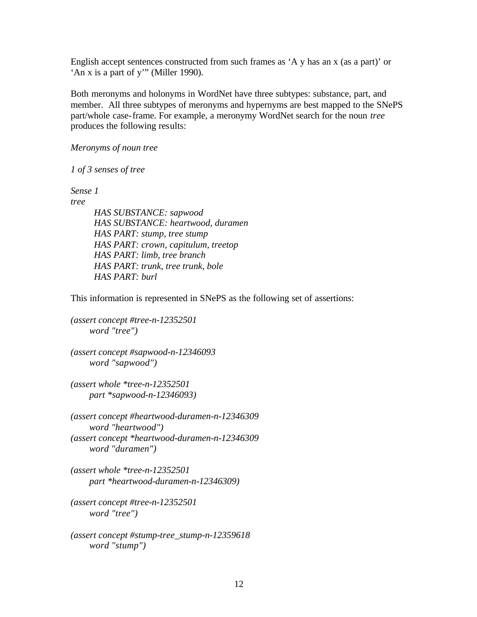English accept sentences constructed from such frames as 'A y has an x (as a part)' or 'An x is a part of y'" (Miller 1990).

Both meronyms and holonyms in WordNet have three subtypes: substance, part, and member. All three subtypes of meronyms and hypernyms are best mapped to the SNePS part/whole case-frame. For example, a meronymy WordNet search for the noun *tree* produces the following results:

*Meronyms of noun tree*

*1 of 3 senses of tree*

*Sense 1*

*tree*

 *HAS SUBSTANCE: sapwood HAS SUBSTANCE: heartwood, duramen HAS PART: stump, tree stump HAS PART: crown, capitulum, treetop HAS PART: limb, tree branch HAS PART: trunk, tree trunk, bole HAS PART: burl*

This information is represented in SNePS as the following set of assertions:

*(assert concept #tree-n-12352501 word "tree")*

*(assert concept #sapwood-n-12346093 word "sapwood")*

*(assert whole \*tree-n-12352501 part \*sapwood-n-12346093)*

*(assert concept #heartwood-duramen-n-12346309 word "heartwood") (assert concept \*heartwood-duramen-n-12346309 word "duramen")*

*(assert whole \*tree-n-12352501 part \*heartwood-duramen-n-12346309)*

*(assert concept #tree-n-12352501 word "tree")*

*(assert concept #stump-tree\_stump-n-12359618 word "stump")*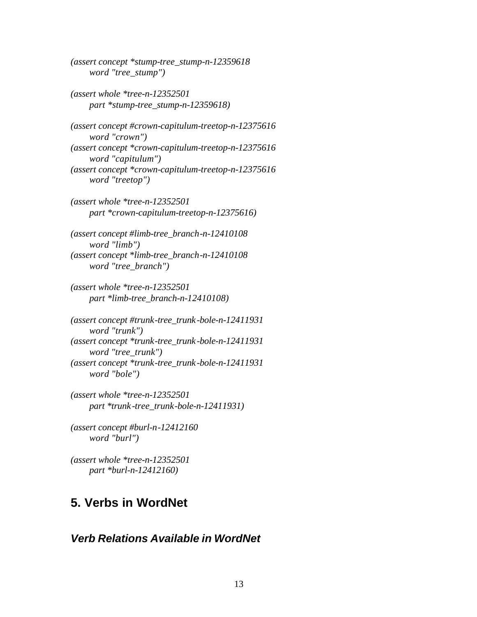*(assert concept \*stump-tree\_stump-n-12359618 word "tree\_stump")*

*(assert whole \*tree-n-12352501 part \*stump-tree\_stump-n-12359618)*

*(assert concept #crown-capitulum-treetop-n-12375616 word "crown") (assert concept \*crown-capitulum-treetop-n-12375616 word "capitulum") (assert concept \*crown-capitulum-treetop-n-12375616 word "treetop")*

*(assert whole \*tree-n-12352501 part \*crown-capitulum-treetop-n-12375616)*

*(assert concept #limb-tree\_branch-n-12410108 word "limb") (assert concept \*limb-tree\_branch-n-12410108 word "tree\_branch")*

*(assert whole \*tree-n-12352501 part \*limb-tree\_branch-n-12410108)*

*(assert concept #trunk-tree\_trunk -bole-n-12411931 word "trunk") (assert concept \*trunk-tree\_trunk -bole-n-12411931 word "tree\_trunk") (assert concept \*trunk-tree\_trunk -bole-n-12411931 word "bole")*

*(assert whole \*tree-n-12352501 part \*trunk -tree\_trunk-bole-n-12411931)*

*(assert concept #burl-n-12412160 word "burl")*

*(assert whole \*tree-n-12352501 part \*burl-n-12412160)*

## **5. Verbs in WordNet**

#### *Verb Relations Available in WordNet*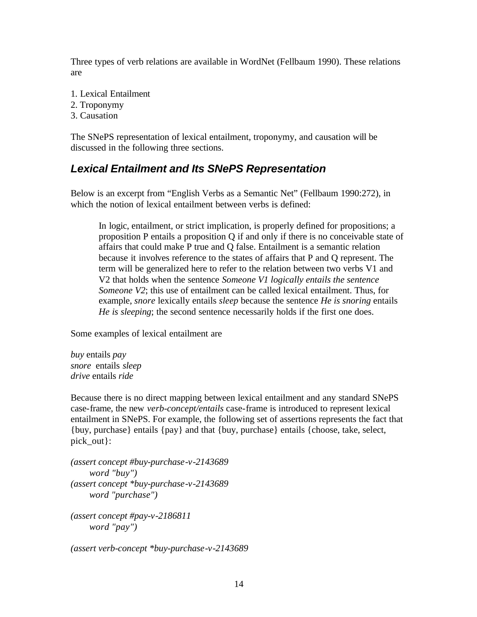Three types of verb relations are available in WordNet (Fellbaum 1990). These relations are

- 1. Lexical Entailment
- 2. Troponymy
- 3. Causation

The SNePS representation of lexical entailment, troponymy, and causation will be discussed in the following three sections.

#### *Lexical Entailment and Its SNePS Representation*

Below is an excerpt from "English Verbs as a Semantic Net" (Fellbaum 1990:272), in which the notion of lexical entailment between verbs is defined:

In logic, entailment, or strict implication, is properly defined for propositions; a proposition P entails a proposition Q if and only if there is no conceivable state of affairs that could make P true and Q false. Entailment is a semantic relation because it involves reference to the states of affairs that P and Q represent. The term will be generalized here to refer to the relation between two verbs V1 and V2 that holds when the sentence *Someone V1 logically entails the sentence Someone V2*; this use of entailment can be called lexical entailment. Thus, for example, *snore* lexically entails *sleep* because the sentence *He is snoring* entails *He is sleeping*; the second sentence necessarily holds if the first one does.

Some examples of lexical entailment are

*buy* entails *pay snore* entails *sleep drive* entails *ride*

Because there is no direct mapping between lexical entailment and any standard SNePS case-frame, the new *verb-concept/entails* case-frame is introduced to represent lexical entailment in SNePS. For example, the following set of assertions represents the fact that {buy, purchase} entails {pay} and that {buy, purchase} entails {choose, take, select, pick\_out}:

```
(assert concept #buy-purchase-v-2143689
     word "buy")
(assert concept *buy-purchase-v-2143689
     word "purchase")
(assert concept #pay-v-2186811
     word "pay")
(assert verb-concept *buy-purchase-v-2143689
```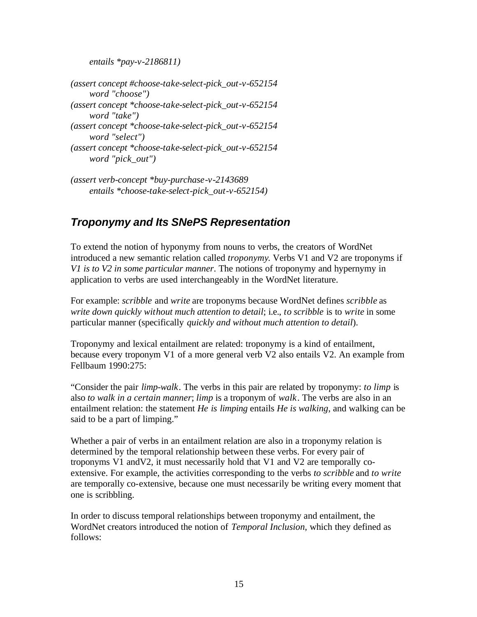*entails \*pay-v-2186811)*

*(assert concept #choose-take-select-pick\_out-v-652154 word "choose") (assert concept \*choose-take-select-pick\_out-v-652154 word "take") (assert concept \*choose-take-select-pick\_out-v-652154 word "select") (assert concept \*choose-take-select-pick\_out-v-652154 word "pick\_out")*

*(assert verb-concept \*buy-purchase-v-2143689 entails \*choose-take-select-pick\_out-v-652154)*

## *Troponymy and Its SNePS Representation*

To extend the notion of hyponymy from nouns to verbs, the creators of WordNet introduced a new semantic relation called *troponymy*. Verbs V1 and V2 are troponyms if *V1 is to V2 in some particular manner*. The notions of troponymy and hypernymy in application to verbs are used interchangeably in the WordNet literature.

For example: *scribble* and *write* are troponyms because WordNet defines *scribble* as *write down quickly without much attention to detail*; i.e., *to scribble* is to *write* in some particular manner (specifically *quickly and without much attention to detail*).

Troponymy and lexical entailment are related: troponymy is a kind of entailment, because every troponym V1 of a more general verb V2 also entails V2. An example from Fellbaum 1990:275:

"Consider the pair *limp-walk*. The verbs in this pair are related by troponymy: *to limp* is also *to walk in a certain manner*; *limp* is a troponym of *walk*. The verbs are also in an entailment relation: the statement *He is limping* entails *He is walking*, and walking can be said to be a part of limping."

Whether a pair of verbs in an entailment relation are also in a troponymy relation is determined by the temporal relationship between these verbs. For every pair of troponyms V1 andV2, it must necessarily hold that V1 and V2 are temporally coextensive. For example, the activities corresponding to the verbs *to scribble* and *to write* are temporally co-extensive, because one must necessarily be writing every moment that one is scribbling.

In order to discuss temporal relationships between troponymy and entailment, the WordNet creators introduced the notion of *Temporal Inclusion*, which they defined as follows: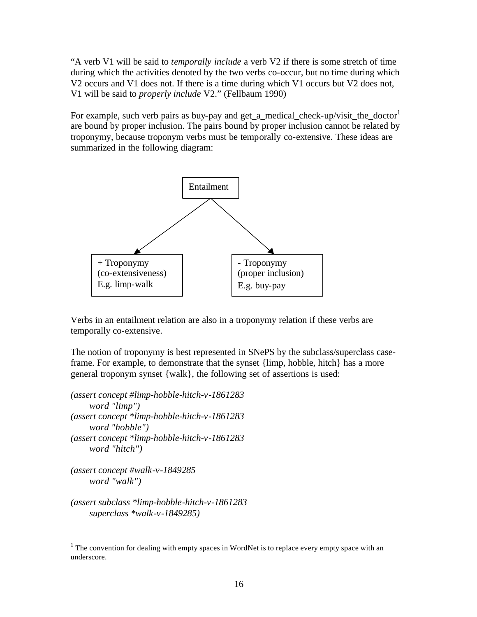"A verb V1 will be said to *temporally include* a verb V2 if there is some stretch of time during which the activities denoted by the two verbs co-occur, but no time during which V2 occurs and V1 does not. If there is a time during which V1 occurs but V2 does not, V1 will be said to *properly include* V2." (Fellbaum 1990)

For example, such verb pairs as buy-pay and get\_a\_medical\_check-up/visit\_the\_doctor $<sup>1</sup>$ </sup> are bound by proper inclusion. The pairs bound by proper inclusion cannot be related by troponymy, because troponym verbs must be temporally co-extensive. These ideas are summarized in the following diagram:



Verbs in an entailment relation are also in a troponymy relation if these verbs are temporally co-extensive.

The notion of troponymy is best represented in SNePS by the subclass/superclass caseframe. For example, to demonstrate that the synset {limp, hobble, hitch} has a more general troponym synset {walk}, the following set of assertions is used:

*(assert concept #limp-hobble-hitch-v-1861283 word "limp") (assert concept \*limp-hobble-hitch-v-1861283 word "hobble") (assert concept \*limp-hobble-hitch-v-1861283 word "hitch")*

*(assert concept #walk-v-1849285 word "walk")*

 $\overline{a}$ 

*(assert subclass \*limp-hobble-hitch-v-1861283 superclass \*walk-v-1849285)*

 $1$  The convention for dealing with empty spaces in WordNet is to replace every empty space with an underscore.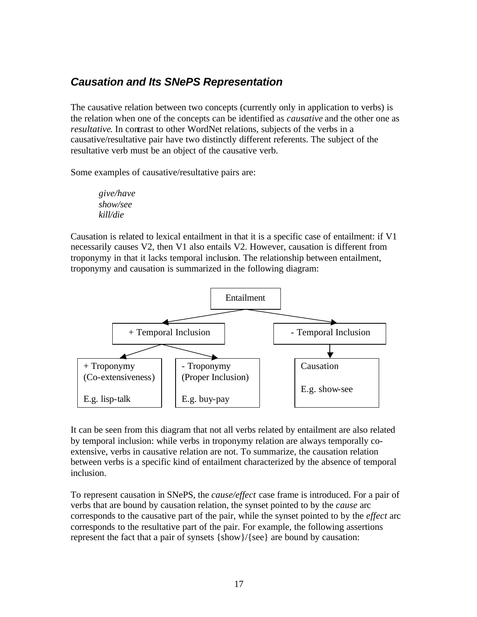#### *Causation and Its SNePS Representation*

The causative relation between two concepts (currently only in application to verbs) is the relation when one of the concepts can be identified as *causative* and the other one as *resultative*. In contrast to other WordNet relations, subjects of the verbs in a causative/resultative pair have two distinctly different referents. The subject of the resultative verb must be an object of the causative verb.

Some examples of causative/resultative pairs are:

*give/have show/see kill/die*

Causation is related to lexical entailment in that it is a specific case of entailment: if V1 necessarily causes V2, then V1 also entails V2. However, causation is different from troponymy in that it lacks temporal inclusion. The relationship between entailment, troponymy and causation is summarized in the following diagram:



It can be seen from this diagram that not all verbs related by entailment are also related by temporal inclusion: while verbs in troponymy relation are always temporally coextensive, verbs in causative relation are not. To summarize, the causation relation between verbs is a specific kind of entailment characterized by the absence of temporal inclusion.

To represent causation in SNePS, the *cause/effect* case frame is introduced. For a pair of verbs that are bound by causation relation, the synset pointed to by the *cause* arc corresponds to the causative part of the pair, while the synset pointed to by the *effect* arc corresponds to the resultative part of the pair. For example, the following assertions represent the fact that a pair of synsets {show}/{see} are bound by causation: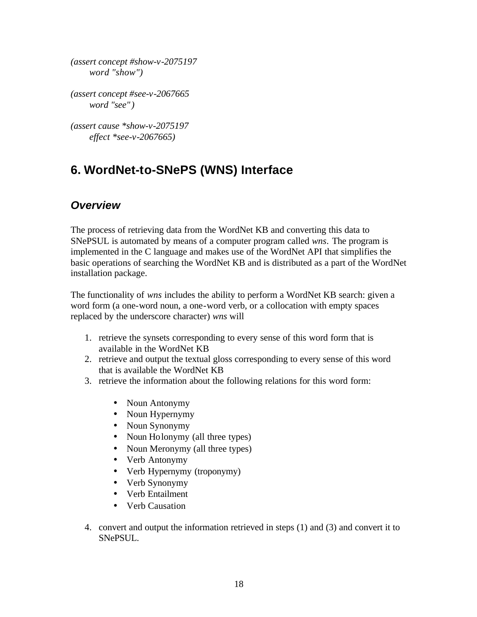*(assert concept #show-v-2075197 word "show")*

*(assert concept #see-v-2067665 word "see" )*

*(assert cause \*show-v-2075197 effect \*see-v-2067665)*

# **6. WordNet-to-SNePS (WNS) Interface**

## *Overview*

The process of retrieving data from the WordNet KB and converting this data to SNePSUL is automated by means of a computer program called *wns*. The program is implemented in the C language and makes use of the WordNet API that simplifies the basic operations of searching the WordNet KB and is distributed as a part of the WordNet installation package.

The functionality of *wns* includes the ability to perform a WordNet KB search: given a word form (a one-word noun, a one-word verb, or a collocation with empty spaces replaced by the underscore character) *wns* will

- 1. retrieve the synsets corresponding to every sense of this word form that is available in the WordNet KB
- 2. retrieve and output the textual gloss corresponding to every sense of this word that is available the WordNet KB
- 3. retrieve the information about the following relations for this word form:
	- Noun Antonymy
	- Noun Hypernymy
	- Noun Synonymy
	- Noun Holonymy (all three types)
	- Noun Meronymy (all three types)
	- Verb Antonymy
	- Verb Hypernymy (troponymy)
	- Verb Synonymy
	- Verb Entailment
	- Verb Causation
- 4. convert and output the information retrieved in steps (1) and (3) and convert it to SNePSUL.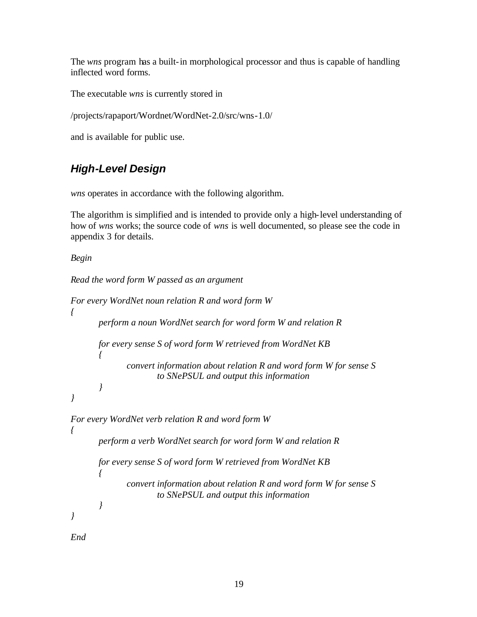The *wns* program has a built-in morphological processor and thus is capable of handling inflected word forms.

The executable *wns* is currently stored in

/projects/rapaport/Wordnet/WordNet-2.0/src/wns-1.0/

and is available for public use.

# *High-Level Design*

*wns* operates in accordance with the following algorithm.

The algorithm is simplified and is intended to provide only a high-level understanding of how of *wns* works; the source code of *wns* is well documented, so please see the code in appendix 3 for details.

*Begin*

```
Read the word form W passed as an argument
```

```
For every WordNet noun relation R and word form W
{
       perform a noun WordNet search for word form W and relation R
      for every sense S of word form W retrieved from WordNet KB
       {
              convert information about relation R and word form W for sense S
                       to SNePSUL and output this information
       }
}
For every WordNet verb relation R and word form W
{
      perform a verb WordNet search for word form W and relation R
      for every sense S of word form W retrieved from WordNet KB
       {
              convert information about relation R and word form W for sense S
                       to SNePSUL and output this information
       }
}
```
*End*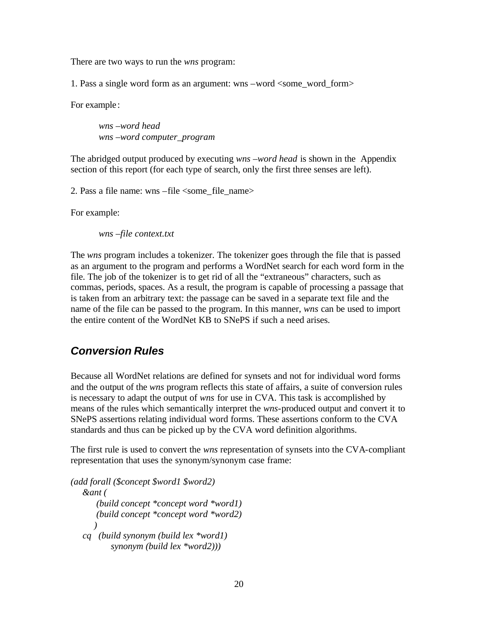There are two ways to run the *wns* program:

1. Pass a single word form as an argument: wns –word <some\_word\_form>

For example:

*wns –word head wns –word computer\_program* 

The abridged output produced by executing *wns –word head* is shown in the Appendix section of this report (for each type of search, only the first three senses are left).

2. Pass a file name: wns –file <some\_file\_name>

For example:

*wns –file context.txt*

The *wns* program includes a tokenizer. The tokenizer goes through the file that is passed as an argument to the program and performs a WordNet search for each word form in the file. The job of the tokenizer is to get rid of all the "extraneous" characters, such as commas, periods, spaces. As a result, the program is capable of processing a passage that is taken from an arbitrary text: the passage can be saved in a separate text file and the name of the file can be passed to the program. In this manner, *wns* can be used to import the entire content of the WordNet KB to SNePS if such a need arises.

### *Conversion Rules*

Because all WordNet relations are defined for synsets and not for individual word forms and the output of the *wns* program reflects this state of affairs, a suite of conversion rules is necessary to adapt the output of *wns* for use in CVA. This task is accomplished by means of the rules which semantically interpret the *wns*-produced output and convert it to SNePS assertions relating individual word forms. These assertions conform to the CVA standards and thus can be picked up by the CVA word definition algorithms.

The first rule is used to convert the *wns* representation of synsets into the CVA-compliant representation that uses the synonym/synonym case frame:

*(add forall (\$concept \$word1 \$word2) &ant ( (build concept \*concept word \*word1) (build concept \*concept word \*word2) ) cq (build synonym (build lex \*word1) synonym (build lex \*word2)))*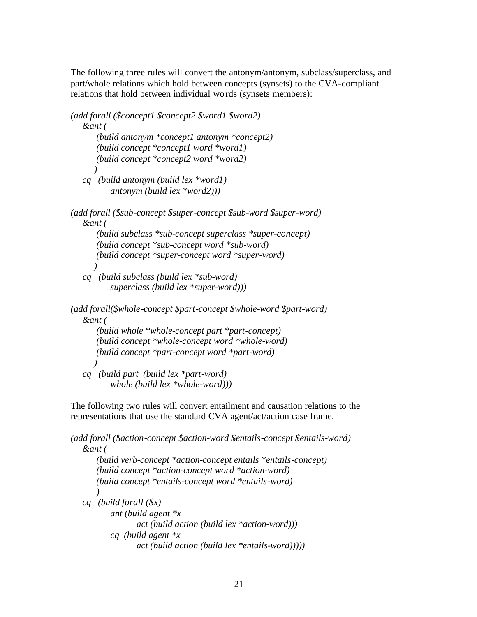The following three rules will convert the antonym/antonym, subclass/superclass, and part/whole relations which hold between concepts (synsets) to the CVA-compliant relations that hold between individual words (synsets members):

```
(add forall ($concept1 $concept2 $word1 $word2)
    &ant (
       (build antonym *concept1 antonym *concept2)
       (build concept *concept1 word *word1)
       (build concept *concept2 word *word2)
 )
    cq (build antonym (build lex *word1)
           antonym (build lex *word2)))
(add forall ($sub-concept $super-concept $sub-word $super-word)
    &ant (
       (build subclass *sub-concept superclass *super-concept)
       (build concept *sub-concept word *sub-word)
       (build concept *super-concept word *super-word)
       )
    cq (build subclass (build lex *sub-word)
           superclass (build lex *super-word)))
(add forall($whole-concept $part-concept $whole-word $part-word)
    &ant (
       (build whole *whole-concept part *part-concept)
       (build concept *whole-concept word *whole-word)
       (build concept *part-concept word *part-word)
 )
```
 *cq (build part (build lex \*part-word) whole (build lex \*whole-word)))*

The following two rules will convert entailment and causation relations to the representations that use the standard CVA agent/act/action case frame.

```
(add forall ($action-concept $action-word $entails-concept $entails-word)
    &ant (
       (build verb-concept *action-concept entails *entails-concept)
       (build concept *action-concept word *action-word)
       (build concept *entails-concept word *entails-word)
 )
    cq (build forall ($x)
           ant (build agent *x
                  act (build action (build lex *action-word)))
           cq (build agent *x
                  act (build action (build lex *entails-word)))))
```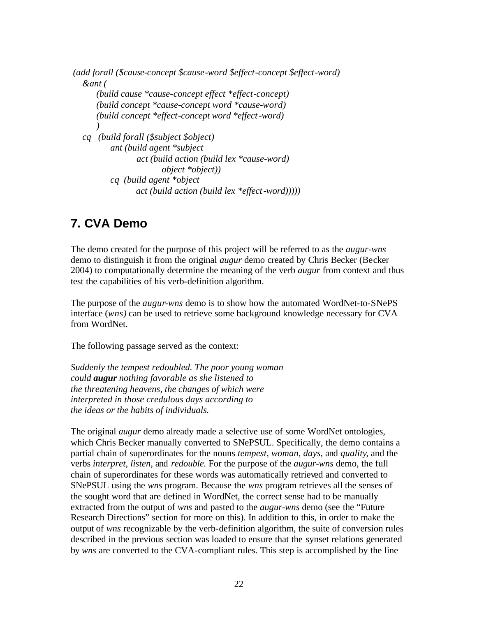```
 (add forall ($cause-concept $cause-word $effect-concept $effect-word)
   &ant (
       (build cause *cause-concept effect *effect-concept)
       (build concept *cause-concept word *cause-word)
       (build concept *effect-concept word *effect-word)
 )
   cq (build forall ($subject $object)
           ant (build agent *subject
                  act (build action (build lex *cause-word)
                         object *object))
           cq (build agent *object
                  act (build action (build lex *effect-word)))))
```
## **7. CVA Demo**

The demo created for the purpose of this project will be referred to as the *augur-wns* demo to distinguish it from the original *augur* demo created by Chris Becker (Becker 2004) to computationally determine the meaning of the verb *augur* from context and thus test the capabilities of his verb-definition algorithm.

The purpose of the *augur-wns* demo is to show how the automated WordNet-to-SNePS interface (*wns)* can be used to retrieve some background knowledge necessary for CVA from WordNet.

The following passage served as the context:

*Suddenly the tempest redoubled. The poor young woman could augur nothing favorable as she listened to the threatening heavens, the changes of which were interpreted in those credulous days according to the ideas or the habits of individuals.*

The original *augur* demo already made a selective use of some WordNet ontologies, which Chris Becker manually converted to SNePSUL. Specifically, the demo contains a partial chain of superordinates for the nouns *tempest, woman, days,* and *quality*, and the verbs *interpret, listen,* and *redouble.* For the purpose of the *augur-wns* demo, the full chain of superordinates for these words was automatically retrieved and converted to SNePSUL using the *wns* program. Because the *wns* program retrieves all the senses of the sought word that are defined in WordNet, the correct sense had to be manually extracted from the output of *wns* and pasted to the *augur-wns* demo (see the "Future Research Directions" section for more on this). In addition to this, in order to make the output of *wns* recognizable by the verb-definition algorithm, the suite of conversion rules described in the previous section was loaded to ensure that the synset relations generated by *wns* are converted to the CVA-compliant rules. This step is accomplished by the line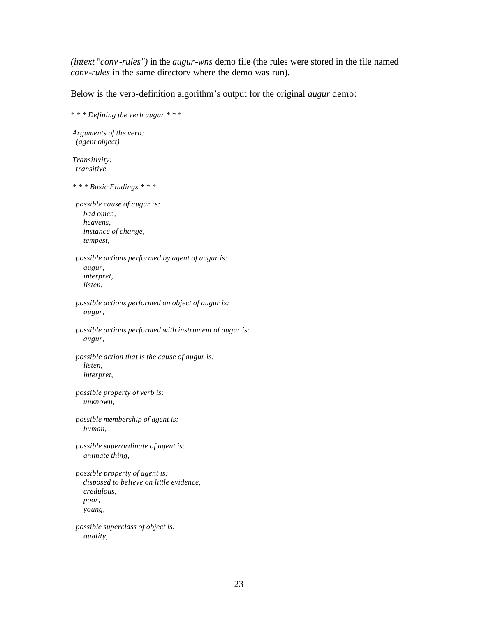*(intext "conv -rules")* in the *augur-wns* demo file (the rules were stored in the file named *conv-rules* in the same directory where the demo was run).

Below is the verb-definition algorithm's output for the original *augur* demo:

*\* \* \* Defining the verb augur \* \* \* Arguments of the verb: (agent object) Transitivity: transitive \* \* \* Basic Findings \* \* \* possible cause of augur is: bad omen, heavens, instance of change, tempest, possible actions performed by agent of augur is: augur, interpret, listen, possible actions performed on object of augur is: augur, possible actions performed with instrument of augur is: augur, possible action that is the cause of augur is: listen, interpret, possible property of verb is: unknown, possible membership of agent is: human, possible superordinate of agent is: animate thing, possible property of agent is: disposed to believe on little evidence, credulous, poor, young, possible superclass of object is: quality,*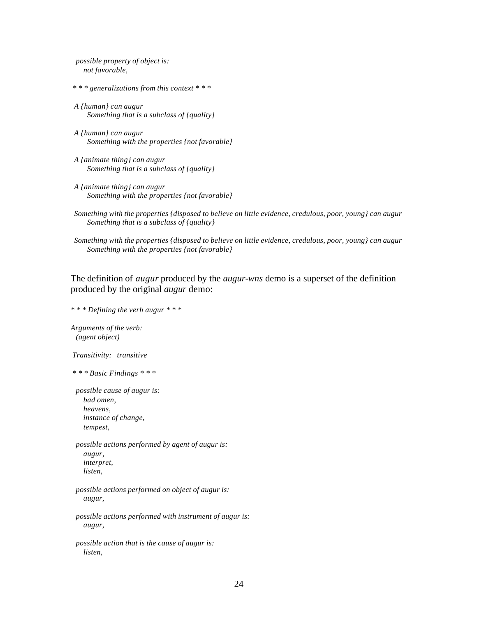*possible property of object is: not favorable,* 

 *\* \* \* generalizations from this context \* \* \** 

 *A {human} can augur Something that is a subclass of {quality}* 

 *A {human} can augur Something with the properties {not favorable}* 

 *A {animate thing} can augur Something that is a subclass of {quality}* 

 *A {animate thing} can augur Something with the properties {not favorable}* 

 *Something with the properties {disposed to believe on little evidence, credulous, poor, young} can augur Something that is a subclass of {quality}* 

 *Something with the properties {disposed to believe on little evidence, credulous, poor, young} can augur Something with the properties {not favorable}* 

The definition of *augur* produced by the *augur-wns* demo is a superset of the definition produced by the original *augur* demo:

*\* \* \* Defining the verb augur \* \* \* Arguments of the verb: (agent object) Transitivity: transitive \* \* \* Basic Findings \* \* \* possible cause of augur is: bad omen, heavens, instance of change, tempest, possible actions performed by agent of augur is: augur, interpret, listen, possible actions performed on object of augur is: augur, possible actions performed with instrument of augur is: augur,* 

 *possible action that is the cause of augur is: listen,*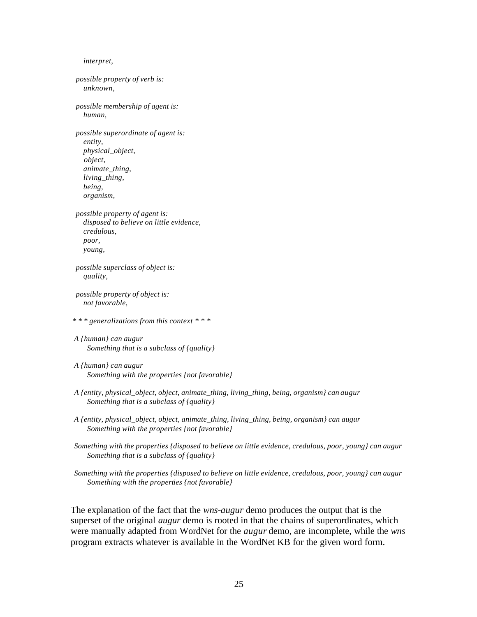*interpret, possible property of verb is: unknown, possible membership of agent is: human, possible superordinate of agent is: entity, physical\_object, object, animate\_thing, living\_thing, being, organism, possible property of agent is: disposed to believe on little evidence, credulous, poor, young, possible superclass of object is: quality, possible property of object is: not favorable, \* \* \* generalizations from this context \* \* \* A {human} can augur Something that is a subclass of {quality} A {human} can augur Something with the properties {not favorable} A {entity, physical\_object, object, animate\_thing, living\_thing, being, organism} can augur Something that is a subclass of {quality} A {entity, physical\_object, object, animate\_thing, living\_thing, being, organism} can augur Something with the properties {not favorable} Something with the properties {disposed to believe on little evidence, credulous, poor, young} can augur Something that is a subclass of {quality} Something with the properties {disposed to believe on little evidence, credulous, poor, young} can augur Something with the properties {not favorable}*

The explanation of the fact that the *wns-augur* demo produces the output that is the superset of the original *augur* demo is rooted in that the chains of superordinates, which were manually adapted from WordNet for the *augur* demo, are incomplete, while the *wns* program extracts whatever is available in the WordNet KB for the given word form.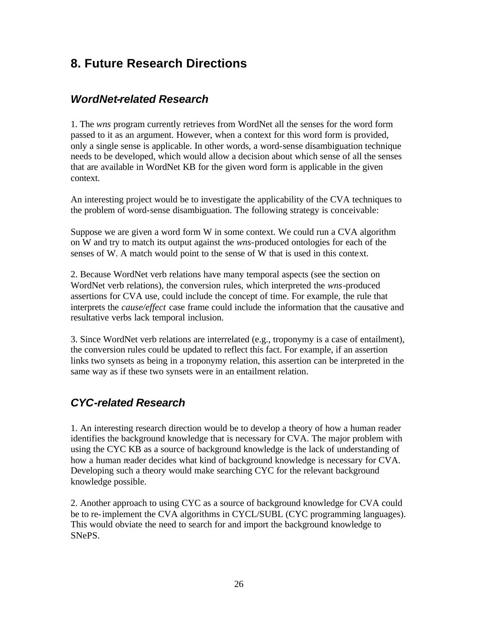# **8. Future Research Directions**

## *WordNet-related Research*

1. The *wns* program currently retrieves from WordNet all the senses for the word form passed to it as an argument. However, when a context for this word form is provided, only a single sense is applicable. In other words, a word-sense disambiguation technique needs to be developed, which would allow a decision about which sense of all the senses that are available in WordNet KB for the given word form is applicable in the given context.

An interesting project would be to investigate the applicability of the CVA techniques to the problem of word-sense disambiguation. The following strategy is conceivable:

Suppose we are given a word form W in some context. We could run a CVA algorithm on W and try to match its output against the *wns*-produced ontologies for each of the senses of W. A match would point to the sense of W that is used in this context.

2. Because WordNet verb relations have many temporal aspects (see the section on WordNet verb relations), the conversion rules, which interpreted the *wns-*produced assertions for CVA use, could include the concept of time. For example, the rule that interprets the *cause/effect* case frame could include the information that the causative and resultative verbs lack temporal inclusion.

3. Since WordNet verb relations are interrelated (e.g., troponymy is a case of entailment), the conversion rules could be updated to reflect this fact. For example, if an assertion links two synsets as being in a troponymy relation, this assertion can be interpreted in the same way as if these two synsets were in an entailment relation.

## *CYC-related Research*

1. An interesting research direction would be to develop a theory of how a human reader identifies the background knowledge that is necessary for CVA. The major problem with using the CYC KB as a source of background knowledge is the lack of understanding of how a human reader decides what kind of background knowledge is necessary for CVA. Developing such a theory would make searching CYC for the relevant background knowledge possible.

2. Another approach to using CYC as a source of background knowledge for CVA could be to re-implement the CVA algorithms in CYCL/SUBL (CYC programming languages). This would obviate the need to search for and import the background knowledge to SNePS.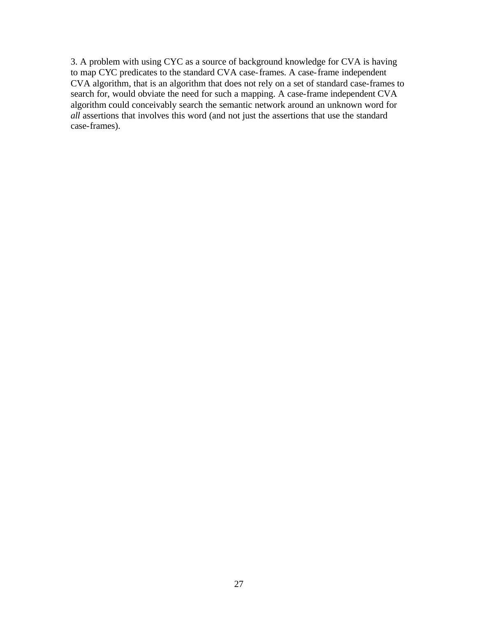3. A problem with using CYC as a source of background knowledge for CVA is having to map CYC predicates to the standard CVA case-frames. A case-frame independent CVA algorithm, that is an algorithm that does not rely on a set of standard case-frames to search for, would obviate the need for such a mapping. A case-frame independent CVA algorithm could conceivably search the semantic network around an unknown word for *all* assertions that involves this word (and not just the assertions that use the standard case-frames).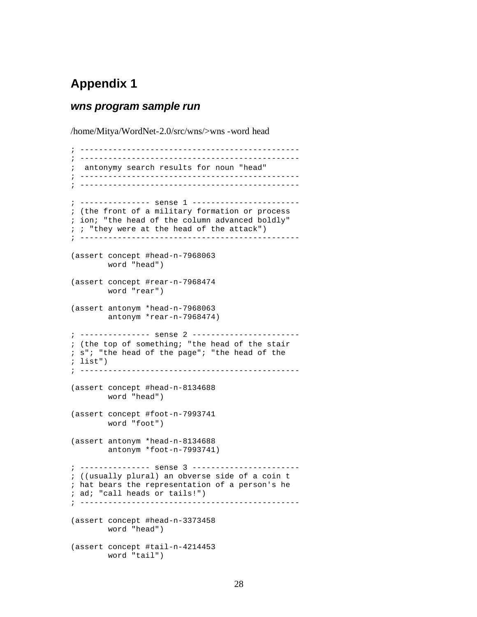# **Appendix 1**

#### *wns program sample run*

/home/Mitya/WordNet-2.0/src/wns/>wns -word head

; ----------------------------------------------- ; ----------------------------------------------- ; antonymy search results for noun "head" ; ----------------------------------------------- ; ----------------------------------------------- ; --------------- sense 1 ----------------------- ; (the front of a military formation or process ; ion; "the head of the column advanced boldly"  $i$  ; "they were at the head of the attack") ; ----------------------------------------------- (assert concept #head-n-7968063 word "head") (assert concept #rear-n-7968474 word "rear") (assert antonym \*head-n-7968063 antonym \*rear-n-7968474) ; --------------- sense 2 ----------------------- ; (the top of something; "the head of the stair ; s"; "the head of the page"; "the head of the ; list") ; ----------------------------------------------- (assert concept #head-n-8134688 word "head") (assert concept #foot-n-7993741 word "foot") (assert antonym \*head-n-8134688 antonym \*foot-n-7993741) ; --------------- sense 3 ----------------------- ; ((usually plural) an obverse side of a coin t ; hat bears the representation of a person's he ; ad; "call heads or tails!") ; ----------------------------------------------- (assert concept #head-n-3373458 word "head") (assert concept #tail-n-4214453 word "tail")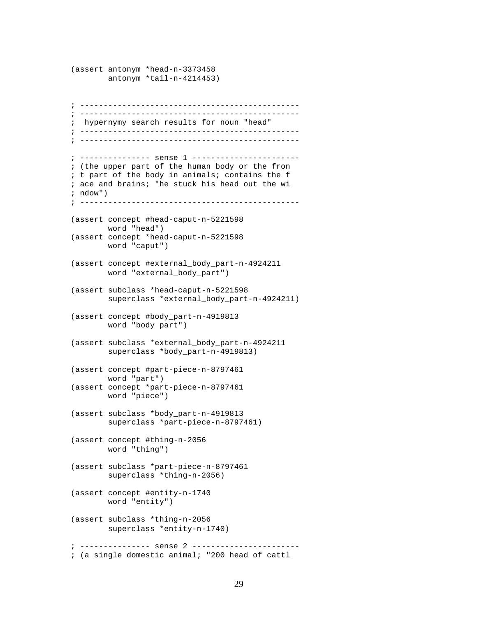(assert antonym \*head-n-3373458 antonym \*tail-n-4214453) ; ----------------------------------------------- ; ----------------------------------------------- ; hypernymy search results for noun "head" ; ----------------------------------------------- ; ----------------------------------------------- ; --------------- sense 1 ----------------------- ; (the upper part of the human body or the fron ; t part of the body in animals; contains the f ; ace and brains; "he stuck his head out the wi ; ndow") ; ----------------------------------------------- (assert concept #head-caput-n-5221598 word "head") (assert concept \*head-caput-n-5221598 word "caput") (assert concept #external\_body\_part-n-4924211 word "external\_body\_part") (assert subclass \*head-caput-n-5221598 superclass \*external\_body\_part-n-4924211) (assert concept #body\_part-n-4919813 word "body\_part") (assert subclass \*external\_body\_part-n-4924211 superclass \*body\_part-n-4919813) (assert concept #part-piece-n-8797461 word "part") (assert concept \*part-piece-n-8797461 word "piece") (assert subclass \*body\_part-n-4919813 superclass \*part-piece-n-8797461) (assert concept #thing-n-2056 word "thing") (assert subclass \*part-piece-n-8797461 superclass \*thing-n-2056) (assert concept #entity-n-1740 word "entity") (assert subclass \*thing-n-2056 superclass \*entity-n-1740) ; --------------- sense 2 ----------------------- ; (a single domestic animal; "200 head of cattl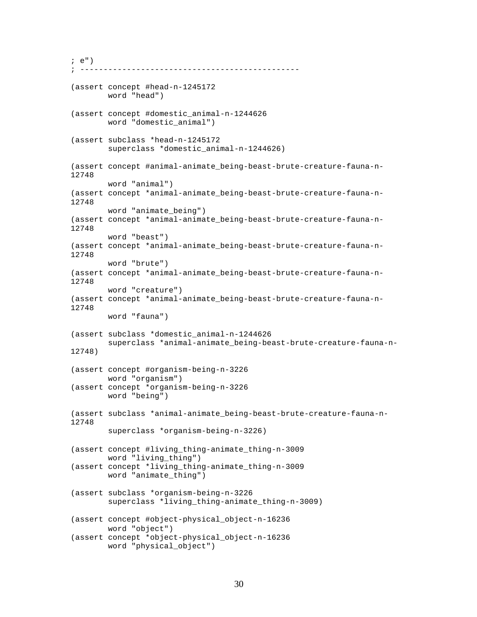```
; e")
     ; -----------------------------------------------
(assert concept #head-n-1245172
         word "head")
(assert concept #domestic_animal-n-1244626
         word "domestic_animal")
(assert subclass *head-n-1245172
         superclass *domestic_animal-n-1244626)
(assert concept #animal-animate_being-beast-brute-creature-fauna-n-
12748
         word "animal")
(assert concept *animal-animate_being-beast-brute-creature-fauna-n-
12748
         word "animate_being")
(assert concept *animal-animate_being-beast-brute-creature-fauna-n-
12748
         word "beast")
(assert concept *animal-animate_being-beast-brute-creature-fauna-n-
12748
         word "brute")
(assert concept *animal-animate_being-beast-brute-creature-fauna-n-
12748
         word "creature")
(assert concept *animal-animate_being-beast-brute-creature-fauna-n-
12748
         word "fauna")
(assert subclass *domestic_animal-n-1244626
         superclass *animal-animate_being-beast-brute-creature-fauna-n-
12748)
(assert concept #organism-being-n-3226
         word "organism")
(assert concept *organism-being-n-3226
         word "being")
(assert subclass *animal-animate_being-beast-brute-creature-fauna-n-
12748
         superclass *organism-being-n-3226)
(assert concept #living_thing-animate_thing-n-3009
         word "living_thing")
(assert concept *living_thing-animate_thing-n-3009
         word "animate_thing")
(assert subclass *organism-being-n-3226
         superclass *living_thing-animate_thing-n-3009)
(assert concept #object-physical_object-n-16236
         word "object")
(assert concept *object-physical_object-n-16236
         word "physical_object")
```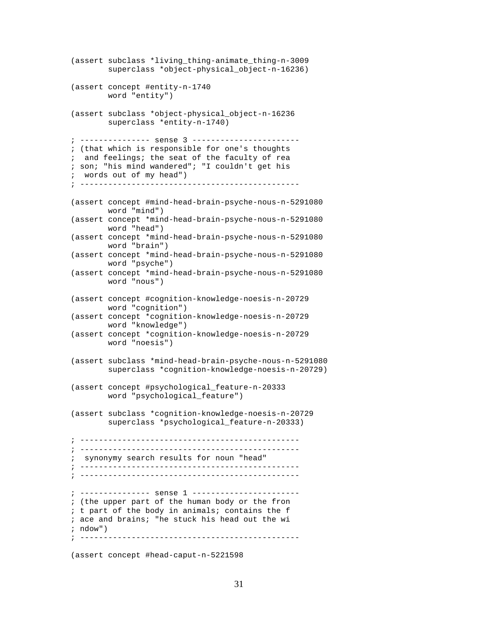```
(assert subclass *living_thing-animate_thing-n-3009
        superclass *object-physical object-n-16236)
(assert concept #entity-n-1740
        word "entity")
(assert subclass *object-physical_object-n-16236
         superclass *entity-n-1740)
; --------------- sense 3 -----------------------
; (that which is responsible for one's thoughts
; and feelings; the seat of the faculty of rea
; son; "his mind wandered"; "I couldn't get his
; words out of my head")
; -----------------------------------------------
(assert concept #mind-head-brain-psyche-nous-n-5291080
        word "mind")
(assert concept *mind-head-brain-psyche-nous-n-5291080
        word "head")
(assert concept *mind-head-brain-psyche-nous-n-5291080
        word "brain")
(assert concept *mind-head-brain-psyche-nous-n-5291080
        word "psyche")
(assert concept *mind-head-brain-psyche-nous-n-5291080
        word "nous")
(assert concept #cognition-knowledge-noesis-n-20729
        word "cognition")
(assert concept *cognition-knowledge-noesis-n-20729
        word "knowledge")
(assert concept *cognition-knowledge-noesis-n-20729
        word "noesis")
(assert subclass *mind-head-brain-psyche-nous-n-5291080
        superclass *cognition-knowledge-noesis-n-20729)
(assert concept #psychological_feature-n-20333
        word "psychological_feature")
(assert subclass *cognition-knowledge-noesis-n-20729
         superclass *psychological_feature-n-20333)
; -----------------------------------------------
; -----------------------------------------------
; synonymy search results for noun "head"
; -----------------------------------------------
; -----------------------------------------------
; --------------- sense 1 -----------------------
; (the upper part of the human body or the fron
; t part of the body in animals; contains the f
; ace and brains; "he stuck his head out the wi
; ndow")
; -----------------------------------------------
```
(assert concept #head-caput-n-5221598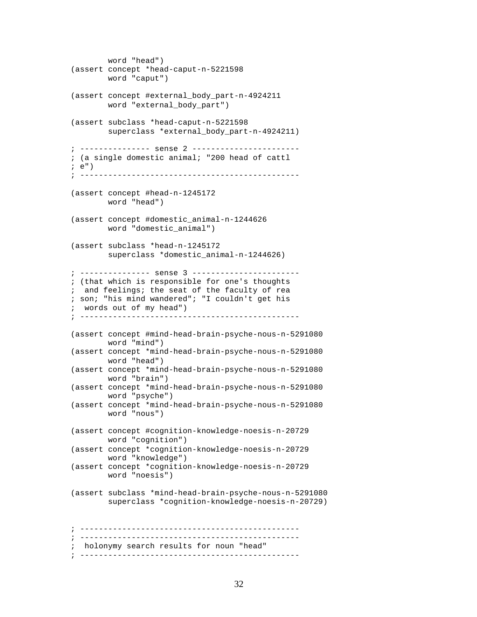```
 word "head")
(assert concept *head-caput-n-5221598
        word "caput")
(assert concept #external_body_part-n-4924211
        word "external_body_part")
(assert subclass *head-caput-n-5221598
        superclass *external_body_part-n-4924211)
; --------------- sense 2 -----------------------
; (a single domestic animal; "200 head of cattl
; e")
; -----------------------------------------------
(assert concept #head-n-1245172
        word "head")
(assert concept #domestic_animal-n-1244626
        word "domestic_animal")
(assert subclass *head-n-1245172
       superclass *domestic_animal-n-1244626)
; --------------- sense 3 -----------------------
; (that which is responsible for one's thoughts
; and feelings; the seat of the faculty of rea
; son; "his mind wandered"; "I couldn't get his
; words out of my head")
; -----------------------------------------------
(assert concept #mind-head-brain-psyche-nous-n-5291080
        word "mind")
(assert concept *mind-head-brain-psyche-nous-n-5291080
        word "head")
(assert concept *mind-head-brain-psyche-nous-n-5291080
        word "brain")
(assert concept *mind-head-brain-psyche-nous-n-5291080
        word "psyche")
(assert concept *mind-head-brain-psyche-nous-n-5291080
        word "nous")
(assert concept #cognition-knowledge-noesis-n-20729
        word "cognition")
(assert concept *cognition-knowledge-noesis-n-20729
        word "knowledge")
(assert concept *cognition-knowledge-noesis-n-20729
        word "noesis")
(assert subclass *mind-head-brain-psyche-nous-n-5291080
        superclass *cognition-knowledge-noesis-n-20729)
; -----------------------------------------------
; -----------------------------------------------
; holonymy search results for noun "head"
; -----------------------------------------------
```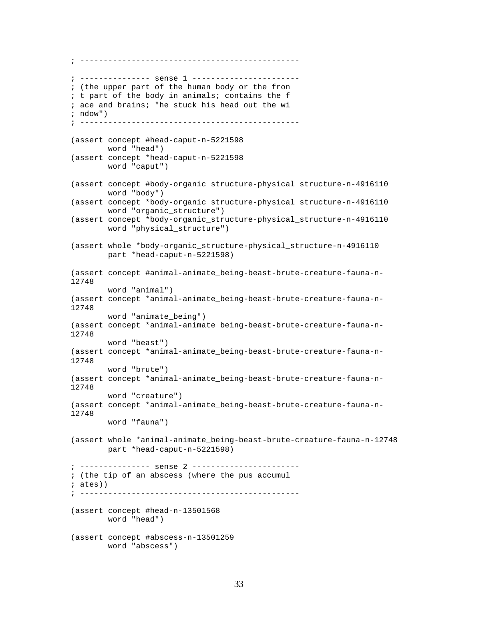```
; -----------------------------------------------
; --------------- sense 1 -----------------------
; (the upper part of the human body or the fron
; t part of the body in animals; contains the f
; ace and brains; "he stuck his head out the wi
; ndow")
; -----------------------------------------------
(assert concept #head-caput-n-5221598
        word "head")
(assert concept *head-caput-n-5221598
        word "caput")
(assert concept #body-organic_structure-physical_structure-n-4916110
         word "body")
(assert concept *body-organic_structure-physical_structure-n-4916110
        word "organic_structure")
(assert concept *body-organic_structure-physical_structure-n-4916110
        word "physical_structure")
(assert whole *body-organic_structure-physical_structure-n-4916110
        part *head-caput-n-5221598)
(assert concept #animal-animate_being-beast-brute-creature-fauna-n-
12748
         word "animal")
(assert concept *animal-animate_being-beast-brute-creature-fauna-n-
12748
         word "animate_being")
(assert concept *animal-animate_being-beast-brute-creature-fauna-n-
12748
         word "beast")
(assert concept *animal-animate_being-beast-brute-creature-fauna-n-
12748
        word "brute")
(assert concept *animal-animate_being-beast-brute-creature-fauna-n-
12748
         word "creature")
(assert concept *animal-animate_being-beast-brute-creature-fauna-n-
12748
         word "fauna")
(assert whole *animal-animate_being-beast-brute-creature-fauna-n-12748
         part *head-caput-n-5221598)
; --------------- sense 2 -----------------------
; (the tip of an abscess (where the pus accumul
; ates))
 ; -----------------------------------------------
(assert concept #head-n-13501568
        word "head")
(assert concept #abscess-n-13501259
         word "abscess")
```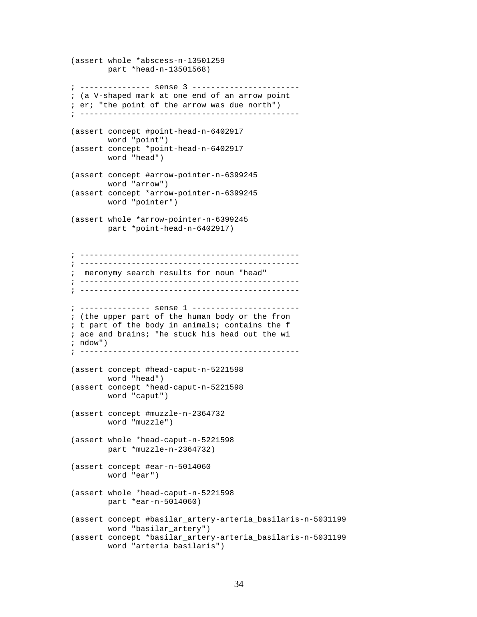```
(assert whole *abscess-n-13501259
        part *head-n-13501568)
; --------------- sense 3 -----------------------
; (a V-shaped mark at one end of an arrow point
; er; "the point of the arrow was due north")
; -----------------------------------------------
(assert concept #point-head-n-6402917
        word "point")
(assert concept *point-head-n-6402917
        word "head")
(assert concept #arrow-pointer-n-6399245
        word "arrow")
(assert concept *arrow-pointer-n-6399245
        word "pointer")
(assert whole *arrow-pointer-n-6399245
        part *point-head-n-6402917)
; -----------------------------------------------
; -----------------------------------------------
; meronymy search results for noun "head"
; -----------------------------------------------
; -----------------------------------------------
; --------------- sense 1 -----------------------
; (the upper part of the human body or the fron
; t part of the body in animals; contains the f
; ace and brains; "he stuck his head out the wi
; ndow")
; -----------------------------------------------
(assert concept #head-caput-n-5221598
        word "head")
(assert concept *head-caput-n-5221598
        word "caput")
(assert concept #muzzle-n-2364732
        word "muzzle")
(assert whole *head-caput-n-5221598
        part *muzzle-n-2364732)
(assert concept #ear-n-5014060
        word "ear")
(assert whole *head-caput-n-5221598
        part *ear-n-5014060)
(assert concept #basilar_artery-arteria_basilaris-n-5031199
        word "basilar_artery")
(assert concept *basilar_artery-arteria_basilaris-n-5031199
        word "arteria_basilaris")
```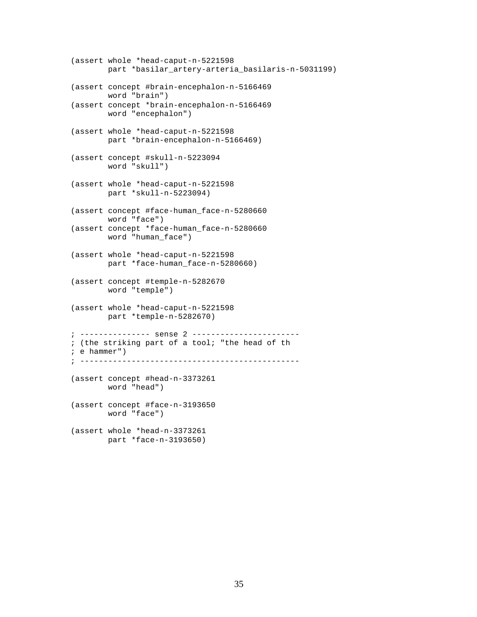```
(assert whole *head-caput-n-5221598
        part *basilar_artery-arteria_basilaris-n-5031199)
(assert concept #brain-encephalon-n-5166469
        word "brain")
(assert concept *brain-encephalon-n-5166469
        word "encephalon")
(assert whole *head-caput-n-5221598
        part *brain-encephalon-n-5166469)
(assert concept #skull-n-5223094
        word "skull")
(assert whole *head-caput-n-5221598
        part *skull-n-5223094)
(assert concept #face-human_face-n-5280660
        word "face")
(assert concept *face-human_face-n-5280660
        word "human_face")
(assert whole *head-caput-n-5221598
        part *face-human_face-n-5280660)
(assert concept #temple-n-5282670
        word "temple")
(assert whole *head-caput-n-5221598
        part *temple-n-5282670)
; --------------- sense 2 -----------------------
; (the striking part of a tool; "the head of th
; e hammer")
; -----------------------------------------------
(assert concept #head-n-3373261
        word "head")
(assert concept #face-n-3193650
        word "face")
(assert whole *head-n-3373261
        part *face-n-3193650)
```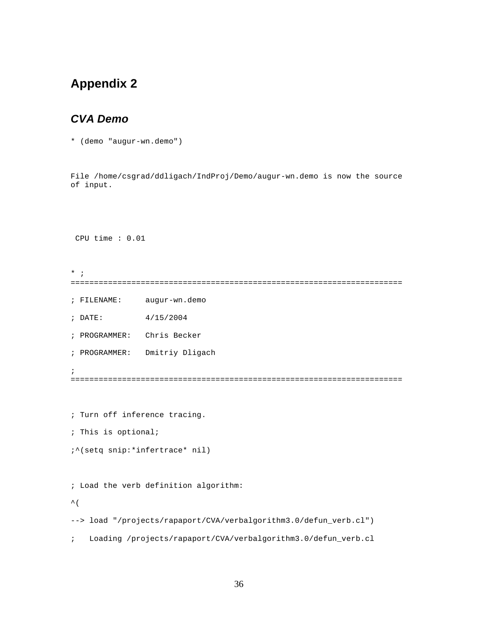# **Appendix 2**

### *CVA Demo*

\* (demo "augur-wn.demo")

File /home/csgrad/ddligach/IndProj/Demo/augur-wn.demo is now the source of input.

CPU time : 0.01

 $*$  ; =======================================================================

- ; FILENAME: augur-wn.demo
- ; DATE: 4/15/2004
- ; PROGRAMMER: Chris Becker
- ; PROGRAMMER: Dmitriy Dligach
- ;

=======================================================================

; Turn off inference tracing.

; This is optional;

```
;^(setq snip:*infertrace* nil)
```
; Load the verb definition algorithm:

 $\hat{\mathcal{L}}$ 

--> load "/projects/rapaport/CVA/verbalgorithm3.0/defun\_verb.cl")

; Loading /projects/rapaport/CVA/verbalgorithm3.0/defun\_verb.cl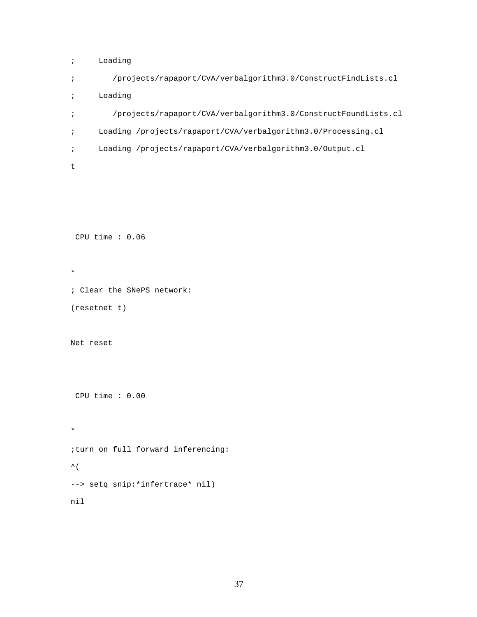```
; Loading
; /projects/rapaport/CVA/verbalgorithm3.0/ConstructFindLists.cl
```

```
; Loading
; /projects/rapaport/CVA/verbalgorithm3.0/ConstructFoundLists.cl
; Loading /projects/rapaport/CVA/verbalgorithm3.0/Processing.cl
; Loading /projects/rapaport/CVA/verbalgorithm3.0/Output.cl
t
```
CPU time : 0.06

```
; Clear the SNePS network:
(resetnet t)
```
Net reset

\*

CPU time : 0.00

\* ;turn on full forward inferencing:  $\hat{\mathcal{L}}$  ( --> setq snip:\*infertrace\* nil) nil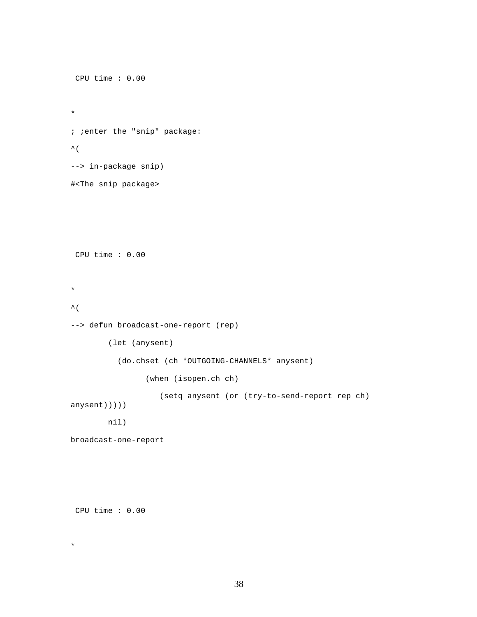```
 CPU time : 0.00 
* 
; ;enter the "snip" package:
\hat{\mathcal{L}}--> in-package snip)
#<The snip package>
 CPU time : 0.00 
* 
\hat{\mathcal{L}}--> defun broadcast-one-report (rep)
         (let (anysent)
            (do.chset (ch *OUTGOING-CHANNELS* anysent)
                  (when (isopen.ch ch)
                      (setq anysent (or (try-to-send-report rep ch) 
anysent)))))
         nil)
broadcast-one-report
```

```
 CPU time : 0.00
```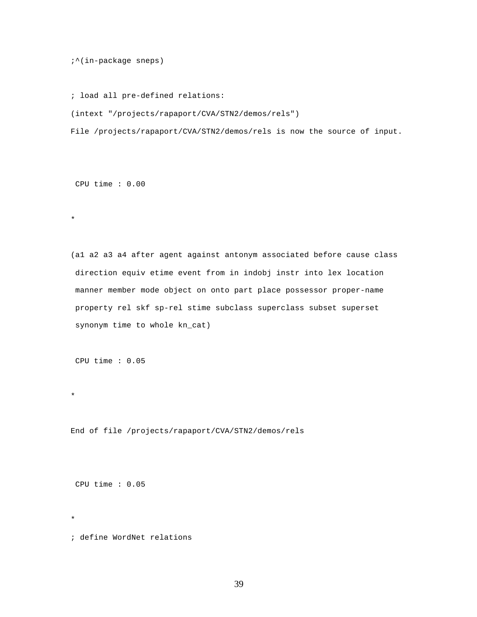;^(in-package sneps)

; load all pre-defined relations:

(intext "/projects/rapaport/CVA/STN2/demos/rels")

File /projects/rapaport/CVA/STN2/demos/rels is now the source of input.

CPU time : 0.00

\*

(a1 a2 a3 a4 after agent against antonym associated before cause class direction equiv etime event from in indobj instr into lex location manner member mode object on onto part place possessor proper-name property rel skf sp-rel stime subclass superclass subset superset synonym time to whole kn\_cat)

CPU time : 0.05

End of file /projects/rapaport/CVA/STN2/demos/rels

CPU time : 0.05

\*

\*

; define WordNet relations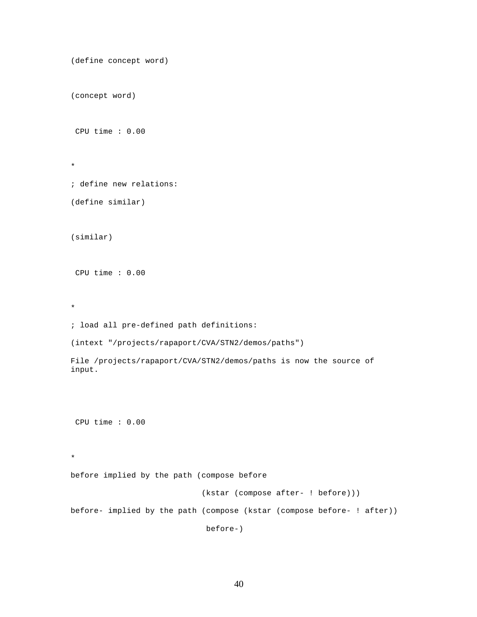```
(define concept word)
(concept word)
 CPU time : 0.00 
* 
; define new relations:
(define similar)
(similar)
 CPU time : 0.00 
* 
; load all pre-defined path definitions:
(intext "/projects/rapaport/CVA/STN2/demos/paths")
File /projects/rapaport/CVA/STN2/demos/paths is now the source of 
input.
 CPU time : 0.00 
* 
before implied by the path (compose before
                              (kstar (compose after- ! before)))
before- implied by the path (compose (kstar (compose before- ! after))
                               before-)
```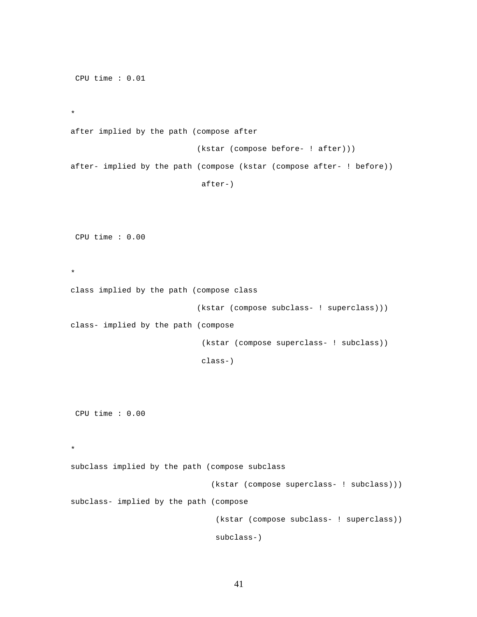CPU time : 0.01 \* after implied by the path (compose after (kstar (compose before- ! after))) after- implied by the path (compose (kstar (compose after- ! before)) after-) CPU time : 0.00 \* class implied by the path (compose class (kstar (compose subclass- ! superclass))) class- implied by the path (compose (kstar (compose superclass- ! subclass)) class-) CPU time : 0.00 \* subclass implied by the path (compose subclass (kstar (compose superclass- ! subclass))) subclass- implied by the path (compose (kstar (compose subclass- ! superclass)) subclass-)

41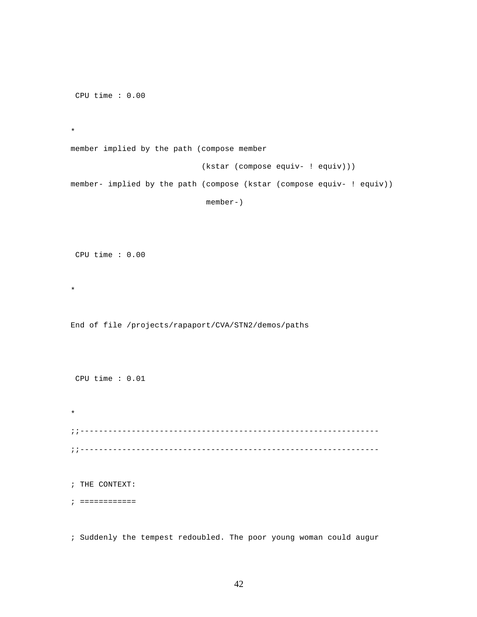CPU time : 0.00

\*

\*

\*

member implied by the path (compose member (kstar (compose equiv- ! equiv))) member- implied by the path (compose (kstar (compose equiv- ! equiv)) member-)

CPU time : 0.00

End of file /projects/rapaport/CVA/STN2/demos/paths

CPU time : 0.01

;;---------------------------------------------------------------- ;;----------------------------------------------------------------

; THE CONTEXT:

; ============

; Suddenly the tempest redoubled. The poor young woman could augur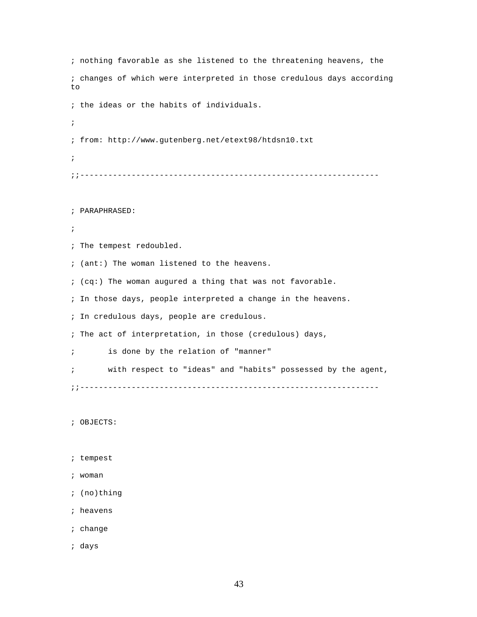; nothing favorable as she listened to the threatening heavens, the ; changes of which were interpreted in those credulous days according to ; the ideas or the habits of individuals. ; ; from: http://www.gutenberg.net/etext98/htdsn10.txt ; ;;---------------------------------------------------------------- ; PARAPHRASED: ; ; The tempest redoubled. ; (ant:) The woman listened to the heavens. ; (cq:) The woman augured a thing that was not favorable. ; In those days, people interpreted a change in the heavens. ; In credulous days, people are credulous. ; The act of interpretation, in those (credulous) days, ; is done by the relation of "manner" ; with respect to "ideas" and "habits" possessed by the agent, ;;---------------------------------------------------------------- ; OBJECTS: ; tempest ; woman ; (no)thing ; heavens ; change

; days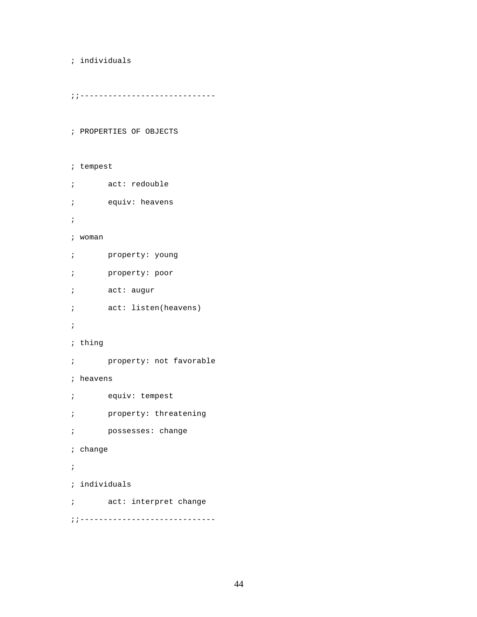```
; individuals
```
; tempest

```
; ; ------------------------------
```
; PROPERTIES OF OBJECTS

```
; act: redouble
; equiv: heavens
; 
; woman
; property: young
; property: poor
; act: augur
; act: listen(heavens)
; 
; thing
; property: not favorable
; heavens
; equiv: tempest
; property: threatening
; possesses: change
; change
; 
; individuals
; act: interpret change
; ; -------------------------------
```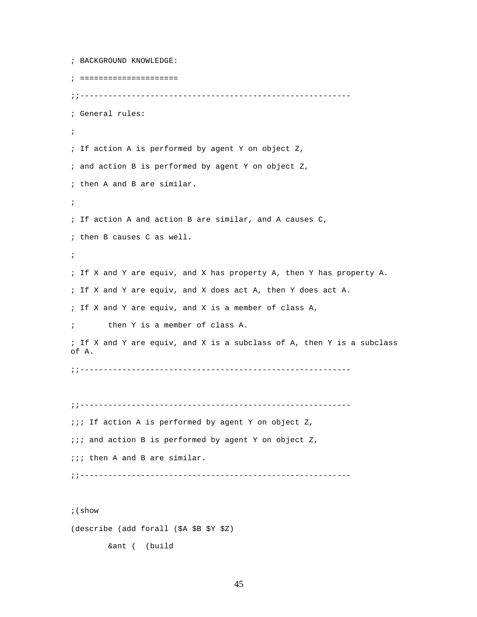```
; BACKGROUND KNOWLEDGE:
; =====================
;;----------------------------------------------------------
; General rules:
; 
; If action A is performed by agent Y on object Z,
; and action B is performed by agent Y on object Z,
; then A and B are similar. 
; 
; If action A and action B are similar, and A causes C, 
; then B causes C as well. 
;
; If X and Y are equiv, and X has property A, then Y has property A.
; If X and Y are equiv, and X does act A, then Y does act A.
; If X and Y are equiv, and X is a member of class A,
; then Y is a member of class A.
; If X and Y are equiv, and X is a subclass of A, then Y is a subclass 
of A.
;;----------------------------------------------------------
;;----------------------------------------------------------
;;; If action A is performed by agent Y on object Z,
i:i and action B is performed by agent Y on object Z,
;;; then A and B are similar. 
;;----------------------------------------------------------
```
;(show

(describe (add forall (\$A \$B \$Y \$Z)

&ant ( (build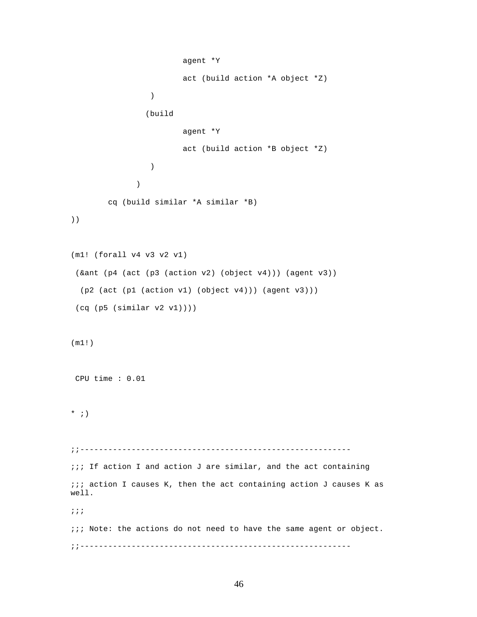```
 agent *Y 
                        act (build action *A object *Z)
 )
                (build 
                        agent *Y 
                        act (build action *B object *Z)
 ) 
 )
        cq (build similar *A similar *B)
))
(m1! (forall v4 v3 v2 v1)
  (&ant (p4 (act (p3 (action v2) (object v4))) (agent v3))
  (p2 (act (p1 (action v1) (object v4))) (agent v3)))
  (cq (p5 (similar v2 v1))))
(m1!)
 CPU time : 0.01 
* ; )
;;----------------------------------------------------------
;;; If action I and action J are similar, and the act containing
\cdots i; action I causes K, then the act containing action J causes K as
well. 
;;;
;;; Note: the actions do not need to have the same agent or object.
;;----------------------------------------------------------
```

```
46
```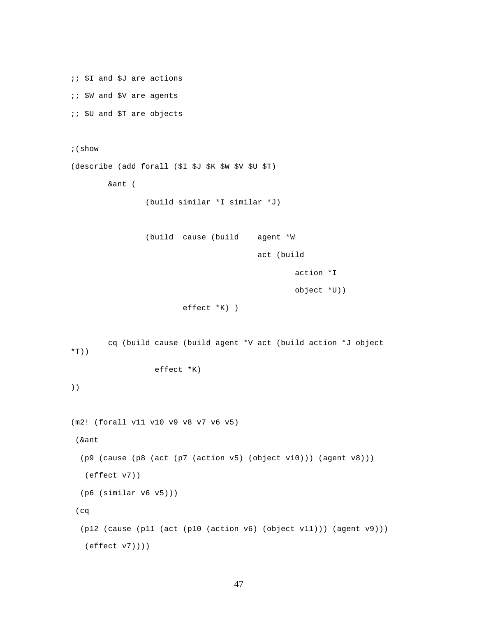```
;; $I and $J are actions
;; $W and $V are agents
;; $U and $T are objects
;(show
(describe (add forall ($I $J $K $W $V $U $T)
         &ant ( 
                 (build similar *I similar *J)
                 (build cause (build agent *W 
                                          act (build 
                                                   action *I 
                                                   object *U))
                          effect *K) )
         cq (build cause (build agent *V act (build action *J object 
*T))
                   effect *K)
))
(m2! (forall v11 v10 v9 v8 v7 v6 v5)
  (&ant
  (p9 (cause (p8 (act (p7 (action v5) (object v10))) (agent v8)))
   (effect v7))
   (p6 (similar v6 v5)))
  (cq
   (p12 (cause (p11 (act (p10 (action v6) (object v11))) (agent v9)))
   (effect v7))))
```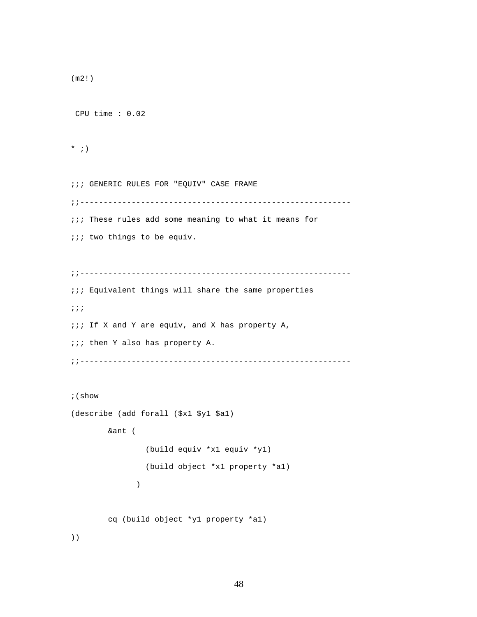```
(m2!)
 CPU time : 0.02 
* ; )
;;; GENERIC RULES FOR "EQUIV" CASE FRAME
;;----------------------------------------------------------
;;; These rules add some meaning to what it means for 
iii two things to be equiv.
;;----------------------------------------------------------
\cdots Equivalent things will share the same properties
;;;
;;; If X and Y are equiv, and X has property A, 
iii then Y also has property A.
;;----------------------------------------------------------
;(show
(describe (add forall ($x1 $y1 $a1)
         &ant ( 
                 (build equiv *x1 equiv *y1)
                 (build object *x1 property *a1) 
 )
         cq (build object *y1 property *a1)
))
```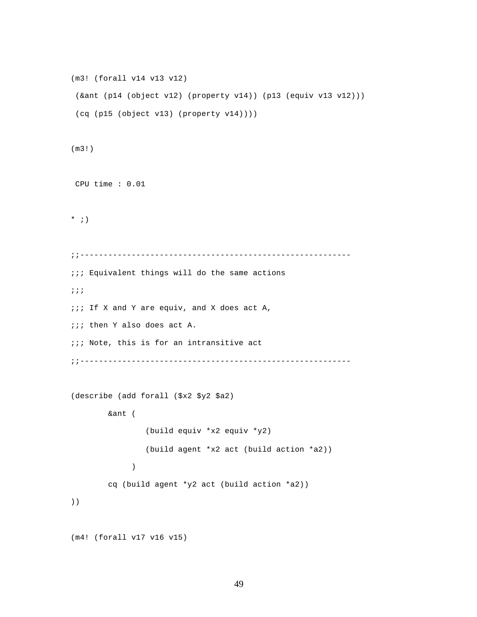```
(m3! (forall v14 v13 v12)
  (&ant (p14 (object v12) (property v14)) (p13 (equiv v13 v12)))
 (cq (p15 (object v13) (property v14))))
(m3!)
 CPU time : 0.01 
* ; )
;;----------------------------------------------------------
;;; Equivalent things will do the same actions
;;;
;;; If X and Y are equiv, and X does act A, 
;;; then Y also does act A.
;;; Note, this is for an intransitive act
;;----------------------------------------------------------
(describe (add forall ($x2 $y2 $a2)
         &ant ( 
                 (build equiv *x2 equiv *y2)
                 (build agent *x2 act (build action *a2)) 
 )
         cq (build agent *y2 act (build action *a2))
))
(m4! (forall v17 v16 v15)
```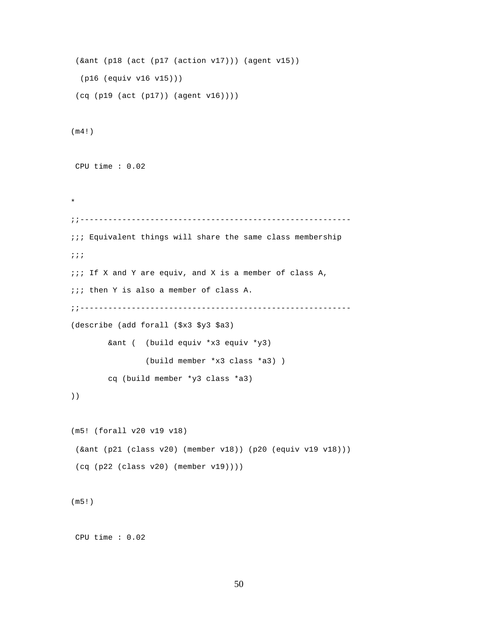```
 (&ant (p18 (act (p17 (action v17))) (agent v15))
  (p16 (equiv v16 v15)))
  (cq (p19 (act (p17)) (agent v16))))
(m4!)
 CPU time : 0.02 
* 
;;----------------------------------------------------------
;;; Equivalent things will share the same class membership
;;;
;;; If X and Y are equiv, and X is a member of class A, 
;;; then Y is also a member of class A.
;;----------------------------------------------------------
(describe (add forall ($x3 $y3 $a3)
         &ant ( (build equiv *x3 equiv *y3)
                 (build member *x3 class *a3) )
         cq (build member *y3 class *a3)
))
(m5! (forall v20 v19 v18)
  (&ant (p21 (class v20) (member v18)) (p20 (equiv v19 v18)))
 (cq (p22 (class v20) (member v19))))
(m5!)
```
CPU time : 0.02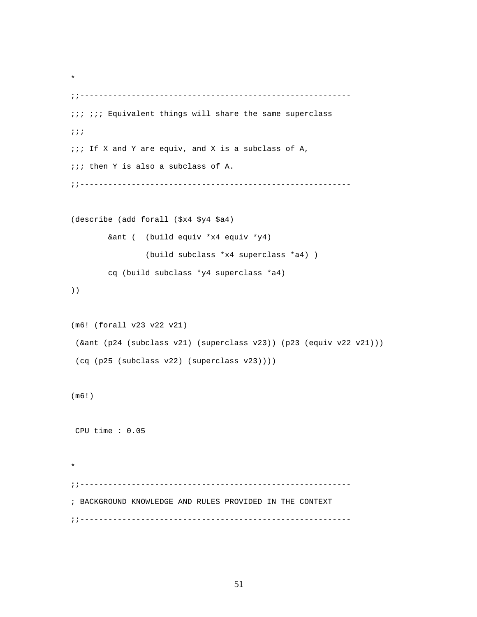```
;;----------------------------------------------------------
;;; ;;; Equivalent things will share the same superclass
;;;
;;; If X and Y are equiv, and X is a subclass of A, 
;;; then Y is also a subclass of A.
;;----------------------------------------------------------
(describe (add forall ($x4 $y4 $a4)
         &ant ( (build equiv *x4 equiv *y4)
                 (build subclass *x4 superclass *a4) )
         cq (build subclass *y4 superclass *a4)
))
(m6! (forall v23 v22 v21)
  (&ant (p24 (subclass v21) (superclass v23)) (p23 (equiv v22 v21)))
  (cq (p25 (subclass v22) (superclass v23))))
(m6!)
 CPU time : 0.05 
* 
;;----------------------------------------------------------
; BACKGROUND KNOWLEDGE AND RULES PROVIDED IN THE CONTEXT
;;----------------------------------------------------------
```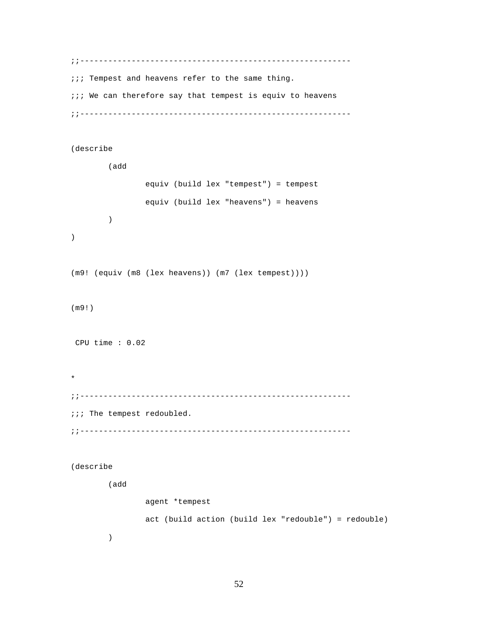;;--------------------------------------------------------- *iii* Tempest and heavens refer to the same thing.  $i:i$  We can therefore say that tempest is equiv to heavens ;;----------------------------------------------------------

(describe

 (add equiv (build lex "tempest") = tempest equiv (build lex "heavens") = heavens ) ) (m9! (equiv (m8 (lex heavens)) (m7 (lex tempest)))) (m9!) CPU time : 0.02 \* ;;---------------------------------------------------------- ;;; The tempest redoubled. ;;----------------------------------------------------------

(describe

(add

 agent \*tempest act (build action (build lex "redouble") = redouble) )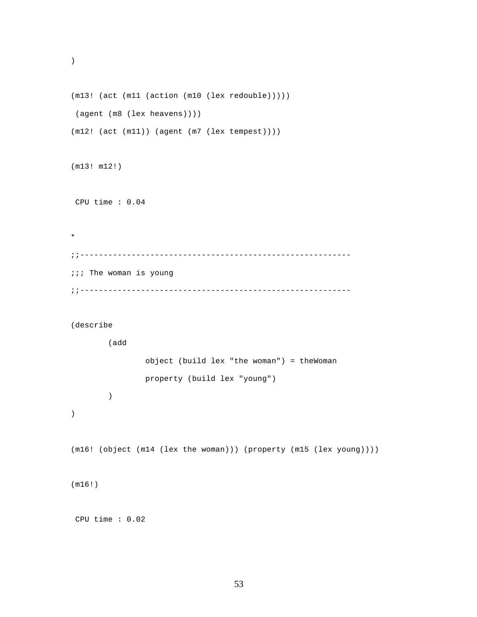```
(m13! (act (m11 (action (m10 (lex redouble)))))
 (agent (m8 (lex heavens))))
(m12! (act (m11)) (agent (m7 (lex tempest))))
```
(m13! m12!)

)

CPU time : 0.04

\* ;;---------------------------------------------------------- ;;; The woman is young ;;----------------------------------------------------------

(describe

(add

)

```
 object (build lex "the woman") = theWoman
 property (build lex "young")
```
)

```
(m16! (object (m14 (lex the woman))) (property (m15 (lex young))))
```
(m16!)

CPU time : 0.02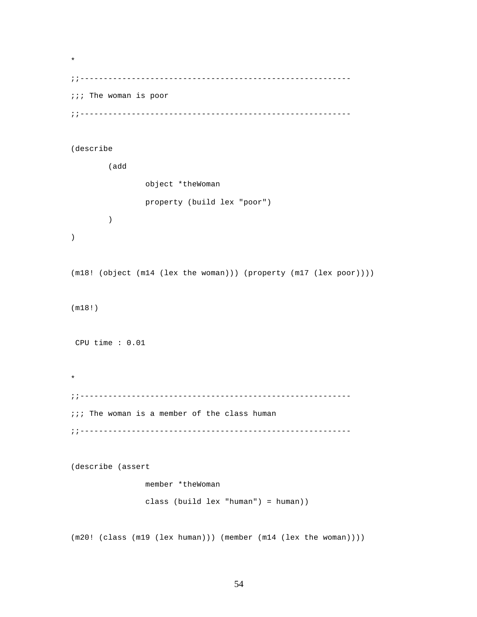\* ;;---------------------------------------------------------- ;;; The woman is poor ;;----------------------------------------------------------

## (describe

 (add object \*theWoman property (build lex "poor") ) ) (m18! (object (m14 (lex the woman))) (property (m17 (lex poor)))) (m18!) CPU time : 0.01 \* ;;---------------------------------------------------------  $i:i$  The woman is a member of the class human ;;----------------------------------------------------------

(describe (assert

 member \*theWoman class (build lex "human") = human))

(m20! (class (m19 (lex human))) (member (m14 (lex the woman))))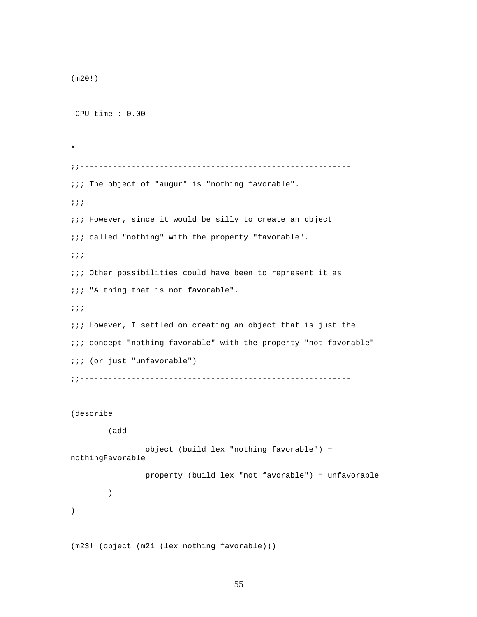```
(m20!)
 CPU time : 0.00 
* 
;;----------------------------------------------------------
;;; The object of "augur" is "nothing favorable". 
;;;
iii However, since it would be silly to create an object
;;; called "nothing" with the property "favorable".
;;;
;;; Other possibilities could have been to represent it as 
;;; "A thing that is not favorable".
;;;
\cdots However, I settled on creating an object that is just the
;;; concept "nothing favorable" with the property "not favorable"
;;; (or just "unfavorable")
;;----------------------------------------------------------
(describe 
         (add
                 object (build lex "nothing favorable") =
```
nothingFavorable

)

 property (build lex "not favorable") = unfavorable )

(m23! (object (m21 (lex nothing favorable)))

```
55
```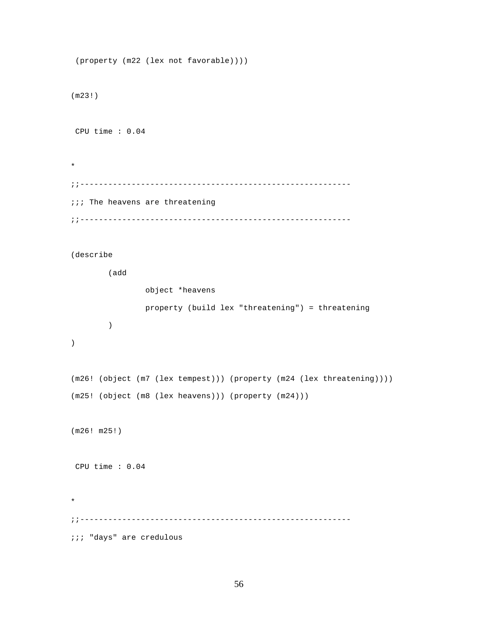```
 (property (m22 (lex not favorable))))
(m23!)
 CPU time : 0.04 
* 
;;----------------------------------------------------------
iii The heavens are threatening
;;----------------------------------------------------------
(describe 
         (add
                 object *heavens
                 property (build lex "threatening") = threatening
         )
)
(m26! (object (m7 (lex tempest))) (property (m24 (lex threatening))))
(m25! (object (m8 (lex heavens))) (property (m24)))
(m26! m25!)
 CPU time : 0.04 
* 
;;----------------------------------------------------------
;;; "days" are credulous
```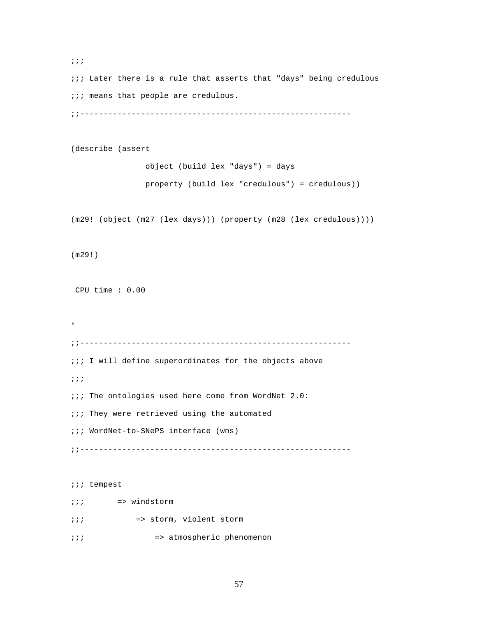;;; ;;; Later there is a rule that asserts that "days" being credulous *iii* means that people are credulous. ;;---------------------------------------------------------- (describe (assert object (build lex "days") = days property (build lex "credulous") = credulous)) (m29! (object (m27 (lex days))) (property (m28 (lex credulous)))) (m29!) CPU time : 0.00 \* ;;---------------------------------------------------------  $i:i$  I will define superordinates for the objects above ;;; ;;; The ontologies used here come from WordNet 2.0: *;***;** They were retrieved using the automated ;;; WordNet-to-SNePS interface (wns) ;;---------------------------------------------------------- ;;; tempest ;;; => windstorm ;;; => storm, violent storm

;;; => atmospheric phenomenon

```
57
```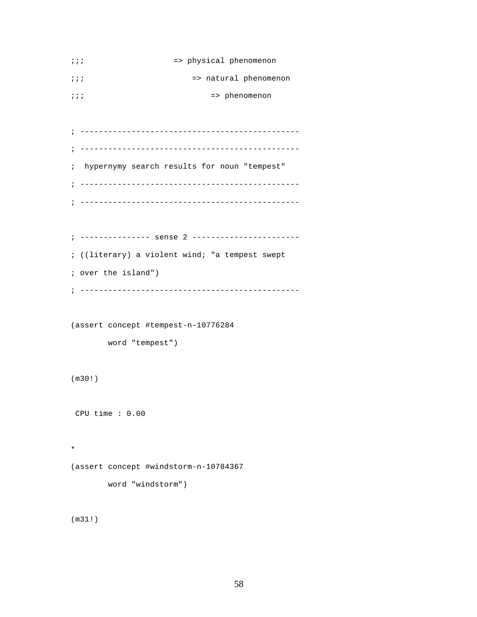```
;;; => physical phenomenon
;;; => natural phenomenon
;;; => phenomenon
; -----------------------------------------------
; -----------------------------------------------
; hypernymy search results for noun "tempest"
; -----------------------------------------------
; -----------------------------------------------
; --------------- sense 2 -----------------------
; ((literary) a violent wind; "a tempest swept
; over the island")
; -----------------------------------------------
(assert concept #tempest-n-10776284
       word "tempest")
(m30!)
 CPU time : 0.00 
* 
(assert concept #windstorm-n-10784367
       word "windstorm")
```
(m31!)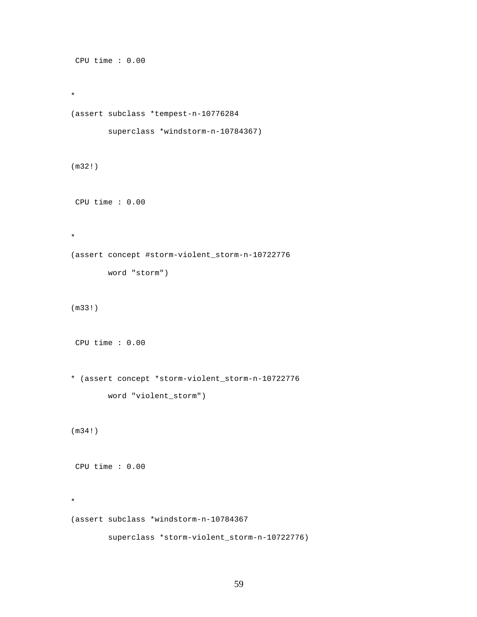```
 CPU time : 0.00 
* 
(assert subclass *tempest-n-10776284
         superclass *windstorm-n-10784367)
(m32!)
 CPU time : 0.00 
* 
(assert concept #storm-violent_storm-n-10722776
        word "storm")
(m33!)
 CPU time : 0.00 
* (assert concept *storm-violent_storm-n-10722776
         word "violent_storm")
(m34!)
 CPU time : 0.00 
* 
(assert subclass *windstorm-n-10784367
         superclass *storm-violent_storm-n-10722776)
```

```
59
```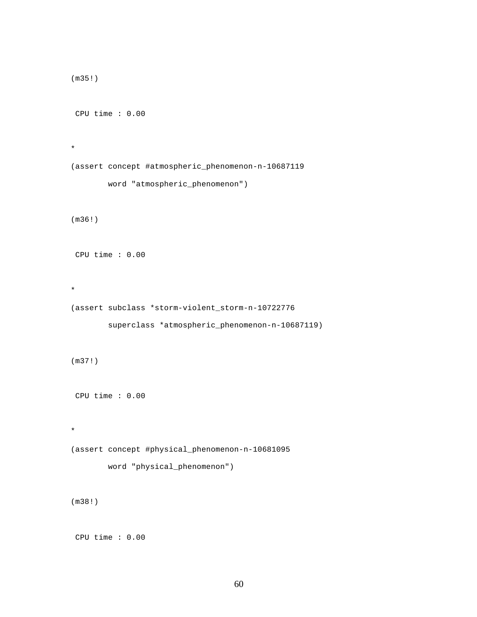```
(m35!)
 CPU time : 0.00 
* 
(assert concept #atmospheric_phenomenon-n-10687119
         word "atmospheric_phenomenon")
(m36!)
 CPU time : 0.00 
* 
(assert subclass *storm-violent_storm-n-10722776
         superclass *atmospheric_phenomenon-n-10687119)
(m37!)
 CPU time : 0.00 
* 
(assert concept #physical_phenomenon-n-10681095
         word "physical_phenomenon")
(m38!)
```

```
 CPU time : 0.00
```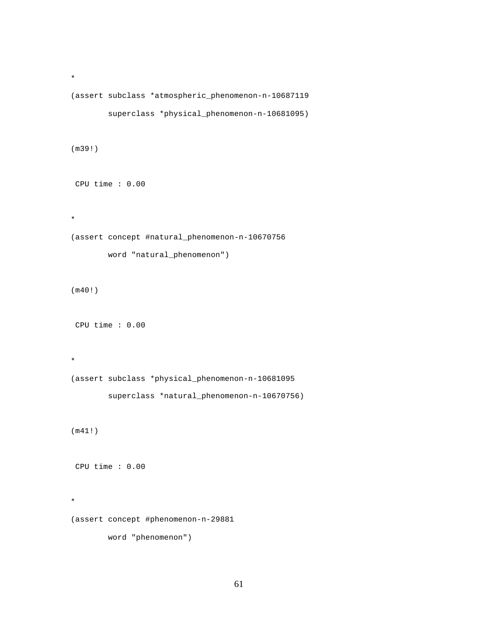```
(assert subclass *atmospheric_phenomenon-n-10687119
         superclass *physical_phenomenon-n-10681095)
(m39!)
 CPU time : 0.00 
* 
(assert concept #natural_phenomenon-n-10670756
         word "natural_phenomenon")
(m40!)
 CPU time : 0.00 
* 
(assert subclass *physical_phenomenon-n-10681095
         superclass *natural_phenomenon-n-10670756)
(m41!)
 CPU time : 0.00 
* 
(assert concept #phenomenon-n-29881
         word "phenomenon")
```

```
61
```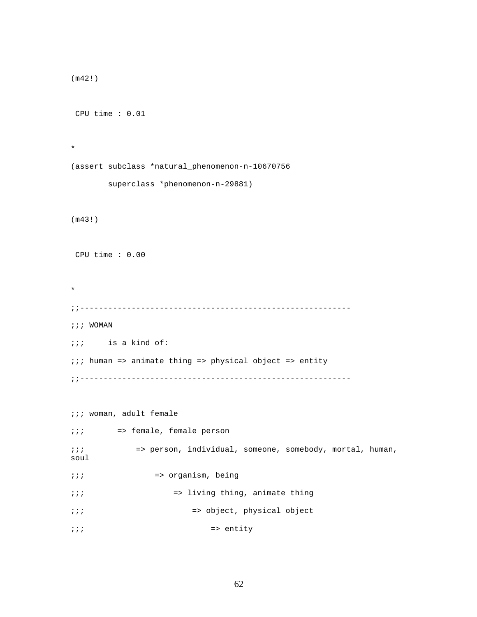```
(m42!)
 CPU time : 0.01 
* 
(assert subclass *natural_phenomenon-n-10670756
        superclass *phenomenon-n-29881)
(m43!)
 CPU time : 0.00 
* 
;;----------------------------------------------------------
;;; WOMAN
;;; is a kind of:
;;; human => animate thing => physical object => entity 
;;----------------------------------------------------------
;;; woman, adult female
;;; => female, female person
;;; => person, individual, someone, somebody, mortal, human, 
soul
;;; => organism, being
;;; => living thing, animate thing
;;; => object, physical object
\cdots \cdots => entity
```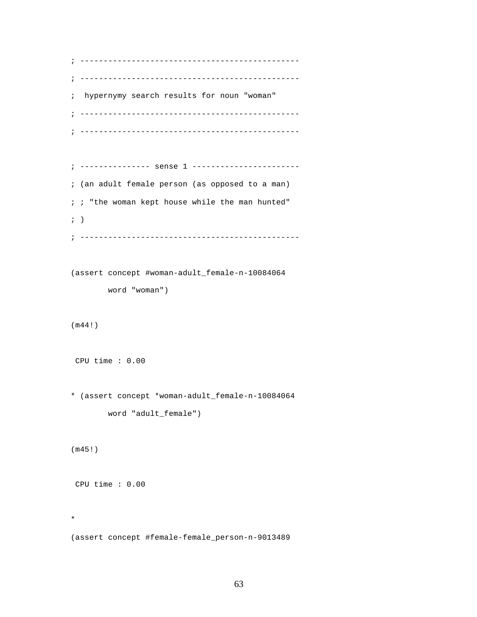```
; -----------------------------------------------
; -----------------------------------------------
; hypernymy search results for noun "woman"
; -----------------------------------------------
; -----------------------------------------------
; --------------- sense 1 -----------------------
; (an adult female person (as opposed to a man)
; ; "the woman kept house while the man hunted"
; ); -----------------------------------------------
(assert concept #woman-adult_female-n-10084064
        word "woman")
(m44!)
 CPU time : 0.00 
* (assert concept *woman-adult_female-n-10084064
        word "adult_female")
(m45!)
 CPU time : 0.00 
* 
(assert concept #female-female_person-n-9013489
```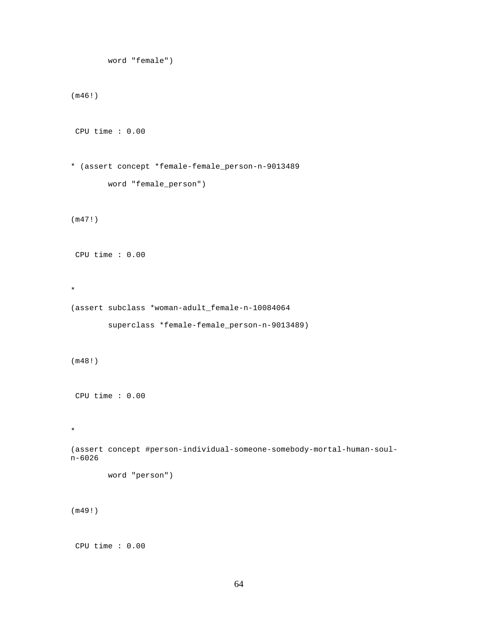```
 word "female")
(m46!)
 CPU time : 0.00 
* (assert concept *female-female_person-n-9013489
         word "female_person")
(m47!)
 CPU time : 0.00 
* 
(assert subclass *woman-adult_female-n-10084064
         superclass *female-female_person-n-9013489)
(m48!)
 CPU time : 0.00 
* 
(assert concept #person-individual-someone-somebody-mortal-human-soul-
n-6026
         word "person")
(m49!)
 CPU time : 0.00
```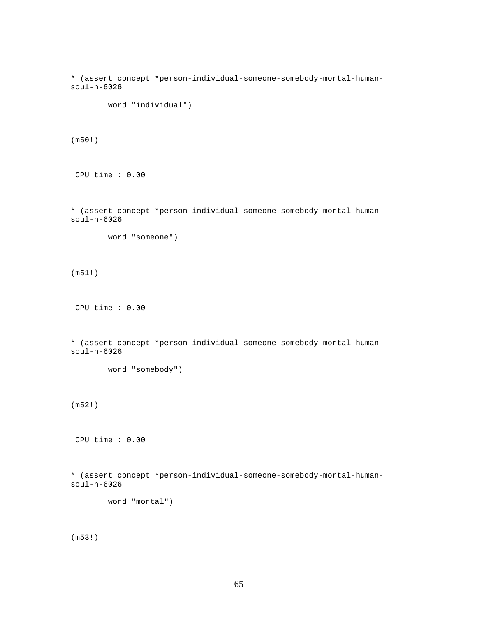```
* (assert concept *person-individual-someone-somebody-mortal-human-
soul-n-6026
         word "individual")
(m50!)
 CPU time : 0.00 
* (assert concept *person-individual-someone-somebody-mortal-human-
soul-n-6026
         word "someone")
(m51!)
 CPU time : 0.00 
* (assert concept *person-individual-someone-somebody-mortal-human-
soul-n-6026
         word "somebody")
(m52!)
 CPU time : 0.00 
* (assert concept *person-individual-someone-somebody-mortal-human-
soul-n-6026
         word "mortal")
(m53!)
```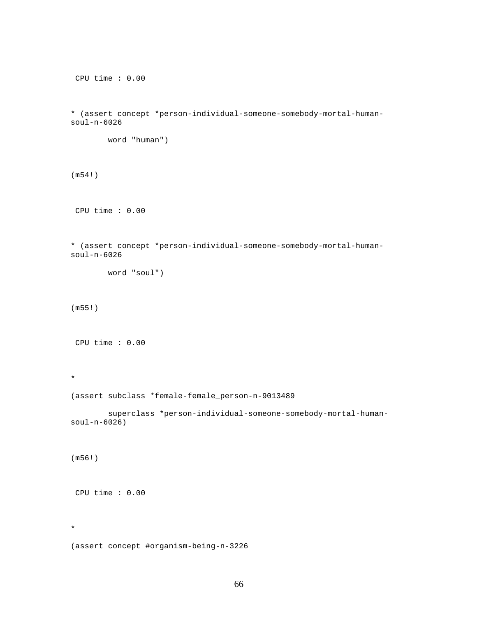```
 CPU time : 0.00 
* (assert concept *person-individual-someone-somebody-mortal-human-
soul-n-6026
        word "human")
(m54!)
 CPU time : 0.00 
* (assert concept *person-individual-someone-somebody-mortal-human-
soul-n-6026
        word "soul")
(m55!)
 CPU time : 0.00 
* 
(assert subclass *female-female_person-n-9013489
         superclass *person-individual-someone-somebody-mortal-human-
soul-n-6026)
(m56!)
 CPU time : 0.00 
* 
(assert concept #organism-being-n-3226
```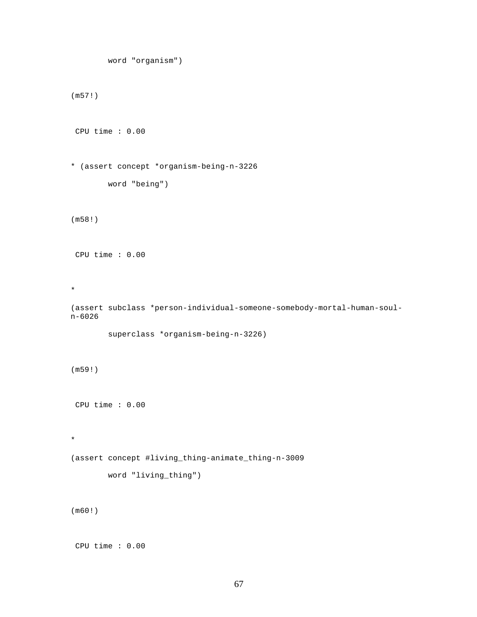```
 word "organism")
(m57!)
 CPU time : 0.00 
* (assert concept *organism-being-n-3226
         word "being")
(m58!)
 CPU time : 0.00 
* 
(assert subclass *person-individual-someone-somebody-mortal-human-soul-
n-6026
         superclass *organism-being-n-3226)
(m59!)
 CPU time : 0.00 
* 
(assert concept #living_thing-animate_thing-n-3009
        word "living_thing")
(m60!)
```

```
 CPU time : 0.00
```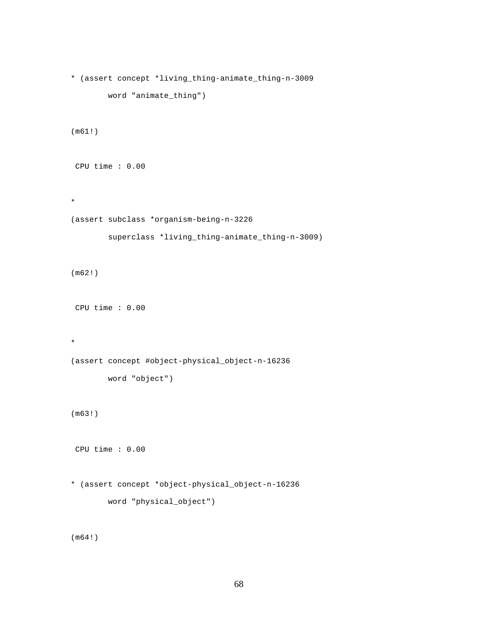```
* (assert concept *living_thing-animate_thing-n-3009
        word "animate_thing")
(m61!)
 CPU time : 0.00 
* 
(assert subclass *organism-being-n-3226
         superclass *living_thing-animate_thing-n-3009)
(m62!)
 CPU time : 0.00 
* 
(assert concept #object-physical_object-n-16236
        word "object")
(m63!)
 CPU time : 0.00 
* (assert concept *object-physical_object-n-16236
        word "physical_object")
```
(m64!)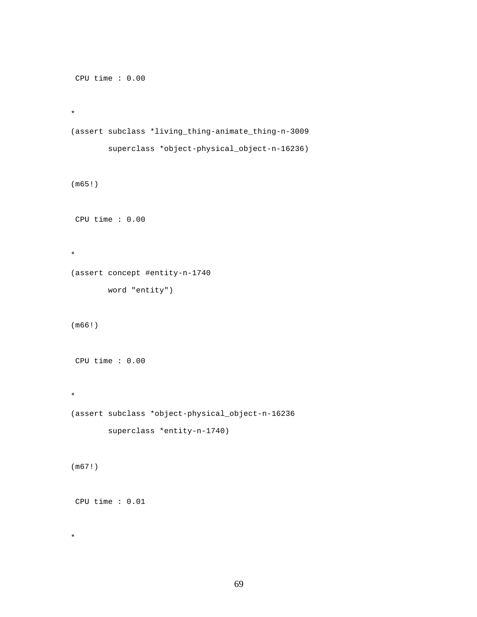```
 CPU time : 0.00 
* 
(assert subclass *living_thing-animate_thing-n-3009
         superclass *object-physical_object-n-16236)
(m65!)
 CPU time : 0.00 
* 
(assert concept #entity-n-1740
       word "entity")
(m66!)
 CPU time : 0.00 
* 
(assert subclass *object-physical_object-n-16236
         superclass *entity-n-1740)
(m67!)
 CPU time : 0.01
```

```
69
```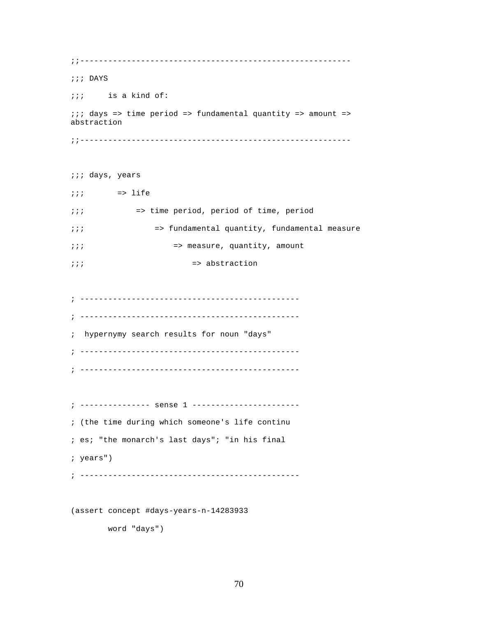;;---------------------------------------------------------- ;;; DAYS ;;; is a kind of: ;;; days => time period => fundamental quantity => amount => abstraction ;;---------------------------------------------------------- ;;; days, years  $i:i$  => life ;;; => time period, period of time, period ;;; => fundamental quantity, fundamental measure ;;; => measure, quantity, amount  $\frac{1}{i}$ ;  $\frac{1}{i}$  => abstraction ; ----------------------------------------------- ; ----------------------------------------------- ; hypernymy search results for noun "days" ; ----------------------------------------------- ; ----------------------------------------------- ; --------------- sense 1 ----------------------- ; (the time during which someone's life continu ; es; "the monarch's last days"; "in his final ; years") ; -----------------------------------------------

(assert concept #days-years-n-14283933

word "days")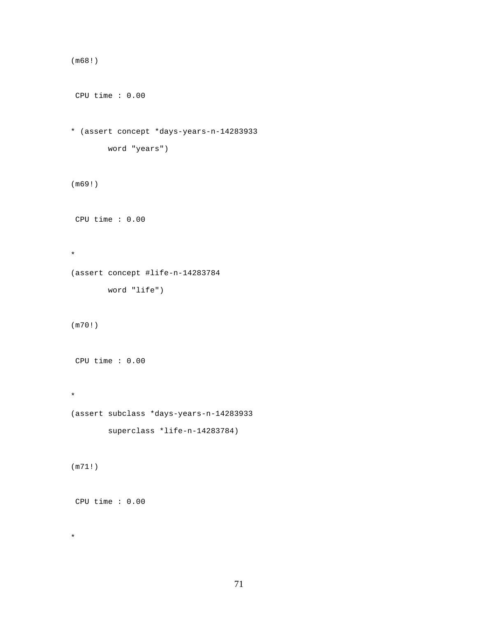```
(m68!)
 CPU time : 0.00 
* (assert concept *days-years-n-14283933
        word "years")
(m69!)
 CPU time : 0.00 
* 
(assert concept #life-n-14283784
        word "life")
(m70!)
 CPU time : 0.00 
* 
(assert subclass *days-years-n-14283933
         superclass *life-n-14283784)
(m71!)
 CPU time : 0.00
```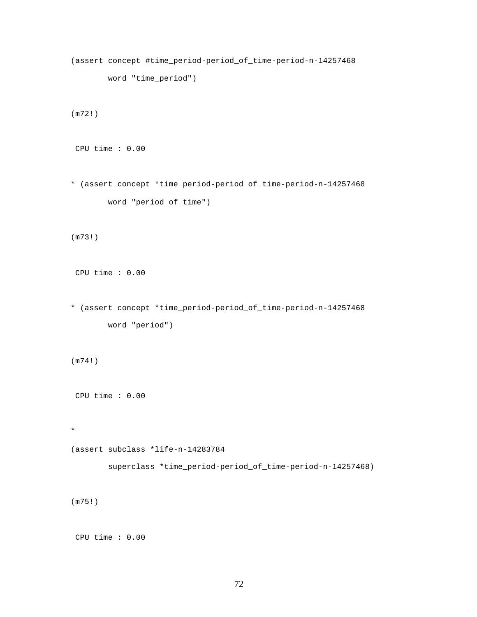```
(assert concept #time_period-period_of_time-period-n-14257468
        word "time_period")
(m72!)
 CPU time : 0.00 
* (assert concept *time_period-period_of_time-period-n-14257468
        word "period_of_time")
(m73!)
 CPU time : 0.00 
* (assert concept *time_period-period_of_time-period-n-14257468
        word "period")
(m74!)
 CPU time : 0.00 
* 
(assert subclass *life-n-14283784
         superclass *time_period-period_of_time-period-n-14257468)
(m75!)
```

```
 CPU time : 0.00
```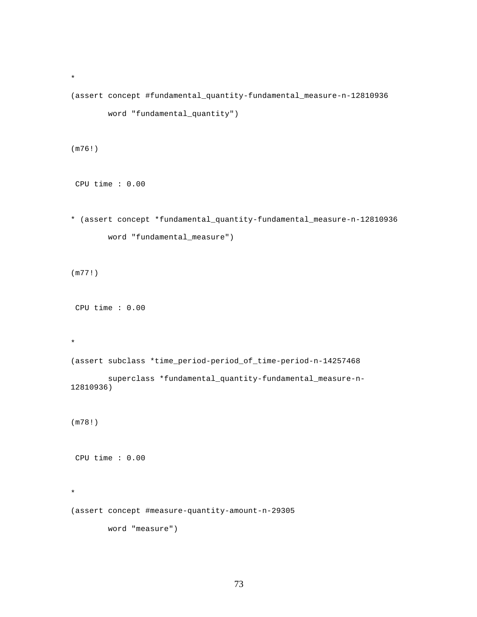```
(assert concept #fundamental_quantity-fundamental_measure-n-12810936
         word "fundamental_quantity")
(m76!)
 CPU time : 0.00 
* (assert concept *fundamental_quantity-fundamental_measure-n-12810936
         word "fundamental_measure")
(m77!)
 CPU time : 0.00 
* 
(assert subclass *time_period-period_of_time-period-n-14257468
         superclass *fundamental_quantity-fundamental_measure-n-
12810936)
(m78!)
 CPU time : 0.00 
* 
(assert concept #measure-quantity-amount-n-29305
         word "measure")
```

```
73
```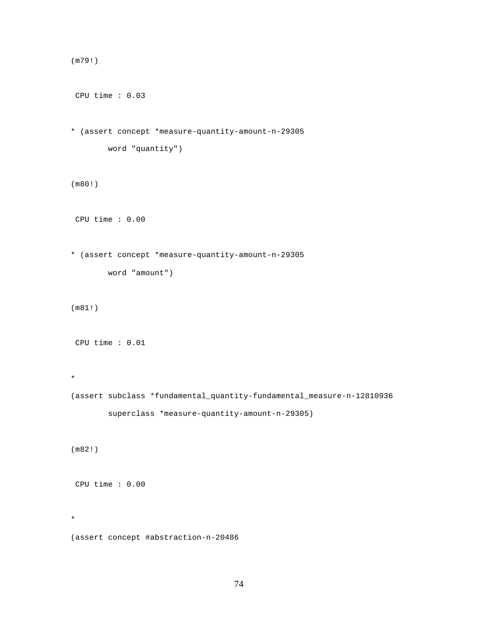```
 CPU time : 0.03 
* (assert concept *measure-quantity-amount-n-29305
         word "quantity")
(m80!)
 CPU time : 0.00 
* (assert concept *measure-quantity-amount-n-29305
         word "amount")
(m81!)
 CPU time : 0.01 
* 
(assert subclass *fundamental_quantity-fundamental_measure-n-12810936
         superclass *measure-quantity-amount-n-29305)
(m82!)
 CPU time : 0.00
```
(assert concept #abstraction-n-20486

\*

(m79!)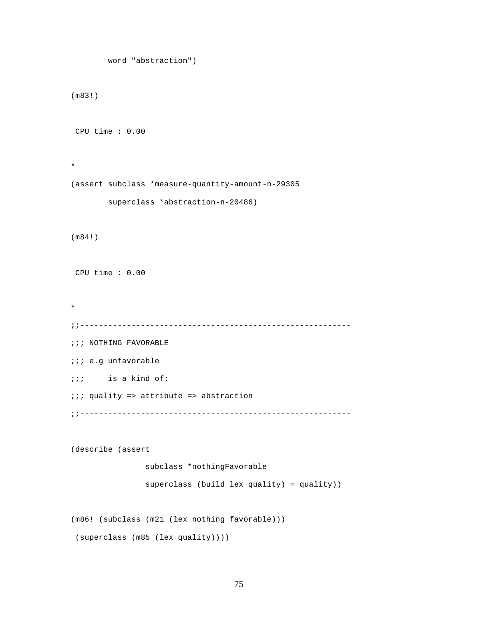```
 word "abstraction")
(m83!)
 CPU time : 0.00 
* 
(assert subclass *measure-quantity-amount-n-29305
         superclass *abstraction-n-20486)
(m84!)
 CPU time : 0.00 
* 
;;----------------------------------------------------------
;;; NOTHING FAVORABLE
;;; e.g unfavorable
;;; is a kind of:
;;; quality => attribute => abstraction
;;----------------------------------------------------------
(describe (assert 
                 subclass *nothingFavorable
                 superclass (build lex quality) = quality))
(m86! (subclass (m21 (lex nothing favorable)))
  (superclass (m85 (lex quality))))
```

```
75
```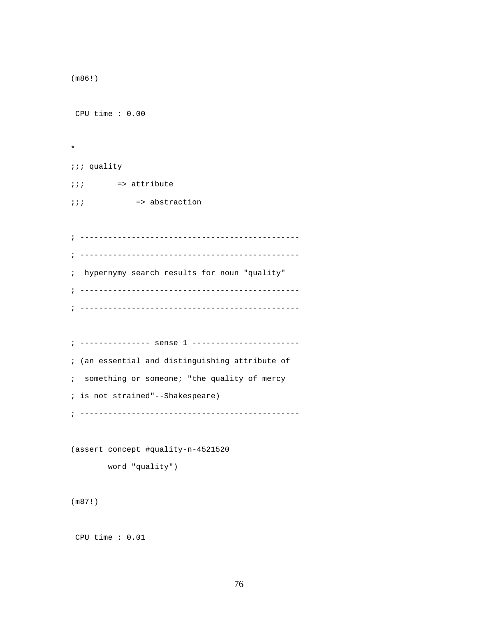```
(m86!)
 CPU time : 0.00 
* 
;;; quality
;;; => attribute
;;; => abstraction
; -----------------------------------------------
; -----------------------------------------------
; hypernymy search results for noun "quality"
; -----------------------------------------------
; -----------------------------------------------
; --------------- sense 1 -----------------------
; (an essential and distinguishing attribute of
; something or someone; "the quality of mercy
; is not strained"--Shakespeare)
; -----------------------------------------------
(assert concept #quality-n-4521520
        word "quality")
(m87!)
```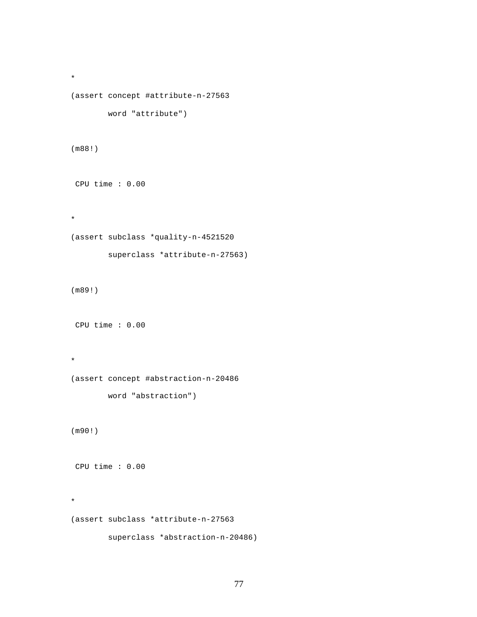```
* 
(assert concept #attribute-n-27563
        word "attribute")
(m88!)
 CPU time : 0.00 
* 
(assert subclass *quality-n-4521520
         superclass *attribute-n-27563)
(m89!)
 CPU time : 0.00 
* 
(assert concept #abstraction-n-20486
        word "abstraction")
(m90!)
 CPU time : 0.00 
* 
(assert subclass *attribute-n-27563
         superclass *abstraction-n-20486)
```
77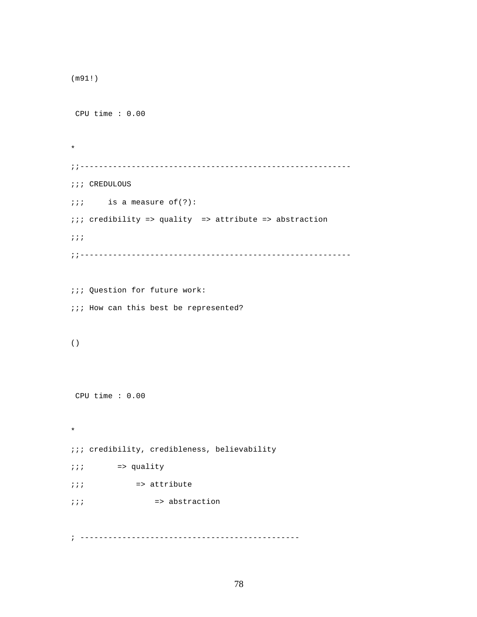```
(m91!)
 CPU time : 0.00 
* 
;;----------------------------------------------------------
;;; CREDULOUS
; is a measure of(?):
;;; credibility => quality => attribute => abstraction 
;;;
;;----------------------------------------------------------
;;; Question for future work:
;;; How can this best be represented?
()
 CPU time : 0.00 
* 
;;; credibility, credibleness, believability
;;; => quality
;;; => attribute
;;; => abstraction
```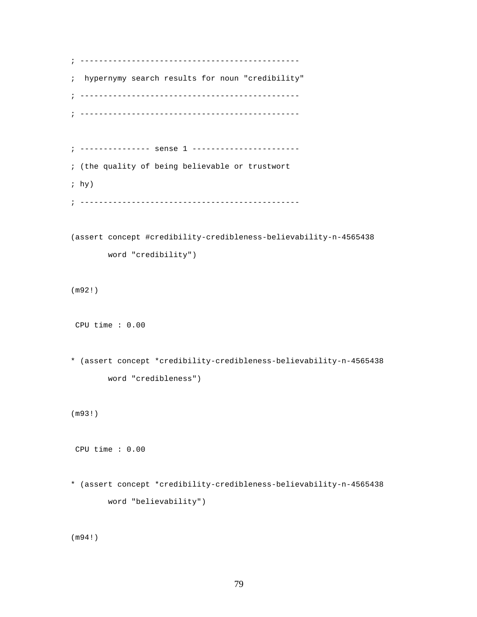```
; -----------------------------------------------
; hypernymy search results for noun "credibility"
; -----------------------------------------------
; -----------------------------------------------
; --------------- sense 1 -----------------------
; (the quality of being believable or trustwort
; hy)
; -----------------------------------------------
(assert concept #credibility-credibleness-believability-n-4565438
        word "credibility")
(m92!)
 CPU time : 0.00 
* (assert concept *credibility-credibleness-believability-n-4565438
        word "credibleness")
(m93!)
 CPU time : 0.00 
* (assert concept *credibility-credibleness-believability-n-4565438
        word "believability")
```
(m94!)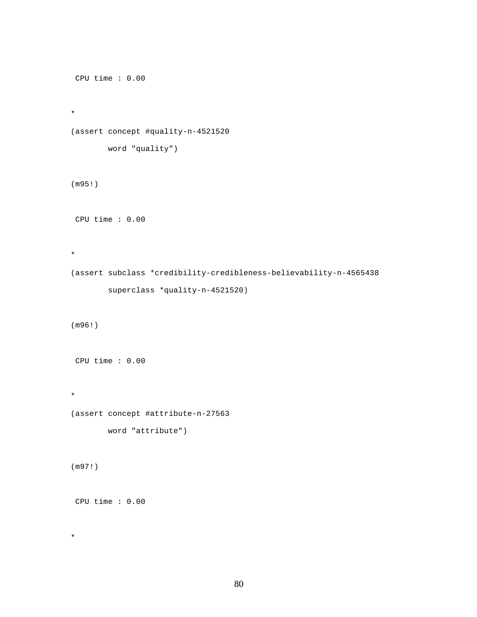```
 CPU time : 0.00 
* 
(assert concept #quality-n-4521520
        word "quality")
(m95!)
 CPU time : 0.00 
* 
(assert subclass *credibility-credibleness-believability-n-4565438
         superclass *quality-n-4521520)
(m96!)
 CPU time : 0.00 
* 
(assert concept #attribute-n-27563
        word "attribute")
(m97!)
 CPU time : 0.00
```

```
80
```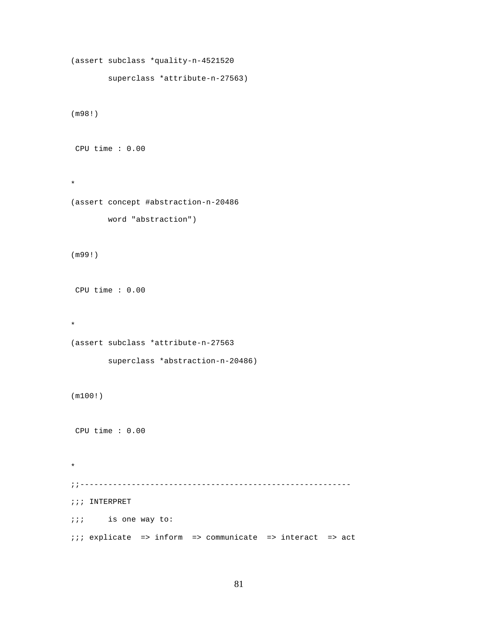```
(assert subclass *quality-n-4521520
         superclass *attribute-n-27563)
(m98!)
 CPU time : 0.00 
* 
(assert concept #abstraction-n-20486
        word "abstraction")
(m99!)
 CPU time : 0.00 
* 
(assert subclass *attribute-n-27563
        superclass *abstraction-n-20486)
(m100!)
 CPU time : 0.00 
* 
;;----------------------------------------------------------
;;; INTERPRET
;;; is one way to:
;;; explicate => inform => communicate => interact => act
```

```
81
```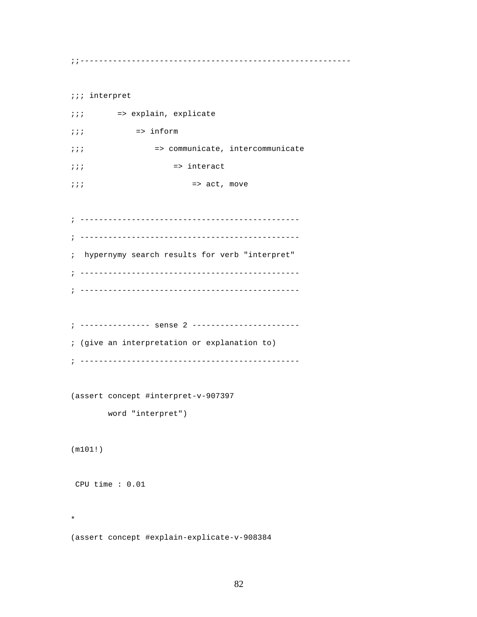;;----------------------------------------------------------

;;; interpret ;;; => explain, explicate  $i i j$  => inform ;;; => communicate, intercommunicate  $\frac{1}{i}$ ;  $\frac{1}{i}$  => interact  $\cdots$   $\cdots$  => act, move

; ----------------------------------------------- ; ----------------------------------------------- ; hypernymy search results for verb "interpret" ; ----------------------------------------------- ; -----------------------------------------------

; --------------- sense 2 ----------------------- ; (give an interpretation or explanation to) ; -----------------------------------------------

(assert concept #interpret-v-907397

word "interpret")

(m101!)

\*

CPU time : 0.01

(assert concept #explain-explicate-v-908384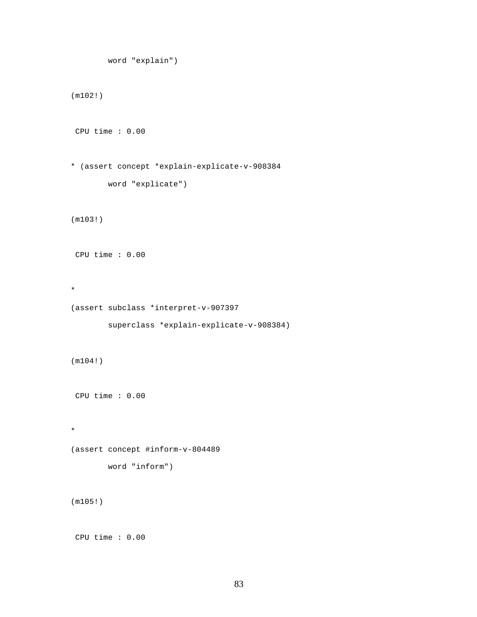```
 word "explain")
(m102!)
 CPU time : 0.00 
* (assert concept *explain-explicate-v-908384
        word "explicate")
(m103!)
 CPU time : 0.00 
* 
(assert subclass *interpret-v-907397
        superclass *explain-explicate-v-908384)
(m104!)
 CPU time : 0.00 
* 
(assert concept #inform-v-804489
        word "inform")
(m105!)
 CPU time : 0.00
```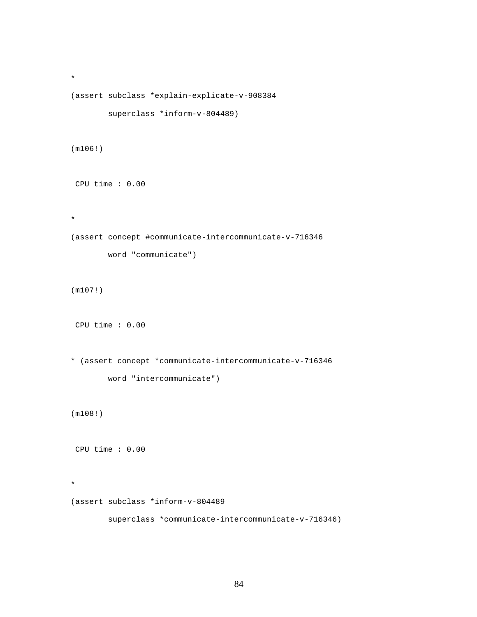```
(assert subclass *explain-explicate-v-908384
         superclass *inform-v-804489)
(m106!)
 CPU time : 0.00 
* 
(assert concept #communicate-intercommunicate-v-716346
        word "communicate")
(m107!)
 CPU time : 0.00 
* (assert concept *communicate-intercommunicate-v-716346
         word "intercommunicate")
(m108!)
 CPU time : 0.00 
* 
(assert subclass *inform-v-804489
         superclass *communicate-intercommunicate-v-716346)
```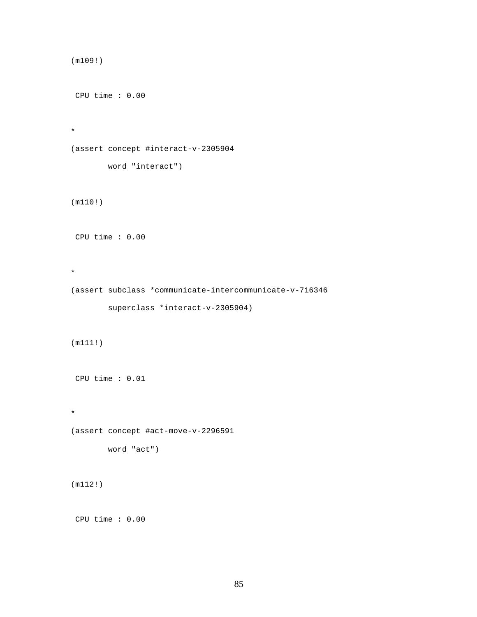```
(m109!)
 CPU time : 0.00 
* 
(assert concept #interact-v-2305904
        word "interact")
(m110!)
 CPU time : 0.00 
* 
(assert subclass *communicate-intercommunicate-v-716346
        superclass *interact-v-2305904)
(m111!)
 CPU time : 0.01 
* 
(assert concept #act-move-v-2296591
        word "act")
(m112!)
 CPU time : 0.00
```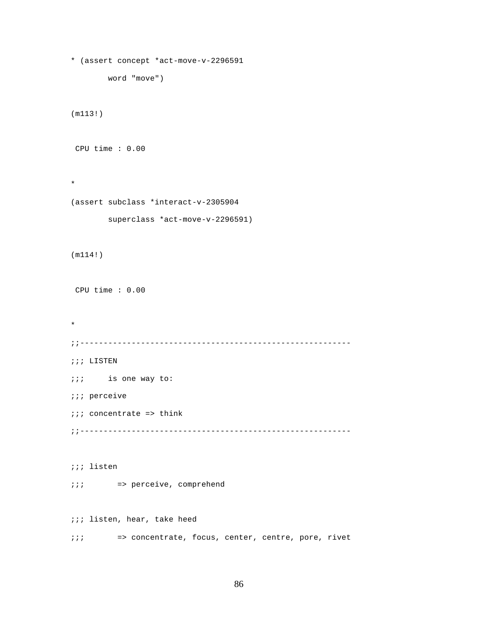```
* (assert concept *act-move-v-2296591
       word "move")
(m113!)
 CPU time : 0.00 
* 
(assert subclass *interact-v-2305904
        superclass *act-move-v-2296591)
(m114!)
 CPU time : 0.00 
* 
;;----------------------------------------------------------
;;; LISTEN
;;; is one way to:
;;; perceive
;;; concentrate => think
;;----------------------------------------------------------
;;; listen
;;; => perceive, comprehend
;;; listen, hear, take heed
;;; => concentrate, focus, center, centre, pore, rivet
```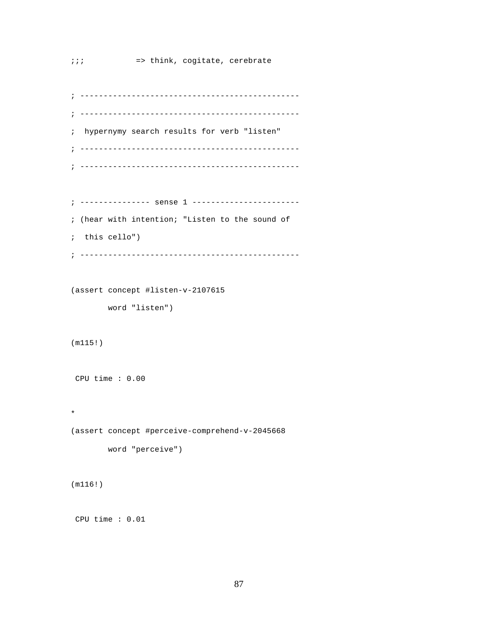```
; -----------------------------------------------
; -----------------------------------------------
; hypernymy search results for verb "listen"
; -----------------------------------------------
; -----------------------------------------------
```

```
; --------------- sense 1 -----------------------
; (hear with intention; "Listen to the sound of
; this cello")
; -----------------------------------------------
```
(assert concept #listen-v-2107615

word "listen")

(m115!)

CPU time : 0.00

\*

(assert concept #perceive-comprehend-v-2045668

```
 word "perceive")
```
(m116!)

CPU time : 0.01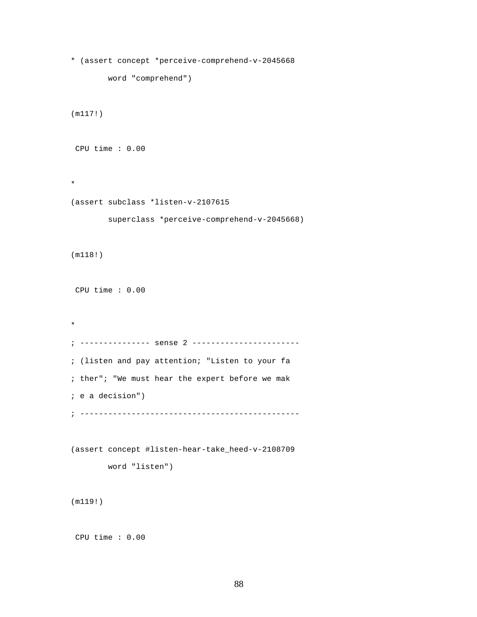```
* (assert concept *perceive-comprehend-v-2045668
        word "comprehend")
(m117!)
 CPU time : 0.00 
* 
(assert subclass *listen-v-2107615
        superclass *perceive-comprehend-v-2045668)
(m118!)
 CPU time : 0.00 
* 
; --------------- sense 2 -----------------------
; (listen and pay attention; "Listen to your fa
; ther"; "We must hear the expert before we mak
; e a decision")
; -----------------------------------------------
(assert concept #listen-hear-take_heed-v-2108709
        word "listen")
(m119!)
```

```
 CPU time : 0.00
```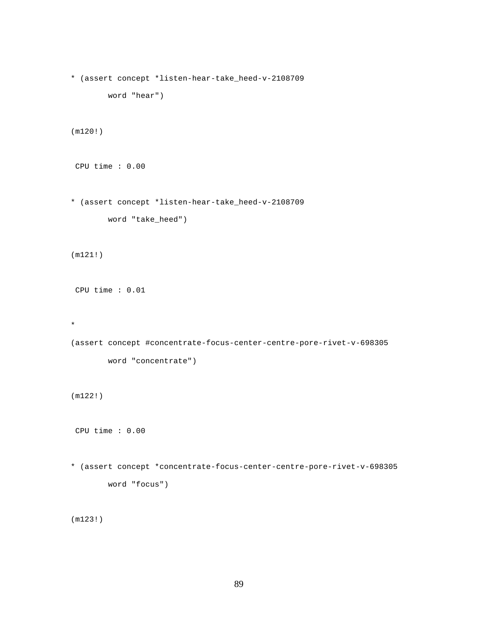```
* (assert concept *listen-hear-take_heed-v-2108709
        word "hear")
(m120!)
 CPU time : 0.00 
* (assert concept *listen-hear-take_heed-v-2108709
        word "take_heed")
(m121!)
 CPU time : 0.01 
* 
(assert concept #concentrate-focus-center-centre-pore-rivet-v-698305
        word "concentrate")
(m122!)
 CPU time : 0.00 
* (assert concept *concentrate-focus-center-centre-pore-rivet-v-698305
        word "focus")
(m123!)
```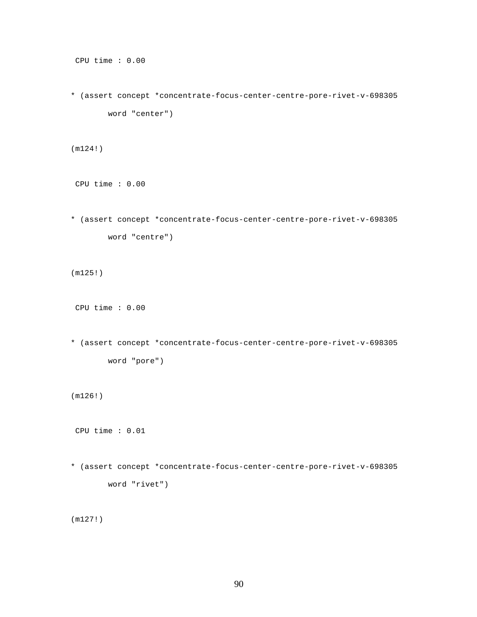```
 CPU time : 0.00
```

```
* (assert concept *concentrate-focus-center-centre-pore-rivet-v-698305
        word "center")
```
(m124!)

CPU time : 0.00

```
* (assert concept *concentrate-focus-center-centre-pore-rivet-v-698305
        word "centre")
```
(m125!)

CPU time : 0.00

```
* (assert concept *concentrate-focus-center-centre-pore-rivet-v-698305
        word "pore")
```
(m126!)

CPU time : 0.01

```
* (assert concept *concentrate-focus-center-centre-pore-rivet-v-698305
        word "rivet")
```
(m127!)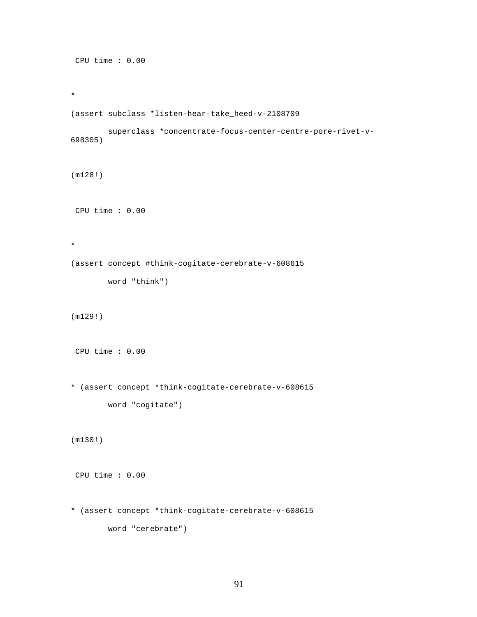```
 CPU time : 0.00 
* 
(assert subclass *listen-hear-take_heed-v-2108709
        superclass *concentrate-focus-center-centre-pore-rivet-v-
698305)
(m128!)
 CPU time : 0.00 
* 
(assert concept #think-cogitate-cerebrate-v-608615
        word "think")
(m129!)
 CPU time : 0.00 
* (assert concept *think-cogitate-cerebrate-v-608615
        word "cogitate")
(m130!)
 CPU time : 0.00 
* (assert concept *think-cogitate-cerebrate-v-608615
        word "cerebrate")
```

```
91
```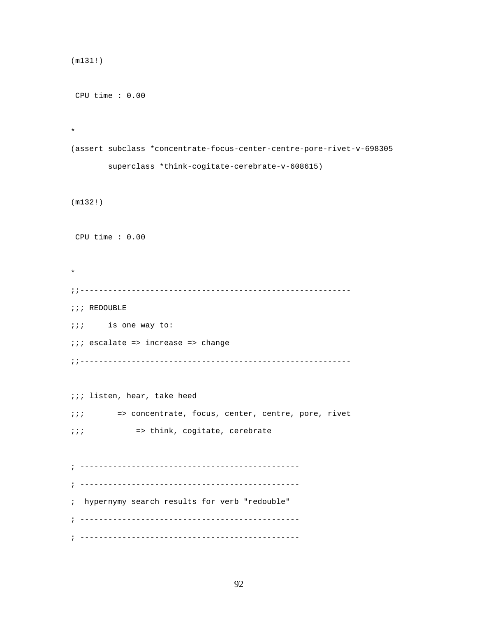```
(m131!)
 CPU time : 0.00 
* 
(assert subclass *concentrate-focus-center-centre-pore-rivet-v-698305
        superclass *think-cogitate-cerebrate-v-608615)
(m132!)
 CPU time : 0.00 
* 
;;----------------------------------------------------------
;;; REDOUBLE
;;; is one way to:
;;; escalate => increase => change
;;----------------------------------------------------------
;;; listen, hear, take heed
;;; => concentrate, focus, center, centre, pore, rivet
;;; => think, cogitate, cerebrate
; -----------------------------------------------
; -----------------------------------------------
; hypernymy search results for verb "redouble"
; -----------------------------------------------
; -----------------------------------------------
```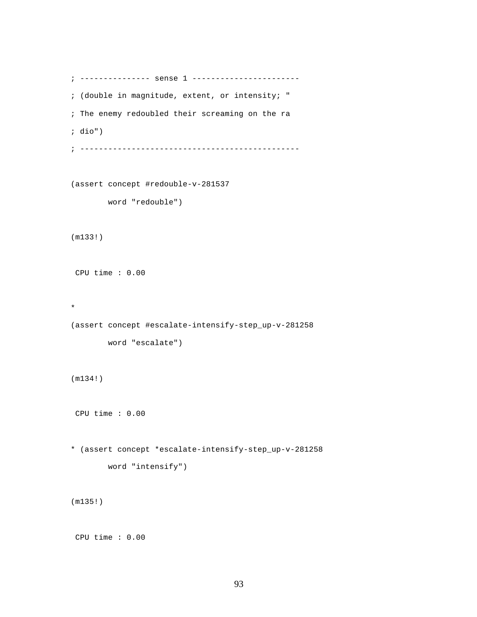```
; --------------- sense 1 -----------------------
; (double in magnitude, extent, or intensity; "
; The enemy redoubled their screaming on the ra
; dio")
; -----------------------------------------------
(assert concept #redouble-v-281537
        word "redouble")
(m133!)
 CPU time : 0.00 
* 
(assert concept #escalate-intensify-step_up-v-281258
        word "escalate")
(m134!)
 CPU time : 0.00 
* (assert concept *escalate-intensify-step_up-v-281258
        word "intensify")
(m135!)
```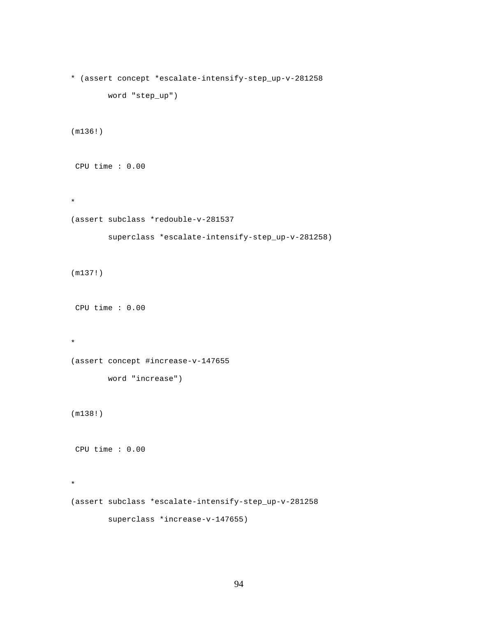```
* (assert concept *escalate-intensify-step_up-v-281258
        word "step_up")
(m136!)
 CPU time : 0.00 
* 
(assert subclass *redouble-v-281537
         superclass *escalate-intensify-step_up-v-281258)
(m137!)
 CPU time : 0.00 
* 
(assert concept #increase-v-147655
        word "increase")
(m138!)
 CPU time : 0.00 
* 
(assert subclass *escalate-intensify-step_up-v-281258
         superclass *increase-v-147655)
```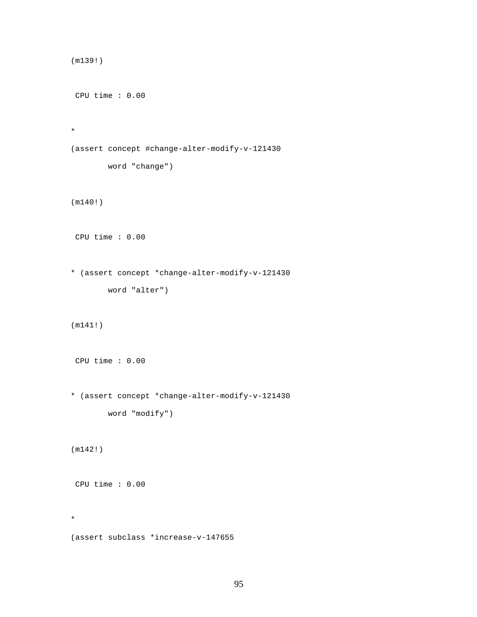```
(m139!)
 CPU time : 0.00 
* 
(assert concept #change-alter-modify-v-121430
        word "change")
(m140!)
 CPU time : 0.00 
* (assert concept *change-alter-modify-v-121430
        word "alter")
(m141!)
 CPU time : 0.00 
* (assert concept *change-alter-modify-v-121430
         word "modify")
(m142!)
 CPU time : 0.00 
* 
(assert subclass *increase-v-147655
```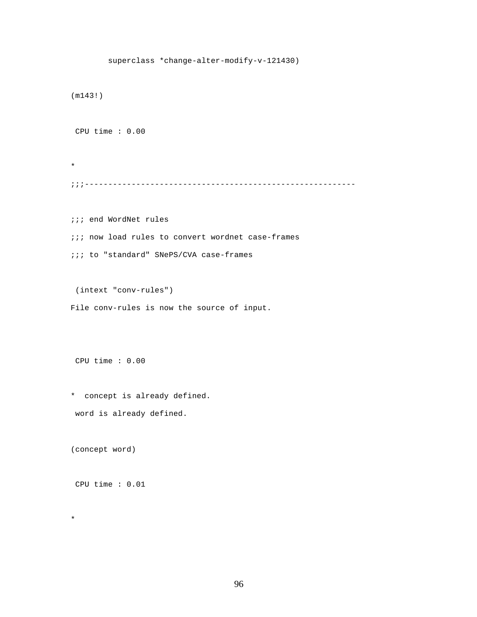```
 superclass *change-alter-modify-v-121430)
(m143!)
 CPU time : 0.00 
* 
;;;----------------------------------------------------------
;;; end WordNet rules
;;; now load rules to convert wordnet case-frames
;;; to "standard" SNePS/CVA case-frames
 (intext "conv-rules")
File conv-rules is now the source of input.
```
\* concept is already defined. word is already defined.

(concept word)

CPU time : 0.01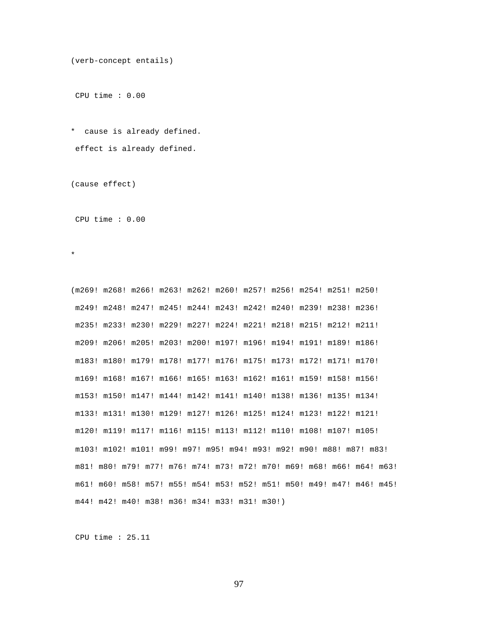```
(verb-concept entails)
```
\* cause is already defined. effect is already defined.

(cause effect)

CPU time : 0.00

\*

(m269! m268! m266! m263! m262! m260! m257! m256! m254! m251! m250! m249! m248! m247! m245! m244! m243! m242! m240! m239! m238! m236! m235! m233! m230! m229! m227! m224! m221! m218! m215! m212! m211! m209! m206! m205! m203! m200! m197! m196! m194! m191! m189! m186! m183! m180! m179! m178! m177! m176! m175! m173! m172! m171! m170! m169! m168! m167! m166! m165! m163! m162! m161! m159! m158! m156! m153! m150! m147! m144! m142! m141! m140! m138! m136! m135! m134! m133! m131! m130! m129! m127! m126! m125! m124! m123! m122! m121! m120! m119! m117! m116! m115! m113! m112! m110! m108! m107! m105! m103! m102! m101! m99! m97! m95! m94! m93! m92! m90! m88! m87! m83! m81! m80! m79! m77! m76! m74! m73! m72! m70! m69! m68! m66! m64! m63! m61! m60! m58! m57! m55! m54! m53! m52! m51! m50! m49! m47! m46! m45! m44! m42! m40! m38! m36! m34! m33! m31! m30!)

CPU time : 25.11

97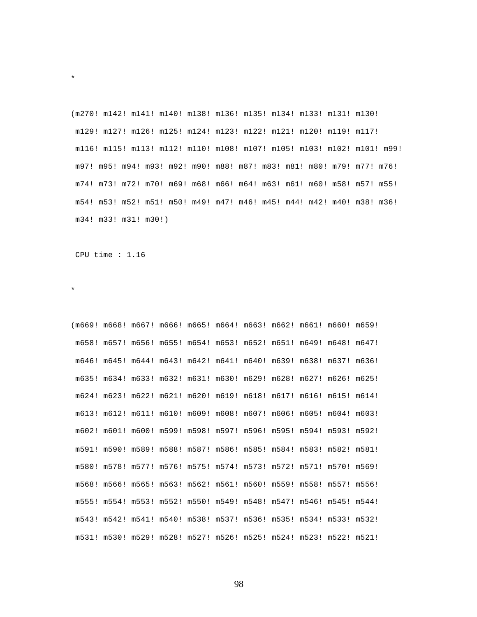(m270! m142! m141! m140! m138! m136! m135! m134! m133! m131! m130! m129! m127! m126! m125! m124! m123! m122! m121! m120! m119! m117! m116! m115! m113! m112! m110! m108! m107! m105! m103! m102! m101! m99! m97! m95! m94! m93! m92! m90! m88! m87! m83! m81! m80! m79! m77! m76! m74! m73! m72! m70! m69! m68! m66! m64! m63! m61! m60! m58! m57! m55! m54! m53! m52! m51! m50! m49! m47! m46! m45! m44! m42! m40! m38! m36! m34! m33! m31! m30!)

CPU time : 1.16

\*

\*

(m669! m668! m667! m666! m665! m664! m663! m662! m661! m660! m659! m658! m657! m656! m655! m654! m653! m652! m651! m649! m648! m647! m646! m645! m644! m643! m642! m641! m640! m639! m638! m637! m636! m635! m634! m633! m632! m631! m630! m629! m628! m627! m626! m625! m624! m623! m622! m621! m620! m619! m618! m617! m616! m615! m614! m613! m612! m611! m610! m609! m608! m607! m606! m605! m604! m603! m602! m601! m600! m599! m598! m597! m596! m595! m594! m593! m592! m591! m590! m589! m588! m587! m586! m585! m584! m583! m582! m581! m580! m578! m577! m576! m575! m574! m573! m572! m571! m570! m569! m568! m566! m565! m563! m562! m561! m560! m559! m558! m557! m556! m555! m554! m553! m552! m550! m549! m548! m547! m546! m545! m544! m543! m542! m541! m540! m538! m537! m536! m535! m534! m533! m532! m531! m530! m529! m528! m527! m526! m525! m524! m523! m522! m521!

98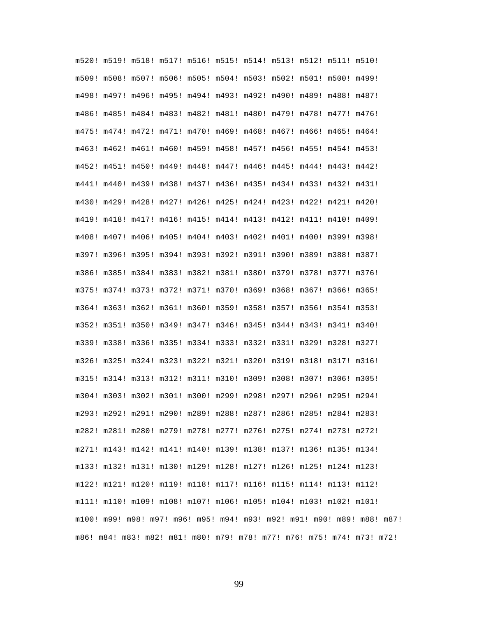m520! m519! m518! m517! m516! m515! m514! m513! m512! m511! m510! m509! m508! m507! m506! m505! m504! m503! m502! m501! m500! m499! m498! m497! m496! m495! m494! m493! m492! m490! m489! m488! m487! m486! m485! m484! m483! m482! m481! m480! m479! m478! m477! m476! m475! m474! m472! m471! m470! m469! m468! m467! m466! m465! m464! m463! m462! m461! m460! m459! m458! m457! m456! m455! m454! m453! m452! m451! m450! m449! m448! m447! m446! m445! m444! m443! m442! m441! m440! m439! m438! m437! m436! m435! m434! m433! m432! m431! m430! m429! m428! m427! m426! m425! m424! m423! m422! m421! m420! m419! m418! m417! m416! m415! m414! m413! m412! m411! m410! m409! m408! m407! m406! m405! m404! m403! m402! m401! m400! m399! m398! m397! m396! m395! m394! m393! m392! m391! m390! m389! m388! m387! m386! m385! m384! m383! m382! m381! m380! m379! m378! m377! m376! m375! m374! m373! m372! m371! m370! m369! m368! m367! m366! m365! m364! m363! m362! m361! m360! m359! m358! m357! m356! m354! m353! m352! m351! m350! m349! m347! m346! m345! m344! m343! m341! m340! m339! m338! m336! m335! m334! m333! m332! m331! m329! m328! m327! m326! m325! m324! m323! m322! m321! m320! m319! m318! m317! m316! m315! m314! m313! m312! m311! m310! m309! m308! m307! m306! m305! m304! m303! m302! m301! m300! m299! m298! m297! m296! m295! m294! m293! m292! m291! m290! m289! m288! m287! m286! m285! m284! m283! m282! m281! m280! m279! m278! m277! m276! m275! m274! m273! m272! m271! m143! m142! m141! m140! m139! m138! m137! m136! m135! m134! m133! m132! m131! m130! m129! m128! m127! m126! m125! m124! m123! m122! m121! m120! m119! m118! m117! m116! m115! m114! m113! m112! m111! m110! m109! m108! m107! m106! m105! m104! m103! m102! m101! m100! m99! m98! m97! m96! m95! m94! m93! m92! m91! m90! m89! m88! m87! m86! m84! m83! m82! m81! m80! m79! m78! m77! m76! m75! m74! m73! m72!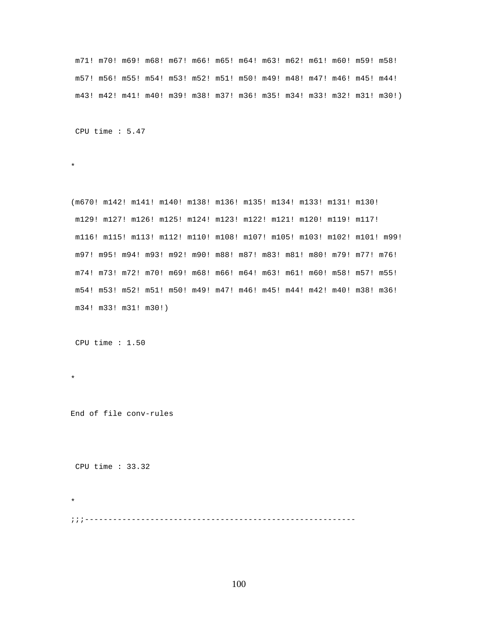m71! m70! m69! m68! m67! m66! m65! m64! m63! m62! m61! m60! m59! m58! m57! m56! m55! m54! m53! m52! m51! m50! m49! m48! m47! m46! m45! m44! m43! m42! m41! m40! m39! m38! m37! m36! m35! m34! m33! m32! m31! m30!)

CPU time : 5.47

\*

(m670! m142! m141! m140! m138! m136! m135! m134! m133! m131! m130! m129! m127! m126! m125! m124! m123! m122! m121! m120! m119! m117! m116! m115! m113! m112! m110! m108! m107! m105! m103! m102! m101! m99! m97! m95! m94! m93! m92! m90! m88! m87! m83! m81! m80! m79! m77! m76! m74! m73! m72! m70! m69! m68! m66! m64! m63! m61! m60! m58! m57! m55! m54! m53! m52! m51! m50! m49! m47! m46! m45! m44! m42! m40! m38! m36! m34! m33! m31! m30!)

CPU time : 1.50

\*

End of file conv-rules

CPU time : 33.32

\* ;;;----------------------------------------------------------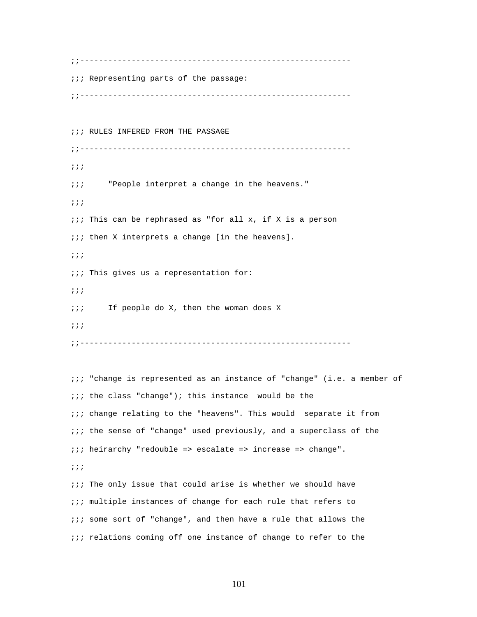;;---------------------------------------------------------- ;;; Representing parts of the passage: ;;---------------------------------------------------------- ;;; RULES INFERED FROM THE PASSAGE ;;---------------------------------------------------------- ;;; ;;; "People interpret a change in the heavens." ;;;  $i:i$  This can be rephrased as "for all x, if X is a person *iii* then X interprets a change [in the heavens]. ;;; ;;; This gives us a representation for: ;;; ;;; If people do X, then the woman does X ;;; ;;----------------------------------------------------------

;;; "change is represented as an instance of "change" (i.e. a member of  $i:i$  the class "change"); this instance would be the ;;; change relating to the "heavens". This would separate it from ;;; the sense of "change" used previously, and a superclass of the ;;; heirarchy "redouble => escalate => increase => change". ;;;  $i:i$  The only issue that could arise is whether we should have ;;; multiple instances of change for each rule that refers to ;;; some sort of "change", and then have a rule that allows the ;;; relations coming off one instance of change to refer to the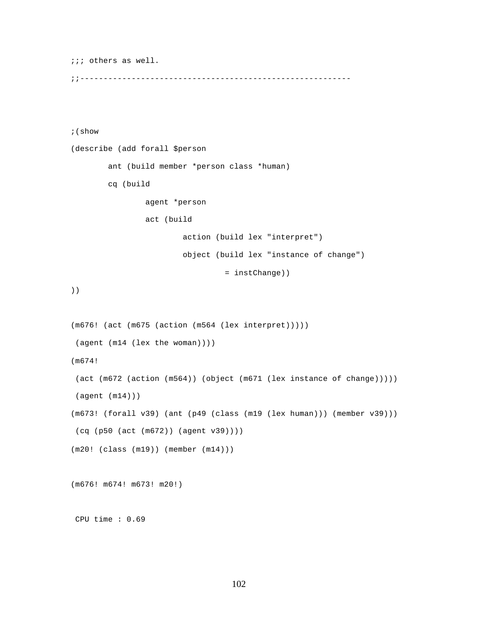```
;;; others as well. 
;;----------------------------------------------------------
;(show
(describe (add forall $person
         ant (build member *person class *human)
         cq (build 
                 agent *person 
                 act (build 
                         action (build lex "interpret")
                         object (build lex "instance of change")
                                   = instChange))
))
(m676! (act (m675 (action (m564 (lex interpret)))))
 (agent (m14 (lex the woman))))
(m674!
 (act (m672 (action (m564)) (object (m671 (lex instance of change)))))
 (agent (m14)))
(m673! (forall v39) (ant (p49 (class (m19 (lex human))) (member v39)))
 (cq (p50 (act (m672)) (agent v39))))
(m20! (class (m19)) (member (m14)))
(m676! m674! m673! m20!)
 CPU time : 0.69
```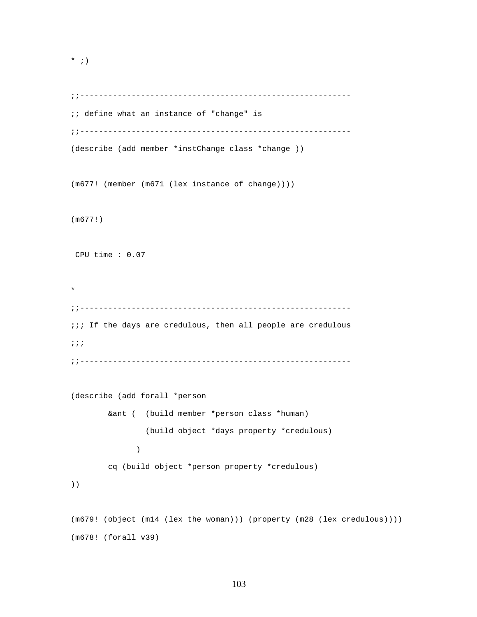```
* ; )
```

```
;;----------------------------------------------------------
;; define what an instance of "change" is
;;----------------------------------------------------------
(describe (add member *instChange class *change ))
(m677! (member (m671 (lex instance of change))))
(m677!)
 CPU time : 0.07 
* 
;;----------------------------------------------------------
;;; If the days are credulous, then all people are credulous
;;;
;;----------------------------------------------------------
(describe (add forall *person
        &ant ( (build member *person class *human)
                (build object *days property *credulous)
 )
        cq (build object *person property *credulous)
))
(m679! (object (m14 (lex the woman))) (property (m28 (lex credulous))))
(m678! (forall v39)
```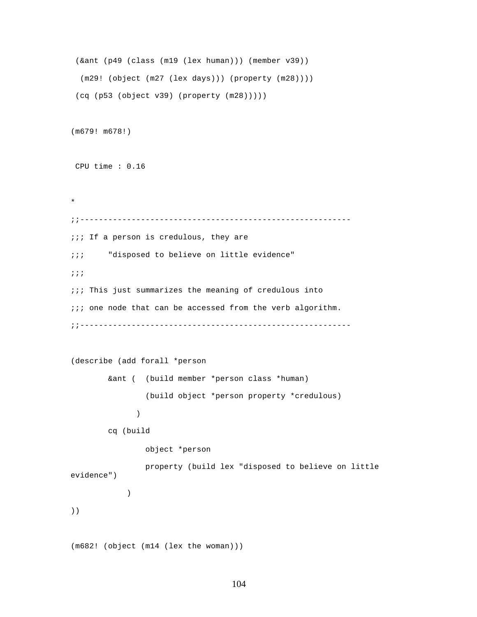```
 (&ant (p49 (class (m19 (lex human))) (member v39))
   (m29! (object (m27 (lex days))) (property (m28))))
  (cq (p53 (object v39) (property (m28)))))
(m679! m678!)
 CPU time : 0.16 
* 
;;----------------------------------------------------------
;;; If a person is credulous, they are
;;; "disposed to believe on little evidence"
;;;
;;; This just summarizes the meaning of credulous into
\cdots one node that can be accessed from the verb algorithm.
;;----------------------------------------------------------
(describe (add forall *person
         &ant ( (build member *person class *human)
                 (build object *person property *credulous)
 )
         cq (build 
                 object *person 
                 property (build lex "disposed to believe on little 
evidence")
           \left( \begin{array}{c} \end{array} \right)))
(m682! (object (m14 (lex the woman)))
```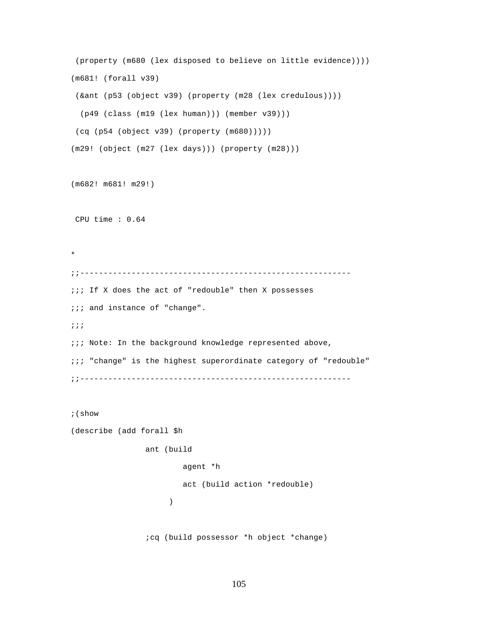```
 (property (m680 (lex disposed to believe on little evidence))))
(m681! (forall v39)
  (&ant (p53 (object v39) (property (m28 (lex credulous))))
  (p49 (class (m19 (lex human))) (member v39)))
  (cq (p54 (object v39) (property (m680)))))
(m29! (object (m27 (lex days))) (property (m28)))
(m682! m681! m29!)
 CPU time : 0.64 
* 
;;----------------------------------------------------------
;;; If X does the act of "redouble" then X possesses
;;; and instance of "change".
;;;
;;; Note: In the background knowledge represented above,
;;; "change" is the highest superordinate category of "redouble"
;;----------------------------------------------------------
;(show
(describe (add forall $h
                ant (build 
                        agent *h 
                        act (build action *redouble)
 )
                 ;cq (build possessor *h object *change)
```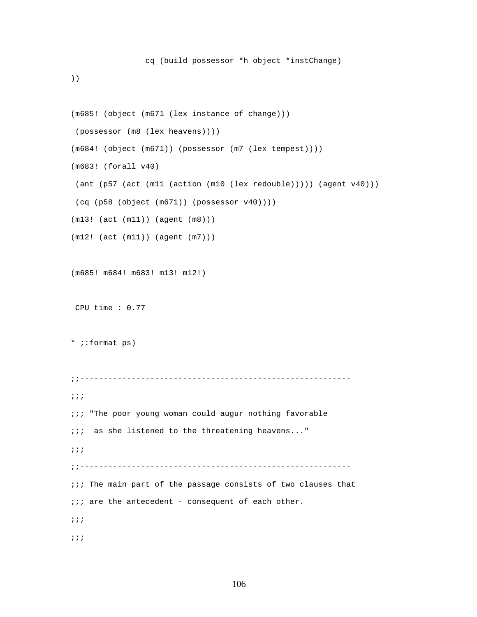))

```
(m685! (object (m671 (lex instance of change)))
 (possessor (m8 (lex heavens))))
(m684! (object (m671)) (possessor (m7 (lex tempest))))
(m683! (forall v40)
  (ant (p57 (act (m11 (action (m10 (lex redouble))))) (agent v40)))
 (cq (p58 (object (m671)) (possessor v40))))
(m13! (act (m11)) (agent (m8)))
(m12! (act (m11)) (agent (m7)))
(m685! m684! m683! m13! m12!)
 CPU time : 0.77 
* ;:format ps) 
;;----------------------------------------------------------
;;;
\cdots "The poor young woman could augur nothing favorable
;;; as she listened to the threatening heavens..."
;;;
;;----------------------------------------------------------
;;; The main part of the passage consists of two clauses that
i:i are the antecedent - consequent of each other.
;;;
;;;
```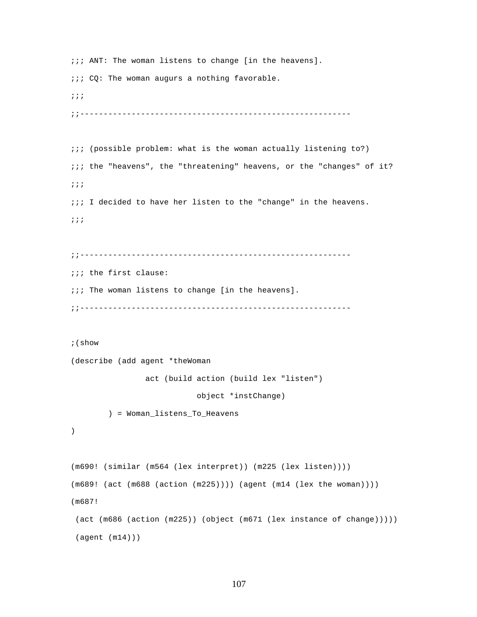```
;;; ANT: The woman listens to change [in the heavens]. 
i:i CQ: The woman augurs a nothing favorable.
;;;
;;----------------------------------------------------------
;;; (possible problem: what is the woman actually listening to?) 
;;; the "heavens", the "threatening" heavens, or the "changes" of it?
;;;
;;; I decided to have her listen to the "change" in the heavens.
;;;
;;----------------------------------------------------------
;;; the first clause:
;;; The woman listens to change [in the heavens].
;;----------------------------------------------------------
;(show
(describe (add agent *theWoman 
                 act (build action (build lex "listen")
                            object *instChange)
         ) = Woman_listens_To_Heavens
)
(m690! (similar (m564 (lex interpret)) (m225 (lex listen))))
(m689! (act (m688 (action (m225)))) (agent (m14 (lex the woman))))
(m687!
  (act (m686 (action (m225)) (object (m671 (lex instance of change)))))
  (agent (m14)))
```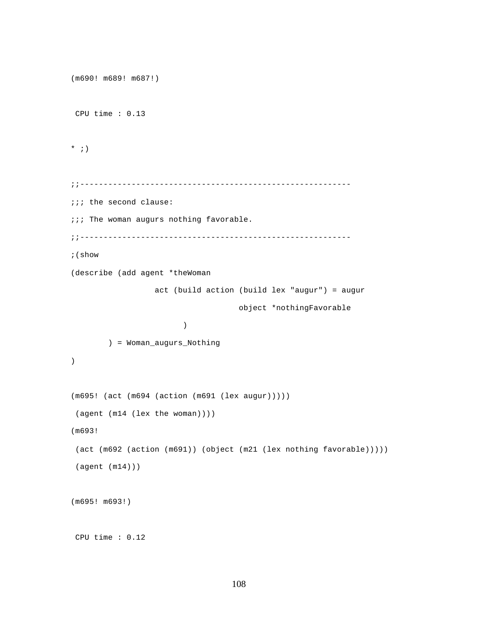```
(m690! m689! m687!)
 CPU time : 0.13 
* ; )
;;----------------------------------------------------------
;;; the second clause:
;;; The woman augurs nothing favorable.
;;----------------------------------------------------------
;(show
(describe (add agent *theWoman 
                  act (build action (build lex "augur") = augur
                                    object *nothingFavorable
 )
        ) = Woman_augurs_Nothing
)
(m695! (act (m694 (action (m691 (lex augur)))))
 (agent (m14 (lex the woman))))
(m693!
  (act (m692 (action (m691)) (object (m21 (lex nothing favorable)))))
 (agent (m14)))
(m695! m693!)
 CPU time : 0.12
```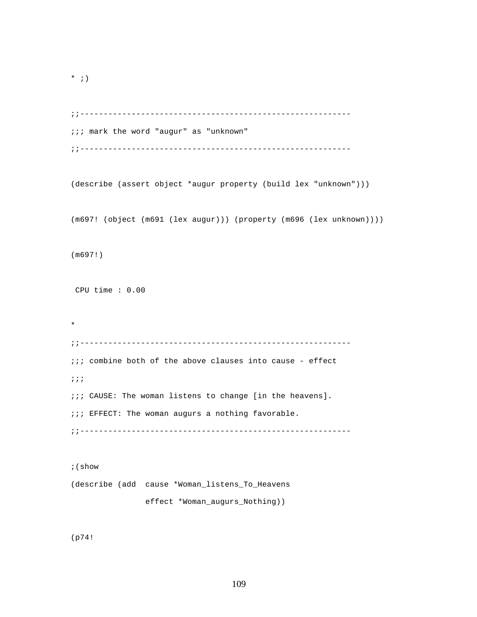```
* ; )
```

```
;;----------------------------------------------------------
;;; mark the word "augur" as "unknown"
;;----------------------------------------------------------
```
(describe (assert object \*augur property (build lex "unknown")))

(m697! (object (m691 (lex augur))) (property (m696 (lex unknown))))

(m697!)

CPU time : 0.00

\* ;;---------------------------------------------------------  $i:i$  combine both of the above clauses into cause - effect ;;; ;;; CAUSE: The woman listens to change [in the heavens]. ;;; EFFECT: The woman augurs a nothing favorable. ;;----------------------------------------------------------

;(show (describe (add cause \*Woman\_listens\_To\_Heavens effect \*Woman\_augurs\_Nothing))

(p74!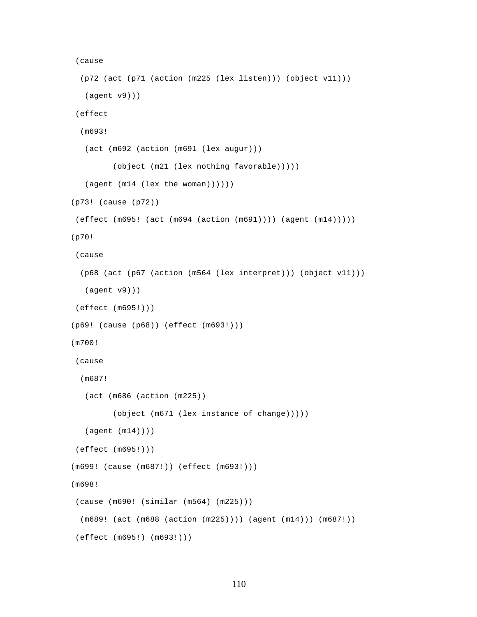```
 (cause
   (p72 (act (p71 (action (m225 (lex listen))) (object v11)))
    (agent v9)))
  (effect
   (m693!
    (act (m692 (action (m691 (lex augur)))
          (object (m21 (lex nothing favorable)))))
    (agent (m14 (lex the woman))))))
(p73! (cause (p72))
 (effect (m695! (act (m694 (action (m691)))) (agent (m14)))))
(p70!
 (cause
   (p68 (act (p67 (action (m564 (lex interpret))) (object v11)))
   (agent v9)))
  (effect (m695!)))
(p69! (cause (p68)) (effect (m693!)))
(m700!
 (cause
   (m687!
    (act (m686 (action (m225))
          (object (m671 (lex instance of change)))))
    (agent (m14))))
  (effect (m695!)))
(m699! (cause (m687!)) (effect (m693!)))
(m698!
  (cause (m690! (similar (m564) (m225)))
  (m689! (act (m688 (action (m225)))) (agent (m14))) (m687!))
  (effect (m695!) (m693!)))
```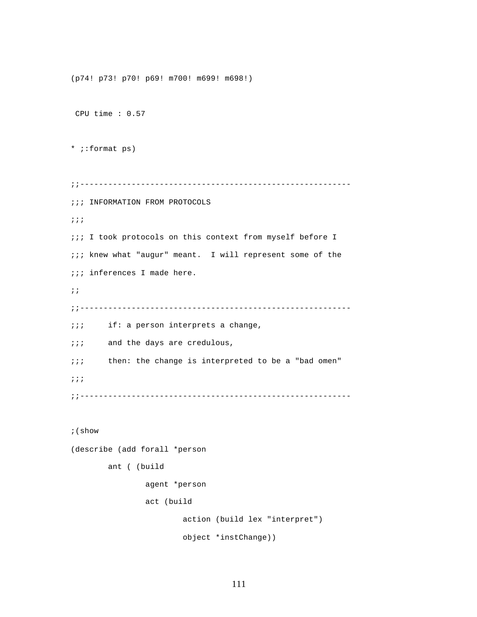```
(p74! p73! p70! p69! m700! m699! m698!)
  CPU time : 0.57 
* ;:format ps)
;;----------------------------------------------------------
;;; INFORMATION FROM PROTOCOLS
;;;
;;; I took protocols on this context from myself before I
;;; knew what "augur" meant. I will represent some of the
;;; inferences I made here. 
;;
;;----------------------------------------------------------
;;; if: a person interprets a change,
;;; and the days are credulous,
;;; then: the change is interpreted to be a "bad omen"
;;;
;;----------------------------------------------------------
;(show
(describe (add forall *person
         ant ( (build 
                 agent *person 
                 act (build 
                         action (build lex "interpret") 
                         object *instChange))
```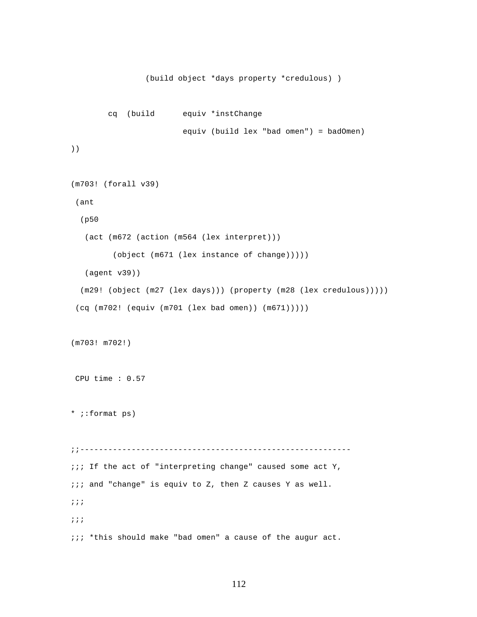```
 (build object *days property *credulous) )
         cq (build equiv *instChange
                         equiv (build lex "bad omen") = badOmen)
))
(m703! (forall v39)
  (ant
   (p50
   (act (m672 (action (m564 (lex interpret)))
          (object (m671 (lex instance of change)))))
   (agent v39))
   (m29! (object (m27 (lex days))) (property (m28 (lex credulous)))))
  (cq (m702! (equiv (m701 (lex bad omen)) (m671)))))
(m703! m702!)
 CPU time : 0.57 
* ;:format ps)
;;----------------------------------------------------------
;;; If the act of "interpreting change" caused some act Y,
;;; and "change" is equiv to Z, then Z causes Y as well. 
;;;
;;;
;;; *this should make "bad omen" a cause of the augur act.
```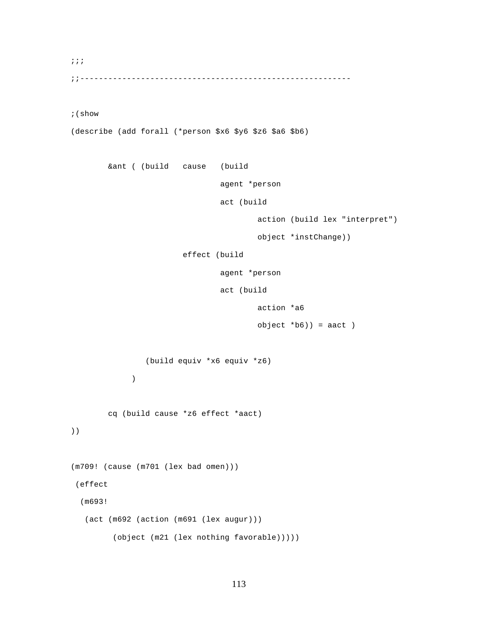;;;

;;----------------------------------------------------------

;(show

(describe (add forall (\*person \$x6 \$y6 \$z6 \$a6 \$b6)

&ant ( (build cause (build

agent \*person

act (build

action (build lex "interpret")

object \*instChange))

effect (build

agent \*person

act (build

action \*a6

```
 object *b6)) = aact )
```
(build equiv \*x6 equiv \*z6)

)

cq (build cause \*z6 effect \*aact)

))

```
(m709! (cause (m701 (lex bad omen)))
 (effect
   (m693!
   (act (m692 (action (m691 (lex augur)))
          (object (m21 (lex nothing favorable)))))
```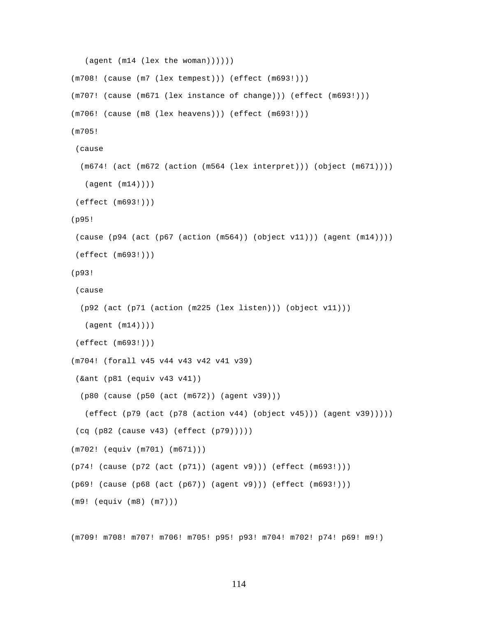```
 (agent (m14 (lex the woman))))))
(m708! (cause (m7 (lex tempest))) (effect (m693!)))
(m707! (cause (m671 (lex instance of change))) (effect (m693!)))
(m706! (cause (m8 (lex heavens))) (effect (m693!)))
(m705!
 (cause
  (m674! (act (m672 (action (m564 (lex interpret))) (object (m671))))
   (agent (m14))))
 (effect (m693!)))
(p95!
 (cause (p94 (act (p67 (action (m564)) (object v11))) (agent (m14))))
 (effect (m693!)))
(p93!
 (cause
   (p92 (act (p71 (action (m225 (lex listen))) (object v11)))
   (agent (m14))))
 (effect (m693!)))
(m704! (forall v45 v44 v43 v42 v41 v39)
 (&ant (p81 (equiv v43 v41))
  (p80 (cause (p50 (act (m672)) (agent v39)))
   (effect (p79 (act (p78 (action v44) (object v45))) (agent v39)))))
 (cq (p82 (cause v43) (effect (p79)))))
(m702! (equiv (m701) (m671)))
(p74! (cause (p72 (act (p71)) (agent v9))) (effect (m693!)))
(p69! (cause (p68 (act (p67)) (agent v9))) (effect (m693!)))
(m9! (equiv (m8) (m7)))
```
(m709! m708! m707! m706! m705! p95! p93! m704! m702! p74! p69! m9!)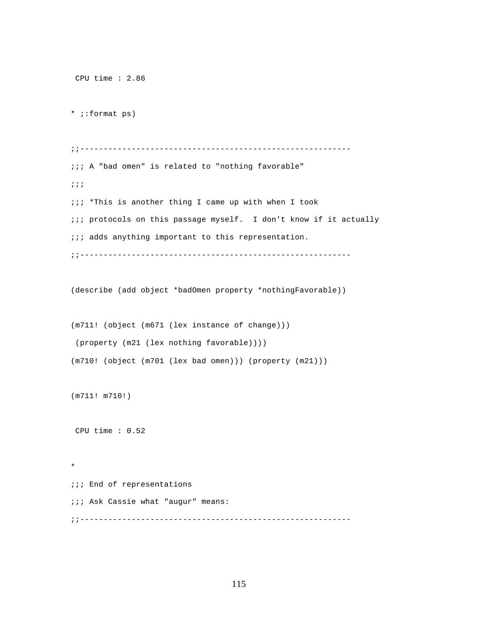```
 CPU time : 2.86 
* ;:format ps)
;;----------------------------------------------------------
;;; A "bad omen" is related to "nothing favorable"
;;; 
;;; *This is another thing I came up with when I took 
;;; protocols on this passage myself. I don't know if it actually
i:i adds anything important to this representation.
;;----------------------------------------------------------
(describe (add object *badOmen property *nothingFavorable))
(m711! (object (m671 (lex instance of change)))
 (property (m21 (lex nothing favorable))))
(m710! (object (m701 (lex bad omen))) (property (m21)))
(m711! m710!)
 CPU time : 0.52
```
;;; End of representations ;;; Ask Cassie what "augur" means: ;;----------------------------------------------------------

\*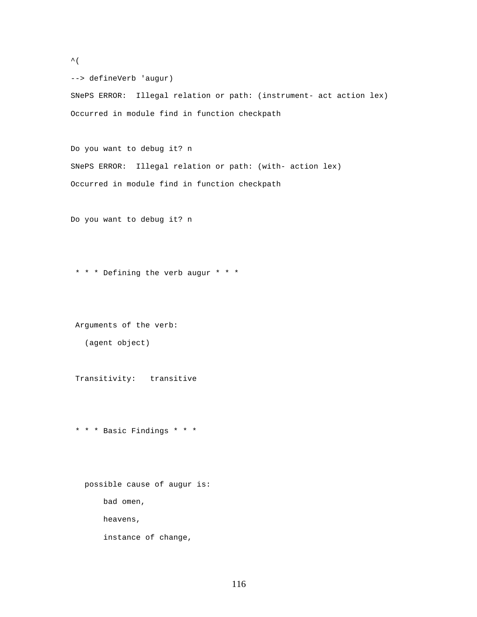```
\hat{\mathcal{L}}
```
--> defineVerb 'augur)

SNePS ERROR: Illegal relation or path: (instrument- act action lex) Occurred in module find in function checkpath

Do you want to debug it? n SNePS ERROR: Illegal relation or path: (with- action lex) Occurred in module find in function checkpath

Do you want to debug it? n

\* \* \* Defining the verb augur \* \* \*

Arguments of the verb:

(agent object)

Transitivity: transitive

\* \* \* Basic Findings \* \* \*

 possible cause of augur is: bad omen, heavens, instance of change,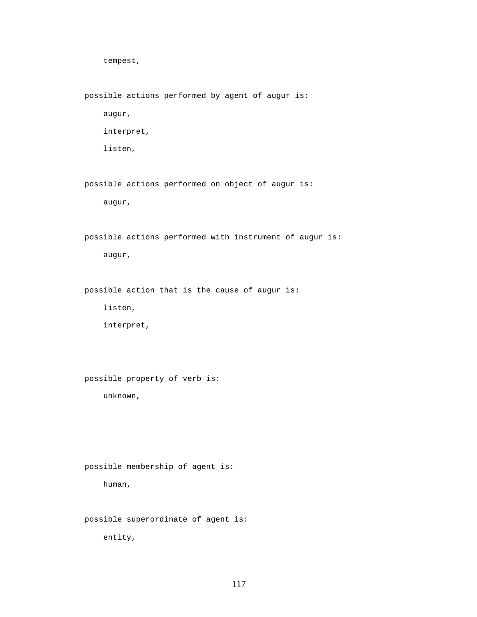tempest,

possible actions performed by agent of augur is:

augur,

interpret,

listen,

possible actions performed on object of augur is:

augur,

 possible actions performed with instrument of augur is: augur,

possible action that is the cause of augur is:

listen,

interpret,

possible property of verb is:

unknown,

possible membership of agent is:

human,

possible superordinate of agent is:

entity,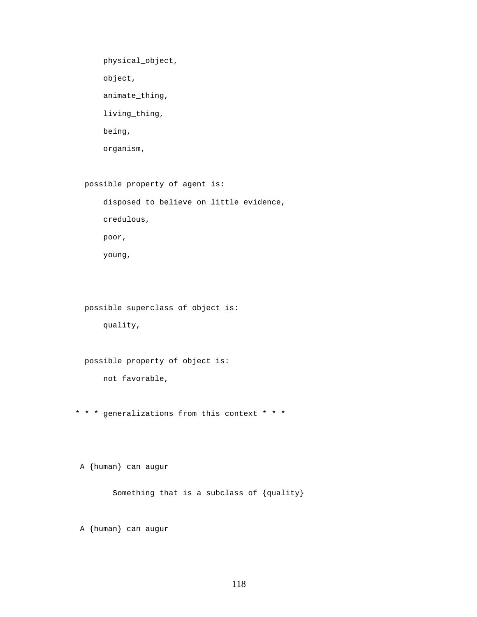physical\_object, object, animate\_thing, living\_thing, being, organism,

possible property of agent is:

 disposed to believe on little evidence, credulous, poor, young,

possible superclass of object is:

quality,

 possible property of object is: not favorable,

\* \* \* generalizations from this context \* \* \*

A {human} can augur

Something that is a subclass of {quality}

A {human} can augur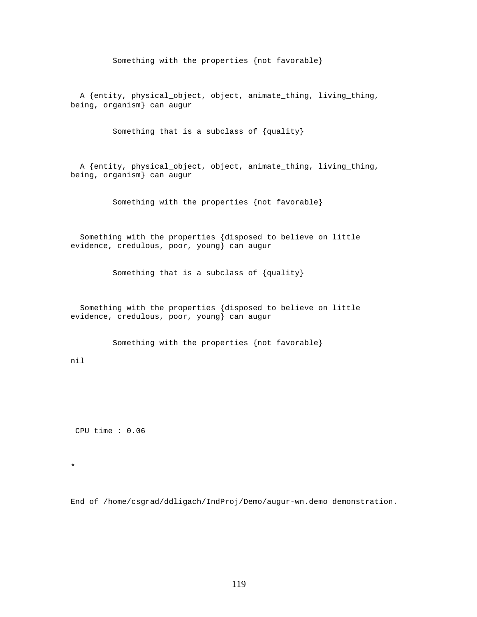Something with the properties {not favorable}

 A {entity, physical\_object, object, animate\_thing, living\_thing, being, organism} can augur

Something that is a subclass of {quality}

 A {entity, physical\_object, object, animate\_thing, living\_thing, being, organism} can augur

Something with the properties {not favorable}

 Something with the properties {disposed to believe on little evidence, credulous, poor, young} can augur

Something that is a subclass of {quality}

 Something with the properties {disposed to believe on little evidence, credulous, poor, young} can augur

Something with the properties {not favorable}

nil

CPU time : 0.06

\*

End of /home/csgrad/ddligach/IndProj/Demo/augur-wn.demo demonstration.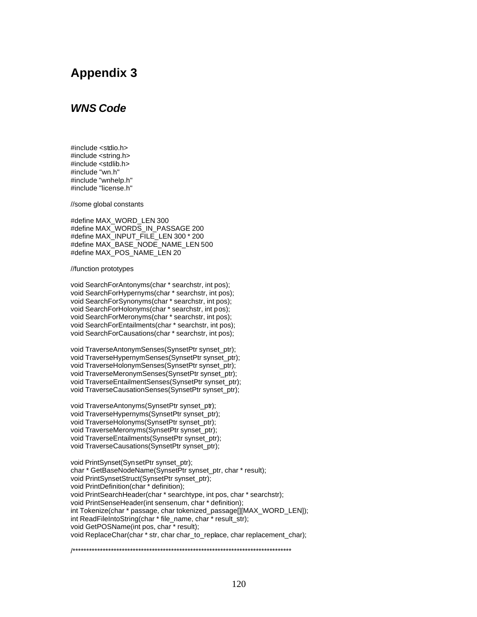## **Appendix 3**

## *WNS Code*

#include <stdio.h> #include <string.h> #include <stdlib.h> #include "wn.h" #include "wnhelp.h" #include "license.h"

//some global constants

#define MAX\_WORD\_LEN 300 #define MAX\_WORDS\_IN\_PASSAGE 200 #define MAX\_INPUT\_FILE\_LEN 300 \* 200 #define MAX\_BASE\_NODE\_NAME\_LEN 500 #define MAX\_POS\_NAME\_LEN 20

## //function prototypes

void SearchForAntonyms(char \* searchstr, int pos); void SearchForHypernyms(char \* searchstr, int pos); void SearchForSynonyms(char \* searchstr, int pos); void SearchForHolonyms(char \* searchstr, int pos); void SearchForMeronyms(char \* searchstr, int pos); void SearchForEntailments(char \* searchstr, int pos); void SearchForCausations(char \* searchstr, int pos);

void TraverseAntonymSenses(SynsetPtr synset\_ptr); void TraverseHypernymSenses(SynsetPtr synset\_ptr); void TraverseHolonymSenses(SynsetPtr synset\_ptr); void TraverseMeronymSenses(SynsetPtr synset\_ptr); void TraverseEntailmentSenses(SynsetPtr synset\_ptr); void TraverseCausationSenses(SynsetPtr synset\_ptr);

void TraverseAntonyms(SynsetPtr synset\_ptr); void TraverseHypernyms(SynsetPtr synset\_ptr); void TraverseHolonyms(SynsetPtr synset\_ptr); void TraverseMeronyms(SynsetPtr synset\_ptr); void TraverseEntailments(SynsetPtr synset\_ptr); void TraverseCausations(SynsetPtr synset\_ptr);

void PrintSynset(SynsetPtr synset\_ptr); char \* GetBaseNodeName(SynsetPtr synset\_ptr, char \* result); void PrintSynsetStruct(SynsetPtr synset\_ptr); void PrintDefinition(char \* definition); void PrintSearchHeader(char \* searchtype, int pos, char \* searchstr); void PrintSenseHeader(int sensenum, char \* definition); int Tokenize(char \* passage, char tokenized\_passage[][MAX\_WORD\_LEN]); int ReadFileIntoString(char \* file\_name, char \* result\_str); void GetPOSName(int pos, char \* result); void ReplaceChar(char \* str, char char\_to\_replace, char replacement\_char);

/\*\*\*\*\*\*\*\*\*\*\*\*\*\*\*\*\*\*\*\*\*\*\*\*\*\*\*\*\*\*\*\*\*\*\*\*\*\*\*\*\*\*\*\*\*\*\*\*\*\*\*\*\*\*\*\*\*\*\*\*\*\*\*\*\*\*\*\*\*\*\*\*\*\*\*\*\*\*\*\*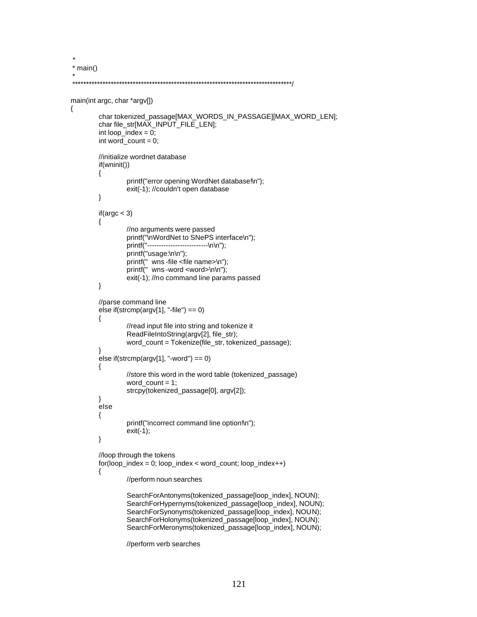```
 * 
 * main()
 *
 ********************************************************************************/
main(int argc, char *argv[])
{
         char tokenized_passage[MAX_WORDS_IN_PASSAGE][MAX_WORD_LEN];
         char file_str[MAX_INPUT_FILE_LEN];
         int loop_index = 0;
         int word_count = 0;
         //initialize wordnet database
         if(wninit())
         {
                  printf("error opening WordNet database!\n");
                  exit(-1); //couldn't open database
         }
         if(argc < 3)
         {
                  //no arguments were passed
                  printf("\nWordNet to SNePS interface\n");<br>printf("-------------------------\n\n");
                                     ............\n\n");
                  printf("usage:\n\n");
                  printf(" wns -file <file name>\n");
                  printf(" wns -word <word>\n\n");
                  exit(-1); //no command line params passed
         }
         //parse command line
         else if(strcmp(argv[1], "-file") == 0)
         {
                  //read input file into string and tokenize it
                  ReadFileIntoString(argv[2], file_str);
                  word_count = Tokenize(file_str, tokenized_passage);
         }
         else if(strcmp(argv[1], "-word") == 0)
         {
                  //store this word in the word table (tokenized_passage)
                  word_count = 1;
                  strcpy(tokenized_passage[0], argv[2]);
         }
         else
         {
                  printf("incorrect command line option!\n");
                  exit(-1);
         }
         //loop through the tokens
         for(loop_index = 0; loop_index < word_count; loop_index++)
         {
                  //perform noun searches
                  SearchForAntonyms(tokenized_passage[loop_index], NOUN);
                  SearchForHypernyms(tokenized_passage[loop_index], NOUN);
                  SearchForSynonyms(tokenized_passage[loop_index], NOUN);
```
SearchForHolonyms(tokenized\_passage[loop\_index], NOUN); SearchForMeronyms(tokenized\_passage[loop\_index], NOUN);

//perform verb searches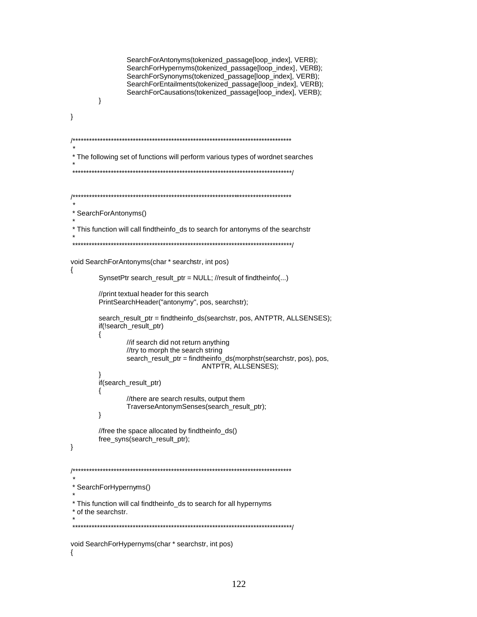```
SearchForAntonyms(tokenized_passage[loop_index], VERB);
             SearchForHypernyms(tokenized_passage[loop_index], VERB);
             SearchForSynonyms(tokenized_passage[loop_index], VERB);
             SearchForEntailments(tokenized_passage[loop_index], VERB);
             SearchForCausations(tokenized_passage[loop_index], VERB);
      }
\}* The following set of functions will perform various types of wordnet searches
* SearchForAntonyms()
* This function will call findtheinfo_ds to search for antonyms of the searchstr
void SearchForAntonyms(char * searchstr, int pos)
\{SynsetPtr search_result_ptr = NULL; //result of findtheinfo(...)
      //print textual header for this search
      PrintSearchHeader("antonymy", pos, searchstr);
      search_result_ptr = findtheinfo_ds(searchstr, pos, ANTPTR, ALLSENSES);
      if(!search_result_ptr)
      \{//if search did not return anything
             //try to morph the search string
             search_result_ptr = findtheinfo_ds(morphstr(searchstr, pos), pos,
                               ANTPTR, ALLSENSES);
      if(search_result_ptr)
      \{//there are search results, output them
             TraverseAntonymSenses(search_result_ptr);
      \}//free the space allocated by findtheinfo_ds()
      free_syns(search_result_ptr);
\}* SearchForHypernyms()
* This function will cal findtheinfo_ds to search for all hypernyms
* of the searchstr.
void SearchForHypernyms(char * searchstr, int pos)
₹
```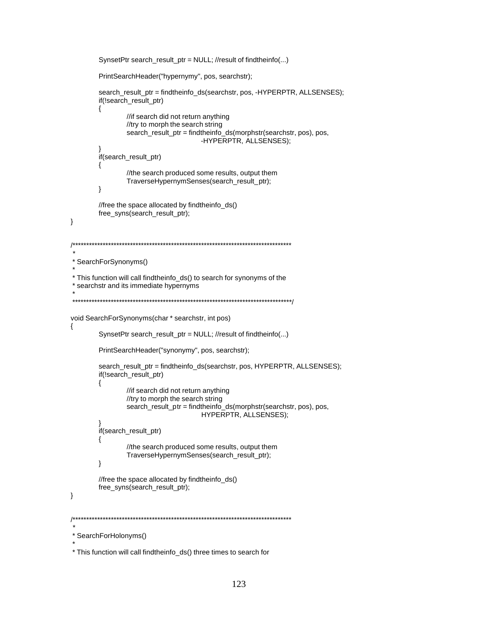```
SynsetPtr search_result_ptr = NULL; //result of findtheinfo(...)
        PrintSearchHeader("hypernymy", pos, searchstr);
        search_result_ptr = findtheinfo_ds(searchstr, pos, -HYPERPTR, ALLSENSES);
        if(!search_result_ptr)
        \{//if search did not return anything
               //try to morph the search string
               search_result_ptr = findtheinfo_ds(morphstr(searchstr, pos), pos,
                                    -HYPERPTR, ALLSENSES);
        if(search_result_ptr)
        \{//the search produced some results, output them
                TraverseHypernymSenses(search_result_ptr);
        \}//free the space allocated by findtheinfo_ds()
        free_syns(search_result_ptr);
\}* SearchForSynonyms()
* This function will call findtheinfo_ds() to search for synonyms of the
* searchstr and its immediate hypernyms
        void SearchForSynonyms(char * searchstr, int pos)
₹
        SynsetPtr search_result_ptr = NULL; //result of findtheinfo(...)
        PrintSearchHeader("synonymy", pos, searchstr);
        search_result_ptr = findtheinfo_ds(searchstr, pos, HYPERPTR, ALLSENSES);
        if(!search_result_ptr)
        \{//if search did not return anything
               //try to morph the search string
               search_result_ptr = findtheinfo_ds(morphstr(searchstr, pos), pos,
                                    HYPERPTR, ALLSENSES);
        if(search_result_ptr)
        ₹
               //the search produced some results, output them
               TraverseHypernymSenses(search_result_ptr);
        \}//free the space allocated by findtheinfo_ds()
        free_syns(search_result_ptr);
\}* SearchForHolonyms()
```
<sup>\*</sup> This function will call findtheinfo\_ds() three times to search for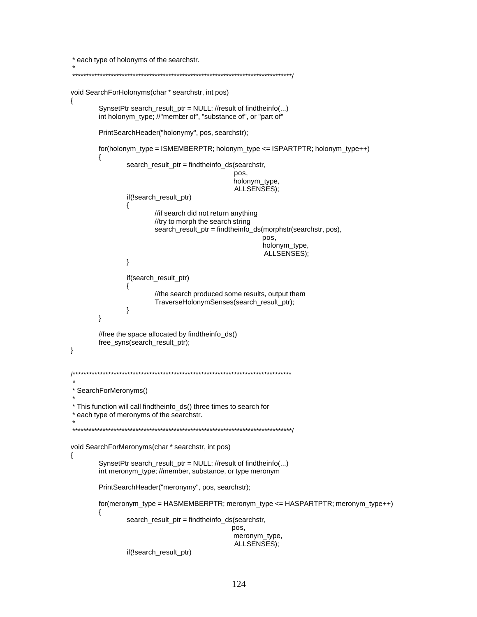```
* each type of holonyms of the searchstr.
```

```
void SearchForHolonyms(char * searchstr, int pos)
₹
       SynsetPtr search_result_ptr = NULL; //result of findtheinfo(...)
       int holonym_type; //"member of", "substance of", or "part of"
       PrintSearchHeader("holonymy", pos, searchstr);
       for(holonym_type = ISMEMBERPTR; holonym_type <= ISPARTPTR; holonym_type++)
       ₹
               search_result_ptr = findtheinfo_ds(searchstr,
                                            pos.
                                             holonym_type,
                                             ALLSENSES);
               if(!search_result_ptr)
               {
                       //if search did not return anything
                       //try to morph the search string
                       search_result_ptr = findtheinfo_ds(morphstr(searchstr, pos),
                                                    pos,
                                                    holonym_type,
                                                     ALLSENSES):
               \}if(search_result_ptr)
               {
                       //the search produced some results, output them
                       TraverseHolonymSenses(search_result_ptr);
               \}\mathcal{E}//free the space allocated by findtheinfo_ds()
       free_syns(search_result_ptr);
\}^{***}* SearchForMeronyms()
* This function will call findtheinfo_ds() three times to search for
* each type of meronyms of the searchstr.
void SearchForMeronyms(char * searchstr, int pos)
\{SynsetPtr search_result_ptr = NULL; //result of findtheinfo(...)
       int meronym_type; //member, substance, or type meronym
       PrintSearchHeader("meronymy", pos, searchstr);
       for(meronym_type = HASMEMBERPTR; meronym_type <= HASPARTPTR; meronym_type++)
       \{search_result_ptr = findtheinfo_ds(searchstr,
                                            pos,
                                            meronym_type,
                                             ALLSENSES);
               if(!search_result_ptr)
```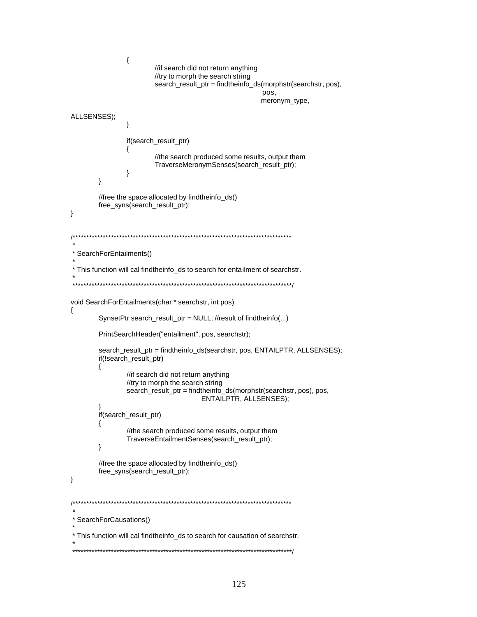```
\{//if search did not return anything
                      //try to morph the search string
                      search_result_ptr = findtheinfo_ds(morphstr(searchstr, pos),
                                                   pos,
                                                   meronym_type,
ALLSENSES);
               ∤
               if(search_result_ptr)
               {
                      //the search produced some results, output them
                      TraverseMeronymSenses(search_result_ptr);
              \}\}//free the space allocated by findtheinfo_ds()
       free_syns(search_result_ptr);
\}* SearchForEntailments()
* This function will cal findtheinfo_ds to search for entailment of searchstr.
          void SearchForEntailments(char * searchstr, int pos)
\{SynsetPtr search_result_ptr = NULL; //result of findtheinfo(...)
       PrintSearchHeader("entailment", pos, searchstr);
       search_result_ptr = findtheinfo_ds(searchstr, pos, ENTAILPTR, ALLSENSES);
       if(!search_result_ptr)
       \{//if search did not return anything
              //try to morph the search string
               search_result_ptr = findtheinfo_ds(morphstr(searchstr, pos), pos,
                                  ENTAILPTR, ALLSENSES);
       if(search_result_ptr)
       \{//the search produced some results, output them
               TraverseEntailmentSenses(search_result_ptr);
       \}//free the space allocated by findtheinfo_ds()
       free_syns(search_result_ptr);
\}* SearchForCausations()
* This function will cal findtheinfo_ds to search for causation of searchstr.
```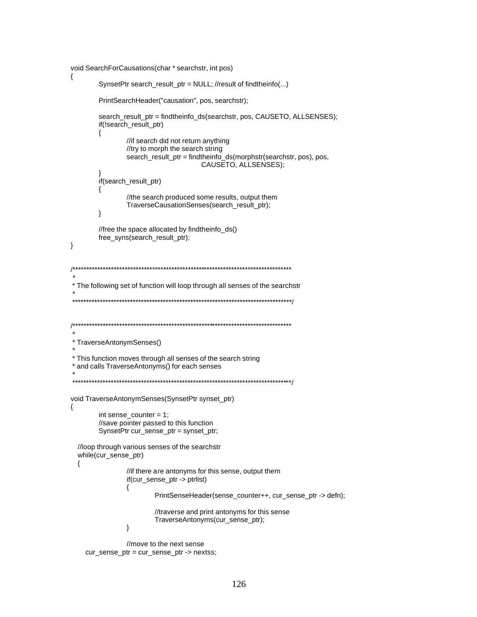```
void SearchForCausations(char * searchstr, int pos)
\{SynsetPtr search_result_ptr = NULL; //result of findtheinfo(...)
       PrintSearchHeader("causation", pos, searchstr);
       search_result_ptr = findtheinfo_ds(searchstr, pos, CAUSETO, ALLSENSES);
       if(!search_result_ptr)
       \{//if search did not return anything
              //try to morph the search string
               search_result_ptr = findtheinfo_ds(morphstr(searchstr, pos), pos,
                                  CAUSETO, ALLSENSES);
       if(search_result_ptr)
       \{//the search produced some results, output them
               TraverseCausationSenses(search_result_ptr);
       \}//free the space allocated by findtheinfo_ds()
       free_syns(search_result_ptr);
\}* The following set of function will loop through all senses of the searchstr
* TraverseAntonymSenses()
* This function moves through all senses of the search string
* and calls TraverseAntonyms() for each senses
void TraverseAntonymSenses(SynsetPtr synset_ptr)
\{int sense\_counter = 1;//save pointer passed to this function
       SynsetPtr cur_sense_ptr = synset_ptr;
 //loop through various senses of the searchstr
  while(cur_sense_ptr)
  \{//if there are antonyms for this sense, output them
              if(cur_sense_ptr -> ptrlist)
               {
                      PrintSenseHeader(sense_counter++, cur_sense_ptr -> defn);
                      //traverse and print antonyms for this sense
                      TraverseAntonyms(cur_sense_ptr);
               \mathcal{E}//move to the next sense
```

```
cur_sense_ptr = cur_sense_ptr -> nextss;
```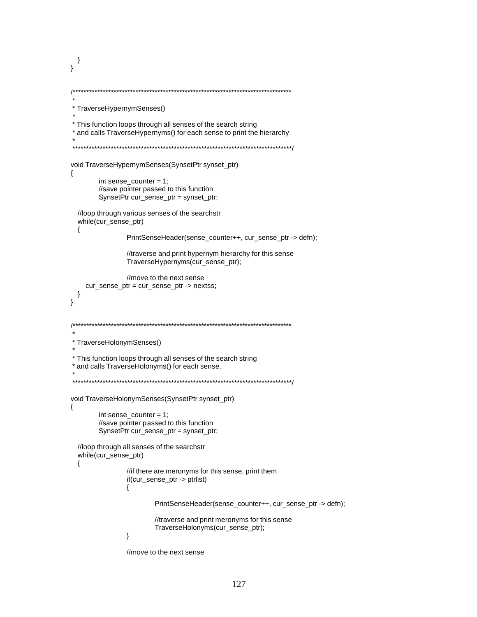```
\}\mathcal{E}* TraverseHypernymSenses()
* This function loops through all senses of the search string
* and calls TraverseHypernyms() for each sense to print the hierarchy
void TraverseHypernymSenses(SynsetPtr synset_ptr)
₹
       int sense_counter = 1;
       //save pointer passed to this function
       SynsetPtr cur_sense_ptr = synset_ptr;
 //loop through various senses of the searchstr
 while(cur_sense_ptr)
 \{PrintSenseHeader(sense_counter++, cur_sense_ptr -> defn);
              //traverse and print hypernym hierarchy for this sense
              TraverseHypernyms(cur_sense_ptr);
              //move to the next sense
   cur_sense_ptr = cur_sense_ptr -> nextss;
 \}\mathcal{E}* TraverseHolonymSenses()
* This function loops through all senses of the search string
* and calls TraverseHolonyms() for each sense.
void TraverseHolonymSenses(SynsetPtr synset_ptr)
\{int sense\_counter = 1;//save pointer passed to this function
       SynsetPtr cur_sense_ptr = synset_ptr;
 //loop through all senses of the searchstr
 while(cur_sense_ptr)
 \{//if there are meronyms for this sense, print them
              if(cur_sense_ptr -> ptrlist)
              ł
                      PrintSenseHeader(sense_counter++, cur_sense_ptr -> defn);
                      //traverse and print meronyms for this sense
                      TraverseHolonyms(cur_sense_ptr);
              \mathcal{E}
```

```
//move to the next sense
```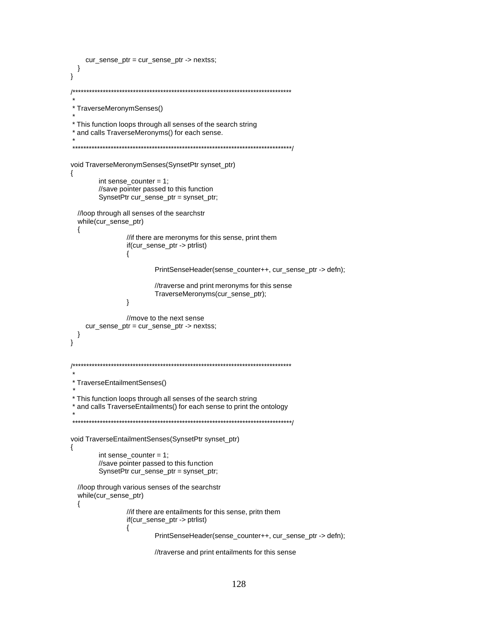```
cur_sense_ptr = cur_sense_ptr -> nextss;
 \}\mathcal{E}* TraverseMeronymSenses()
* This function loops through all senses of the search string
* and calls TraverseMeronyms() for each sense.
void TraverseMeronymSenses(SynsetPtr synset_ptr)
₹
       int sense_counter = 1;
       //save pointer passed to this function
       SynsetPtr cur_sense_ptr = synset_ptr;
  //loop through all senses of the searchstr
  while(cur_sense_ptr)
  \{//if there are meronyms for this sense, print them
               if(cur_sense_ptr -> ptrlist)
               \{PrintSenseHeader(sense_counter++, cur_sense_ptr -> defn);
                      //traverse and print meronyms for this sense
                      TraverseMeronyms(cur_sense_ptr);
               \}//move to the next sense
    cur_sense_ptr = cur_sense_ptr -> nextss;
 \}\}* TraverseEntailmentSenses()
* This function loops through all senses of the search string
* and calls TraverseEntailments() for each sense to print the ontology
void TraverseEntailmentSenses(SynsetPtr synset_ptr)
\{int sense\_counter = 1;//save pointer passed to this function
       SynsetPtr cur_sense_ptr = synset_ptr;
  //loop through various senses of the searchstr
  while(cur_sense_ptr)
  ₹
               //if there are entailments for this sense, pritn them
               if(cur_sense_ptr -> ptrlist)
               \{PrintSenseHeader(sense_counter++, cur_sense_ptr -> defn);
                      //traverse and print entailments for this sense
```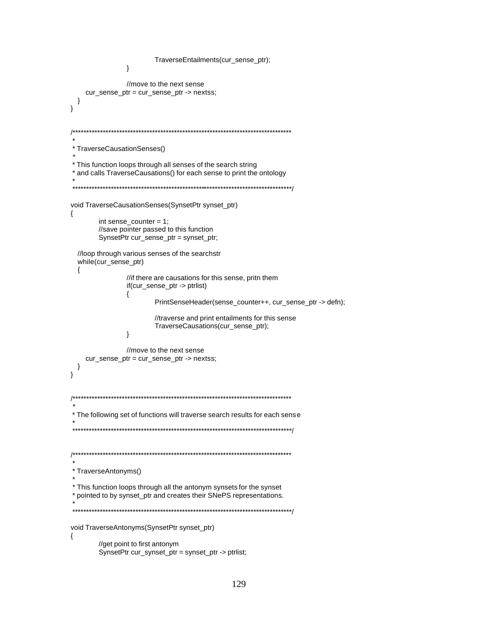```
TraverseEntailments(cur_sense_ptr);
             \}//move to the next sense
   cur_sense_ptr = cur_sense_ptr -> nextss;
 }
\mathcal{E}* TraverseCausationSenses()
* This function loops through all senses of the search string
* and calls TraverseCausations() for each sense to print the ontology
void TraverseCausationSenses(SynsetPtr synset_ptr)
\{int sense_counter = 1;
      //save pointer passed to this function
      SynsetPtr cur_sense_ptr = synset_ptr;
 //loop through various senses of the searchstr
 while(cur_sense_ptr)
 \{//if there are causations for this sense, pritn them
             if(cur_sense_ptr -> ptrlist)
             {
                    PrintSenseHeader(sense_counter++, cur_sense_ptr -> defn);
                    //traverse and print entailments for this sense
                    TraverseCausations(cur_sense_ptr);
             \}//move to the next sense
   cur_sense_ptr = cur_sense_ptr -> nextss;
 \}\mathcal{E}* The following set of functions will traverse search results for each sense
* TraverseAntonyms()
* This function loops through all the antonym synsets for the synset
* pointed to by synset_ptr and creates their SNePS representations.
void TraverseAntonyms(SynsetPtr synset_ptr)
₹
      //get point to first antonym
      SynsetPtr cur_synset_ptr = synset_ptr -> ptrlist;
```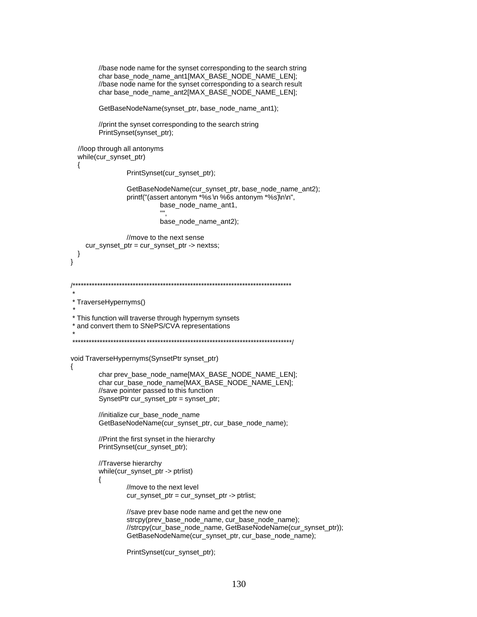```
//base node name for the synset corresponding to the search string
       char base_node_name_ant1[MAX_BASE_NODE_NAME_LEN];
       //base node name for the synset corresponding to a search result
       char base_node_name_ant2[MAX_BASE_NODE_NAME_LEN];
       GetBaseNodeName(synset_ptr, base_node_name_ant1);
       //print the synset corresponding to the search string
       PrintSynset(synset_ptr);
 //loop through all antonyms
 while(cur_synset_ptr)
 ₹
               PrintSynset(cur_synset_ptr);
               GetBaseNodeName(cur_synset_ptr, base_node_name_ant2);
               printf("(assert antonym *%s \n %6s antonym *%s)\n\n",
                        base_node_name_ant1,
                        base_node_name_ant2);
               //move to the next sense
    cur_synset_ptr = cur_synset_ptr -> nextss;
 \}\}* TraverseHypernyms()
* This function will traverse through hypernym synsets
* and convert them to SNePS/CVA representations
void TraverseHypernyms(SynsetPtr synset_ptr)
\{char prev_base_node_name[MAX_BASE_NODE_NAME_LEN];
       char cur_base_node_name[MAX_BASE_NODE_NAME_LEN];
       //save pointer passed to this function
       SynsetPtr cur_synset_ptr = synset_ptr;
       //initialize cur_base_node_name
       GetBaseNodeName(cur_synset_ptr, cur_base_node_name);
       //Print the first synset in the hierarchy
       PrintSynset(cur_synset_ptr);
       //Traverse hierarchy
       while(cur_synset_ptr -> ptrlist)
       \{//move to the next level
               cur_synset_ptr = cur_synset_ptr -> ptrlist;
               //save prev base node name and get the new one
               strcpy(prev_base_node_name, cur_base_node_name);
               //strcpy(cur_base_node_name, GetBaseNodeName(cur_synset_ptr));
               GetBaseNodeName(cur_synset_ptr, cur_base_node_name);
               PrintSynset(cur_synset_ptr);
```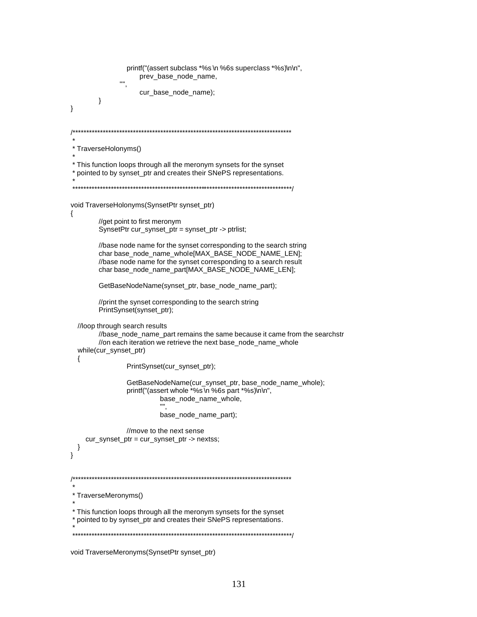```
printf("(assert subclass *%s \n %6s superclass *%s)\n\n",
                  prev_base_node_name,
                  cur_base_node_name);
       }
\mathcal{E}* TraverseHolonyms()
* This function loops through all the meronym synsets for the synset
* pointed to by synset_ptr and creates their SNePS representations.
void TraverseHolonyms(SynsetPtr synset_ptr)
{
       //get point to first meronym
       SynsetPtr cur_synset_ptr = synset_ptr -> ptrlist;
       //base node name for the synset corresponding to the search string
       char base_node_name_whole[MAX_BASE_NODE_NAME_LEN];
       //base node name for the synset corresponding to a search result
       char base_node_name_part[MAX_BASE_NODE_NAME_LEN];
       GetBaseNodeName(synset_ptr, base_node_name_part);
       //print the synset corresponding to the search string
       PrintSynset(synset_ptr);
 //loop through search results
       //base_node_name_part remains the same because it came from the searchstr
       //on each iteration we retrieve the next base_node_name_whole
 while(cur_synset_ptr)
 \{PrintSynset(cur_synset_ptr);
              GetBaseNodeName(cur_synset_ptr, base_node_name_whole);
              printf("(assert whole *%s\n %6s part *%s)\n\n",
                       base_node_name_whole,
                       "",
                       base_node_name_part);
              //move to the next sense
    cur_synset_ptr = cur_synset_ptr -> nextss;
 \}\mathcal{E}/** TraverseMeronyms()
* This function loops through all the meronym synsets for the synset
* pointed to by synset_ptr and creates their SNePS representations.
```

```
void TraverseMeronyms(SynsetPtr synset_ptr)
```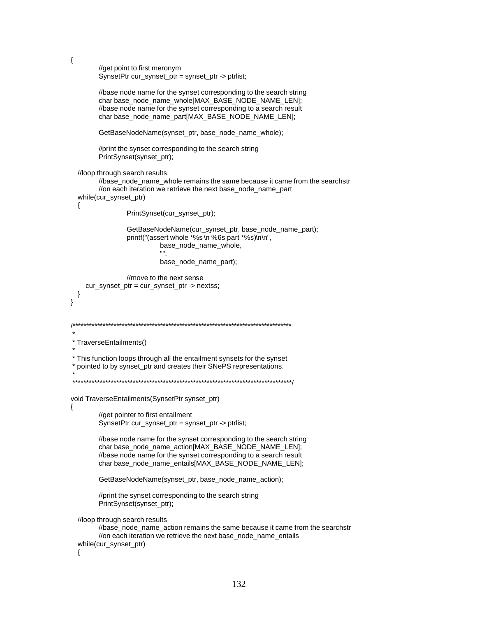```
\{//get point to first meronym
        SynsetPtr cur_synset_ptr = synset_ptr -> ptrlist;
        //base node name for the synset corresponding to the search string
        char base_node_name_whole[MAX_BASE_NODE_NAME_LEN];
        //base node name for the synset corresponding to a search result
        char base_node_name_part[MAX_BASE_NODE_NAME_LEN];
        GetBaseNodeName(synset_ptr, base_node_name_whole);
        //print the synset corresponding to the search string
        PrintSynset(synset_ptr);
  //loop through search results
        //base_node_name_whole remains the same because it came from the searchstr
        //on each iteration we retrieve the next base_node_name_part
  while(cur_synset_ptr)
                PrintSynset(cur_synset_ptr);
                GetBaseNodeName(cur_synset_ptr, base_node_name_part);
                printf("(assert whole *%s \n %6s part *%s)\n\n",
                         base node name whole,
                         "",
                         base_node_name_part);
               //move to the next sense
    cur_synset_ptr = cur_synset_ptr -> nextss;
 \}\mathcal{E}* TraverseEntailments()
* This function loops through all the entailment synsets for the synset
 * pointed to by synset_ptr and creates their SNePS representations.
void TraverseEntailments(SynsetPtr synset_ptr)
₹
        //get pointer to first entailment
        SynsetPtr cur_synset_ptr = synset_ptr -> ptrlist;
        //base node name for the synset corresponding to the search string
        char base_node_name_action[MAX_BASE_NODE_NAME_LEN];
        //base node name for the synset corresponding to a search result
        char base_node_name_entails[MAX_BASE_NODE_NAME_LEN];
        GetBaseNodeName(synset_ptr, base_node_name_action);
        //print the synset corresponding to the search string
        PrintSynset(synset_ptr);
  //loop through search results
        //base_node_name_action remains the same because it came from the searchstr
        //on each iteration we retrieve the next base_node_name_entails
  while(cur_synset_ptr)
```

```
₹
```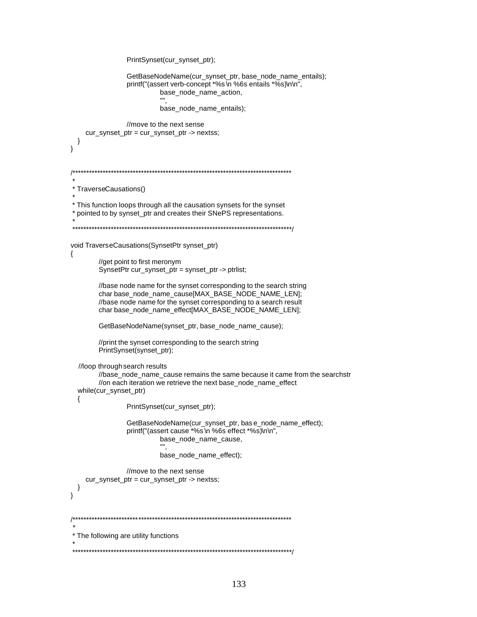```
PrintSynset(cur_synset_ptr);
              GetBaseNodeName(cur_synset_ptr, base_node_name_entails);
              printf("(assert verb-concept *%s \n %6s entails *%s)\n\n",
                       base node name action,
                       base_node_name_entails);
              //move to the next sense
   cur_synset_ptr = cur_synset_ptr -> nextss;
 \}\}* TraverseCausations()
* This function loops through all the causation synsets for the synset
* pointed to by synset_ptr and creates their SNePS representations.
void TraverseCausations(SynsetPtr synset_ptr)
{
       //get point to first meronym
       SynsetPtr cur_synset_ptr = synset_ptr -> ptrlist;
       //base node name for the synset corresponding to the search string
       char base_node_name_cause[MAX_BASE_NODE_NAME_LEN];
       //base node name for the synset corresponding to a search result
       char base_node_name_effect[MAX_BASE_NODE_NAME_LEN];
       GetBaseNodeName(synset_ptr, base_node_name_cause);
       //print the synset corresponding to the search string
       PrintSynset(synset_ptr);
  //loop through search results
       //base node name cause remains the same because it came from the searchstr
       //on each iteration we retrieve the next base_node_name_effect
  while(cur_synset_ptr)
 \{PrintSynset(cur_synset_ptr);
              GetBaseNodeName(cur_synset_ptr, bas e_node_name_effect);
              printf("(assert cause *%s \n %6s effect *%s)\n\n",
                       base_node_name_cause,
                       m,
                       base_node_name_effect);
              //move to the next sense
   cur_synset_ptr = cur_synset_ptr -> nextss;
 \}\mathcal{E}* The following are utility functions
```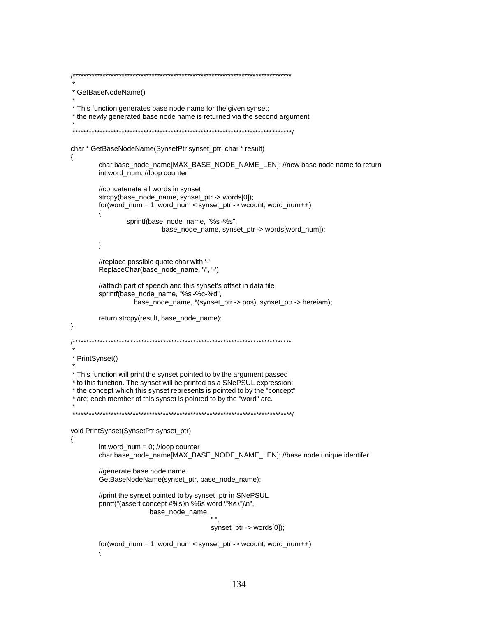```
* GetBaseNodeName()
* This function generates base node name for the given synset;
* the newly generated base node name is returned via the second argument
char * GetBaseNodeName(SynsetPtr synset_ptr, char * result)
₹
       char base_node_name[MAX_BASE_NODE_NAME_LEN]; //new base node name to return
       int word_num; //loop counter
       //concatenate all words in synset
       strcpy(base_node_name, synset_ptr -> words[0]);
       for(word_number, word_num = 1; word_num < synset_ptr -> wcount; word_num++)\{sprintf(base_node_name, "%s -%s",
                        base_node_name, synset_ptr -> words[word_num]);
       \}//replace possible quote char with '-'
       ReplaceChar(base_node_name, '\", '-');
       //attach part of speech and this synset's offset in data file
       sprintf(base_node_name, "%s -%c-%d",
                base_node_name, *(synset_ptr -> pos), synset_ptr -> hereiam);
       return strcpy(result, base_node_name);
}
* PrintSynset()
* This function will print the synset pointed to by the argument passed
* to this function. The synset will be printed as a SNePSUL expression:
* the concept which this synset represents is pointed to by the "concept"
* arc; each member of this synset is pointed to by the "word" arc.
void PrintSynset(SynsetPtr synset_ptr)
₹
       int word_num = 0; //loop counter
       char base_node_name[MAX_BASE_NODE_NAME_LEN]; //base node unique identifer
       //generate base node name
       GetBaseNodeName(synset_ptr, base_node_name);
       //print the synset pointed to by synset_ptr in SNePSUL
       printf("(assert concept #%s \n %6s word \"%s \")\n",
                    base_node_name,
                                     synset_ptr -> words[0]);
       for(word_number, word_num = 1; word_num < synset_ptr -> wcount; word_num++)\{
```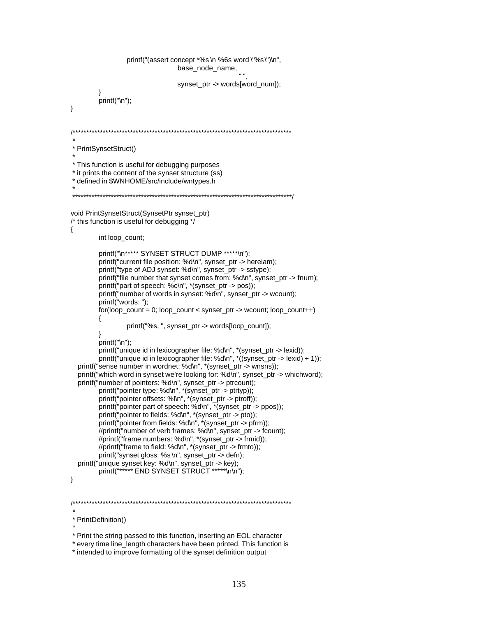```
printf("(assert concept *%s \n %6s word \"%s \")\n",
                                    base_node_name,
                                    synset_ptr -> words[word_num]);
         \mathcal{E}printf("\n");
\mathcal{E}* PrintSynsetStruct()
* This function is useful for debugging purposes
* it prints the content of the synset structure (ss)
* defined in $WNHOME/src/include/wntypes.h
     void PrintSynsetStruct(SynsetPtr synset_ptr)
/* this function is useful for debugging */
\{int loop_count;
         printf("\n***** SYNSET STRUCT DUMP *****\n");
         printf("current file position: %d\n", synset_ptr -> hereiam);
         printf("type of ADJ synset: %d\n", synset_ptr -> sstype);
         printf("file number that synset comes from: %d\n", synset_ptr -> fnum);
         printf("part of speech: %c\n", *(synset_ptr -> pos));
         printf("number of words in synset: %d\n", synset_ptr -> wcount);
         printf("words: ");
         for (loop_{\text{count}} = 0; loop_{\text{count}} < synset_{\text{ptr}} > wcount; loop_{\text{count++}})₹
                  printf("%s, ", synset_ptr -> words[loop_count]);
         \}printf("\n"):
         printf("unique id in lexicographer file: %d\n", *(synset_ptr -> lexid));
         printf("unique id in lexicographer file: %d\n", *((synset_ptr -> lexid) + 1));
  printf("sense number in wordnet: %d\n", *(synset_ptr -> wnsns));
  printf("which word in synset we're looking for: %d\n", synset_ptr -> whichword);
  printf("number of pointers: %d\n", synset_ptr -> ptrcount);
         printf("pointer type: %d\n", *(synset_ptr -> ptrtyp));<br>printf("pointer offsets: %l\n", *(synset_ptr -> ptrtyp));<br>printf("pointer part of speech: %d\n", *(synset_ptr -> ptoff));
         printf("pointer to fields: %d\n", *(synset_ptr -> pto));<br>printf("pointer from fields: %d\n", *(synset_ptr -> pfrm));
         //printf("number of verb frames: %d\n", synset_ptr -> fcount);
         //printf("frame numbers: %d\n", *(synset_ptr -> frmid));
         //printf("frame to field: %d\n", *(synset_ptr -> frmto));
         printf("synset gloss: %s\n", synset_ptr -> defn);
  printf("unique synset key: %d\n", synset_ptr -> key);
         printf("****** END SYNSET STRUCT *****\n\n");
\}* PrintDefinition()
```
\* intended to improve formatting of the synset definition output

<sup>\*</sup> Print the string passed to this function, inserting an EOL character

<sup>\*</sup> every time line\_length characters have been printed. This function is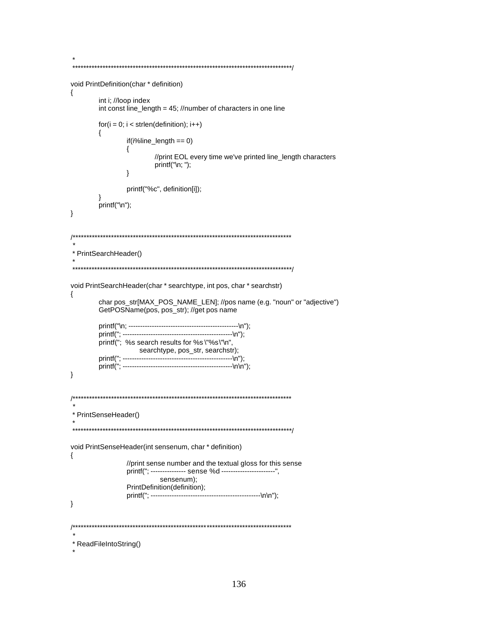```
void PrintDefinition(char * definition)
₹
     int i; //loop index
     int const line_length = 45; //number of characters in one line
     for(i = 0; i < strlen(definition); i++)₹
           if(i\%line \text{line\_length} == 0)₹
                //print EOL every time we've printed line_length characters
                print(f"\n, ");<sup>}</sup>
           printf("%c", definition[i]);
     ∖
     printf("\n");
\}* PrintSearchHeader()
void PrintSearchHeader(char * searchtype, int pos, char * searchstr)
\{char pos_str[MAX_POS_NAME_LEN]; //pos name (e.g. "noun" or "adjective")
     GetPOSName(pos, pos_str); //get pos name
     printf("; %s search results for %s\"%s\"\n",
             searchtype, pos_str, searchstr);
     \}* PrintSenseHeader()
void PrintSenseHeader(int sensenum, char * definition)
\{//print sense number and the textual gloss for this sense
           printf("; --------------- sense %d -----------------------".
                 sensenum);
           PrintDefinition(definition);
           \}* ReadFileIntoString()
```
 $\star$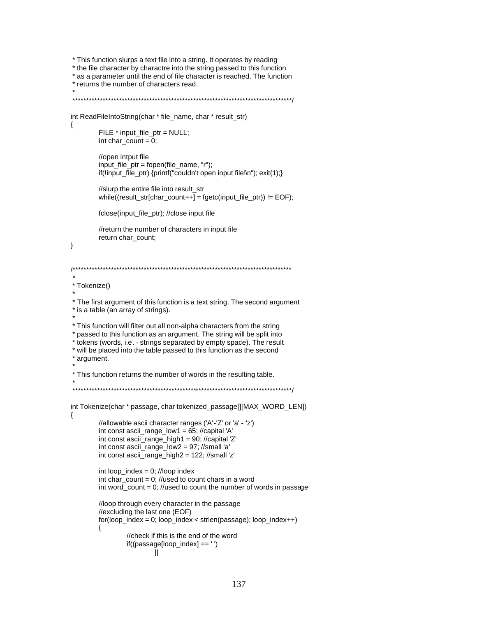```
* This function slurps a text file into a string. It operates by reading
* the file character by charactre into the string passed to this function
* as a parameter until the end of file character is reached. The function
* returns the number of characters read.
int ReadFileIntoString(char * file_name, char * result_str)
₹
        FILE * input_file_ptr = NULL;
        int char_count = 0;
        //open intput file
        input file ptr = fopen(file name, rr);
        if(!input_file_ptr) {printf("couldn't open input file!\n"); exit(1);}
        //slurp the entire file into result_str
        while((result_str[char_count++] = fgetc(input_file_ptr)) != EOF);
        fclose(input_file_ptr); //close input file
        //return the number of characters in input file
        return char_count;
\}* Tokenize()
* The first argument of this function is a text string. The second argument
* is a table (an array of strings).
* This function will filter out all non-alpha characters from the string
* passed to this function as an argument. The string will be split into
* tokens (words, i.e. - strings separated by empty space). The result
* will be placed into the table passed to this function as the second
* argument.
* This function returns the number of words in the resulting table.
int Tokenize(char * passage, char tokenized_passage[][MAX_WORD_LEN])
\{//allowable ascii character ranges ('A'-'Z' or 'a' - 'z')
        int const ascii_range_low1 = 65; //capital 'A'
        int const ascii_range_high1 = 90; //capital 'Z'
        int const ascii<sub>_</sub>range_low2 = 97; //small 'a'
        int const ascii_range_high2 = 122; //small 'z'
        int loop_index = 0; //loop index
        int char count = 0: //used to count chars in a word
        int word_count = 0; //used to count the number of words in passage
        //loop through every character in the passage
        //excluding the last one (EOF)
        for(logo_1, index = 0; log_index < strlen(passage); log_index++)₹
                 //check if this is the end of the word
                 if((passage[loop_index] == '')\parallel
```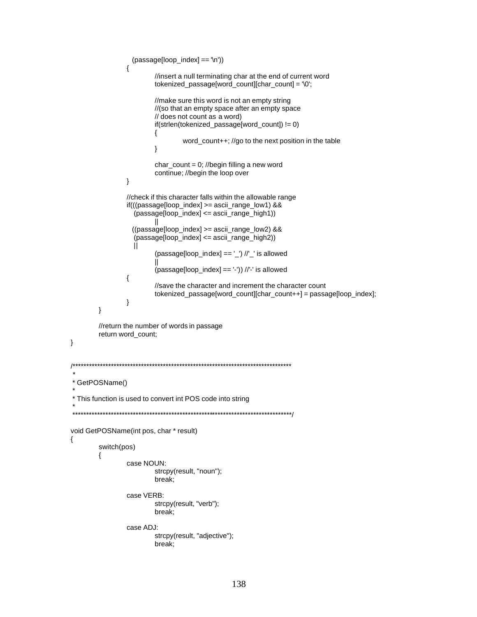```
(passage[loop_index] == '\n'))
                 {
                         //insert a null terminating char at the end of current word
                         tokenized_passage[word_count][char_count] = '\0';
                         //make sure this word is not an empty string
                         //(so that an empty space after an empty space
                         // does not count as a word)
                         if (strlen (tokenized_passage [word_count]) != 0)\{word_count++; //go to the next position in the table
                         \}char_count = 0; //begin filling a new word
                         continue; //begin the loop over
                 \mathcal{E}//check if this character falls within the allowable range
                 if(((passage[loop_index] >= ascii_range_low1) &&
                   (passage[loop_index] \leq ascii_range_high1))((passage[loop_index] >= ascii_range_low2) &&
                   (passage[loop_index] <= ascii_range_high2))
                   Ĥ
                         (passage[loop_index] == '_') //'_' is allowed
                         H
                         (\text{passage}[\text{loop}_\text{index}] == '')) //'-' is allowed
                 \{//save the character and increment the character count
                         tokenized_passage[word_count][char_count++] = passage[loop_index];
                 \}\mathcal{E}//return the number of words in passage
        return word_count;
\}4^{**}* GetPOSName()
* This function is used to convert int POS code into string
void GetPOSName(int pos, char * result)
₹
        switch(pos)
        \{case NOUN:
                         strcpy(result, "noun");
                         break;
                 case VERB:
                         strcpy(result, "verb");
                         break;
                 case ADJ:
                         strcpy(result, "adjective");
                         break;
```

```
138
```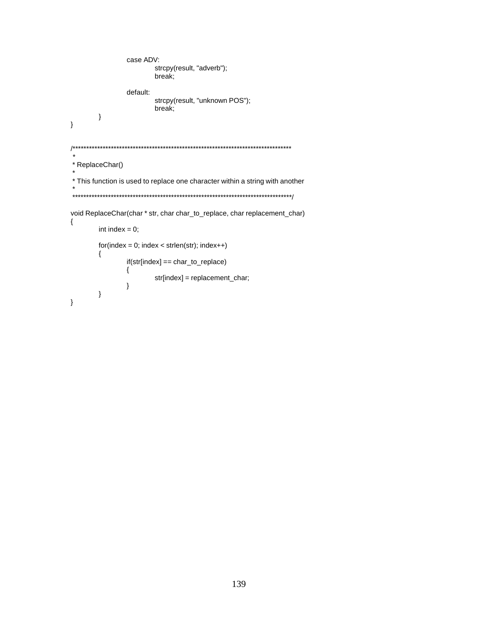```
case ADV:
                    strcpy(result, "adverb");
                    break;
             default:
                    strcpy(result, "unknown POS");
                    break;
      \}\}1**** ReplaceChar()
* This function is used to replace one character within a string with another
void ReplaceChar(char * str, char char_to_replace, char replacement_char)
\{int index = 0;
      for(index = 0; index < strlen(str); index++)\{if(str[index] == char_to_replace)
             \{str[index] = replacement_char;
             \}\}\}
```